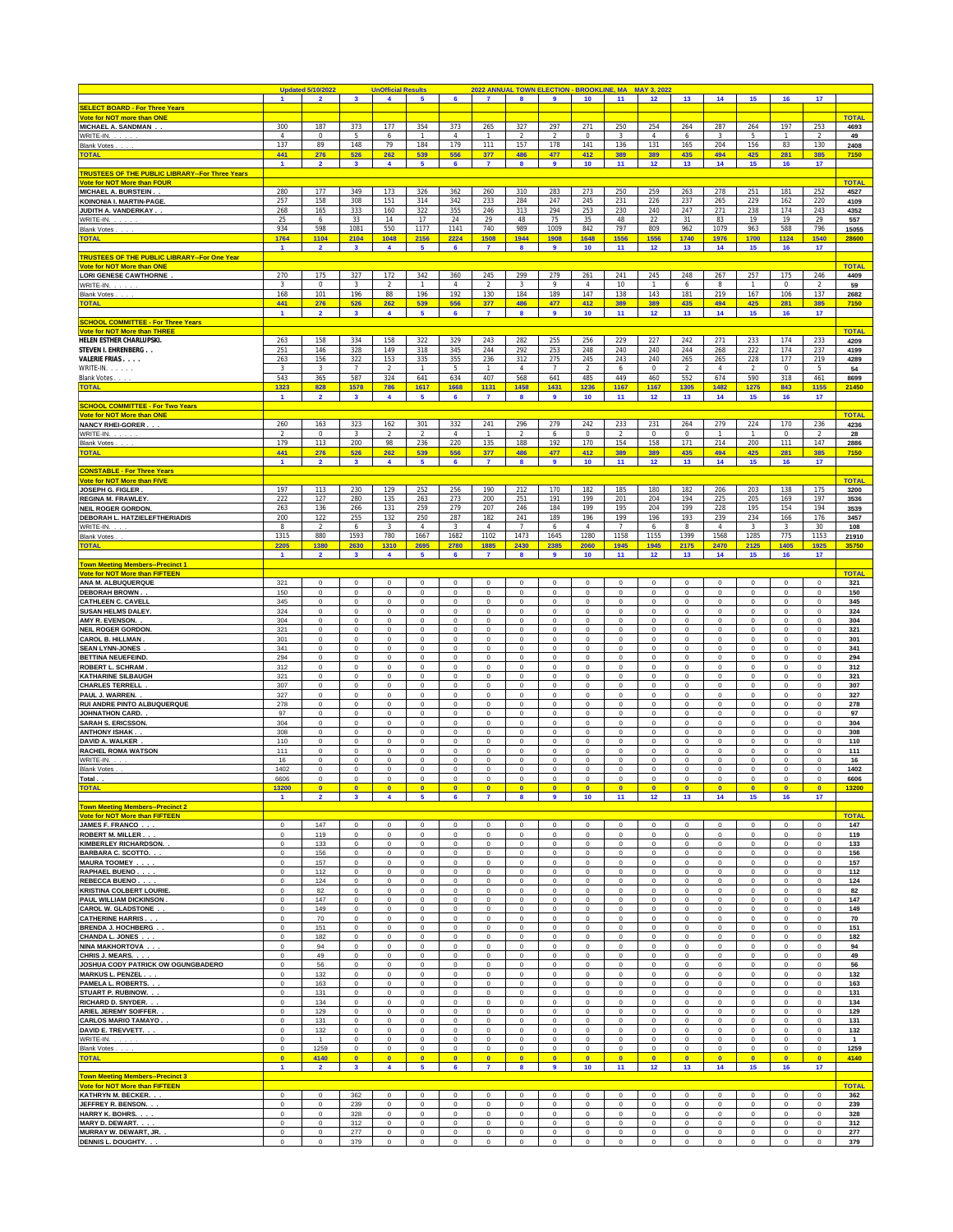|                                                                   |                            | <b>Updated 5/10/2022</b>      |                                 | <b>UnOfficial Results</b>            |                                 |                            | 2022 ANNUAL TOWN ELECTION - BROOKLINE, MA |                              |                                 |                               |                            | <b>MAY 3, 2022</b>         |                              |                               |                            |                            |                               |                      |
|-------------------------------------------------------------------|----------------------------|-------------------------------|---------------------------------|--------------------------------------|---------------------------------|----------------------------|-------------------------------------------|------------------------------|---------------------------------|-------------------------------|----------------------------|----------------------------|------------------------------|-------------------------------|----------------------------|----------------------------|-------------------------------|----------------------|
| <b>SELECT BOARD - For Three Years</b>                             | $\blacksquare$             | $\overline{2}$                | $\mathbf{3}$                    | $\blacktriangleleft$                 | 5                               | 6                          | $\overline{7}$                            | 8                            | 9                               | 10                            | 11                         | 12                         | 13                           | 14                            | 15                         | 16                         | 17                            |                      |
| Vote for NOT more than ONE                                        |                            |                               |                                 |                                      |                                 |                            |                                           |                              |                                 |                               |                            |                            |                              |                               |                            |                            |                               | <b>TOTAL</b>         |
| MICHAEL A. SANDMAN.                                               | 300                        | 187                           | 373                             | 177                                  | 354                             | 373                        | 265                                       | 327                          | 297                             | 271                           | 250                        | 254                        | 264                          | 287                           | 264                        | 197                        | 253                           | 4693                 |
| WRITE-IN.                                                         | $\overline{4}$<br>137      | $\,0\,$<br>89                 | 5<br>148                        | 6<br>79                              | $\mathbf{1}$<br>184             | $\overline{4}$             | $\mathbf{1}$                              | $\overline{2}$               | $\overline{2}$<br>178           | $\mathbf{0}$                  | 3                          | $\overline{4}$             | 6                            | 3                             | 5                          | $\mathbf{1}$               | $\overline{2}$                | 49                   |
| <b>Blank Votes</b><br><b>TOTAL</b>                                | 441                        | 276                           | 526                             | 262                                  | 539                             | 179<br>556                 | 111<br>377                                | 157<br>486                   | 477                             | 141<br>412                    | 136<br>389                 | 131<br>389                 | 165<br>435                   | 204<br>494                    | 156<br>425                 | 83<br>281                  | 130<br>385                    | 2408<br>7150         |
|                                                                   | $\mathbf{1}$               | $\overline{2}$                | $\overline{\mathbf{3}}$         | $\blacktriangleleft$                 | $\overline{\mathbf{5}}$         | $6\phantom{a}$             | $\mathbf{7}$                              | $\bf{8}$                     | 9                               | 10                            | 11                         | 12                         | 13                           | 14                            | 15                         | 16                         | 17                            |                      |
| <b>TRUSTEES OF THE PUBLIC LIBRARY--For Three Years</b>            |                            |                               |                                 |                                      |                                 |                            |                                           |                              |                                 |                               |                            |                            |                              |                               |                            |                            |                               |                      |
| <b>Vote for NOT More than FOUR</b><br>MICHAEL A. BURSTEIN. .      | 280                        | 177                           | 349                             | 173                                  | 326                             | 362                        | 260                                       | 310                          | 283                             | 273                           | 250                        | 259                        | 263                          | 278                           | 251                        | 181                        | 252                           | <b>TOTAL</b><br>4527 |
| KOINONIA I. MARTIN-PAGE.                                          | 257                        | 158                           | 308                             | 151                                  | 314                             | 342                        | 233                                       | 284                          | 247                             | 245                           | 231                        | 226                        | 237                          | 265                           | 229                        | 162                        | 220                           | 4109                 |
| JUDITH A. VANDERKAY                                               | 268                        | 165                           | 333                             | 160                                  | 322                             | 355                        | 246                                       | 313                          | 294                             | 253                           | 230                        | 240                        | 247                          | 271                           | 238                        | 174                        | 243                           | 4352                 |
| WRITE-IN.<br>Blank Votes.                                         | 25<br>934                  | 6<br>598                      | 33<br>1081                      | 14<br>550                            | 17<br>1177                      | 24<br>1141                 | 29<br>740                                 | 48<br>989                    | 75<br>1009                      | 35<br>842                     | 48<br>797                  | 22<br>809                  | 31<br>962                    | 83<br>1079                    | 19<br>963                  | 19<br>588                  | 29<br>796                     | 557<br>15055         |
| <b>TOTAL</b>                                                      | 1764                       | 1104                          | 2104                            | 1048                                 | 2156                            | 2224                       | 1508                                      | 1944                         | <b>1908</b>                     | 1648                          | 1556                       | 1556                       | 1740                         | 1976                          | 1700                       | 1124                       | 1540                          | 28600                |
|                                                                   | $\mathbf{1}$               | $\overline{2}$                | $\mathbf{3}$                    | $\blacktriangleleft$                 | 5                               | 6                          | $\mathbf{7}$                              | 8                            | 9                               | 10                            | 11                         | 12                         | 13                           | 14                            | 15                         | 16                         | 17                            |                      |
| <b>TRUSTEES OF THE PUBLIC LIBRARY--For One Year</b>               |                            |                               |                                 |                                      |                                 |                            |                                           |                              |                                 |                               |                            |                            |                              |                               |                            |                            |                               | <b>TOTAL</b>         |
| <b>Vote for NOT More than ONE</b><br><b>LORI GENESE CAWTHORNE</b> | 270                        | 175                           | 327                             | 172                                  | 342                             | 360                        | 245                                       | 299                          | 279                             | 261                           | 241                        | 245                        | 248                          | 267                           | 257                        | 175                        | 246                           | 4409                 |
| WRITE-IN.                                                         | 3                          | $\,0\,$                       | 3                               | $\overline{a}$                       | $\mathbf{1}$                    | $\overline{4}$             | $\overline{2}$                            | 3                            | $\overline{9}$                  | $\overline{4}$                | 10                         | $\mathbf{1}$               | 6                            | 8                             | $\mathbf{1}$               | $\,0\,$                    | $\overline{2}$                | 59                   |
| Blank Votes                                                       | 168                        | 101                           | 196                             | 88                                   | 196                             | 192                        | 130                                       | 184                          | 189                             | 147                           | 138                        | 143                        | 181                          | 219                           | 167                        | 106                        | 137                           | 2682                 |
| <b>TOTAL</b>                                                      | 441<br>1.                  | 276<br>$\overline{2}$         | 526<br>$\mathbf{3}$             | 262<br>4                             | 539<br>5                        | 556<br>6                   | 377<br>$\overline{7}$                     | 486<br>8                     | 477<br>9                        | 412<br>10                     | 389<br>11                  | 389<br>12                  | 435<br>13                    | 494<br>14                     | 425<br>15                  | 281<br>16                  | 385<br>17                     | 7150                 |
| <b>SCHOOL COMMITTEE - For Three Years</b>                         |                            |                               |                                 |                                      |                                 |                            |                                           |                              |                                 |                               |                            |                            |                              |                               |                            |                            |                               |                      |
| <b>Vote for NOT More than THREE</b>                               |                            |                               |                                 |                                      |                                 |                            |                                           |                              |                                 |                               |                            |                            |                              |                               |                            |                            |                               | <b>TOTAL</b>         |
| HELEN ESTHER CHARLUPSKI.<br>STEVEN I. EHRENBERG                   | 263<br>251                 | 158<br>146                    | 334<br>328                      | 158<br>149                           | 322<br>318                      | 329<br>345                 | 243<br>244                                | 282<br>292                   | 255<br>253                      | 256<br>248                    | 229<br>240                 | 227<br>240                 | 242<br>244                   | 271<br>268                    | 233<br>222                 | 174<br>174                 | 233<br>237                    | 4209                 |
| <b>VALERIE FRIAS</b>                                              | 263                        | 156                           | 322                             | 153                                  | 335                             | 355                        | 236                                       | 312                          | 275                             | 245                           | 243                        | 240                        | 265                          | 265                           | 228                        | 177                        | 219                           | 4199<br>4289         |
| WRITE-IN.                                                         | $\overline{3}$             | $\overline{3}$                | $\overline{7}$                  | $\overline{2}$                       | $\mathbf{1}$                    | $\overline{5}$             | $\mathbf{1}$                              | 4                            | $\overline{7}$                  | $\overline{a}$                | $6\phantom{.}6$            | $\,0\,$                    | $\overline{2}$               | $\sqrt{4}$                    | $\overline{a}$             | $\,0\,$                    | 5                             | 54                   |
| Blank Votes                                                       | 543                        | 365                           | 587                             | 324                                  | 641                             | 634                        | 407                                       | 568                          | 641                             | 485                           | 449                        | 460                        | 552                          | 674                           | 590                        | 318                        | 461                           | 8699                 |
| <b>TOTAL</b>                                                      | 1323<br>1                  | 828<br>$\overline{2}$         | 1578<br>$\overline{\mathbf{3}}$ | 786<br>$\blacktriangleleft$          | 1617<br>$\overline{\mathbf{5}}$ | 1668<br>$6\phantom{a}$     | 1131<br>$\overline{7}$                    | 1458<br>8                    | 1431<br>$\overline{\mathbf{9}}$ | 1236<br>10                    | 1167<br>11                 | 1167<br>12                 | 1305<br>13                   | 1482<br>14                    | 1275<br>15                 | 843<br>16                  | 1155<br>17                    | 21450                |
| <b>SCHOOL COMMITTEE - For Two Years</b>                           |                            |                               |                                 |                                      |                                 |                            |                                           |                              |                                 |                               |                            |                            |                              |                               |                            |                            |                               |                      |
| Vote for NOT More than ONE                                        |                            |                               |                                 |                                      |                                 |                            |                                           |                              |                                 |                               |                            |                            |                              |                               |                            |                            |                               | <b>TOTAL</b>         |
| <b>NANCY RHEI-GORER</b><br>WRITE-IN.                              | 260<br>$\overline{2}$      | 163<br>$\,0\,$                | 323<br>3                        | 162<br>$\overline{2}$                | 301<br>$\overline{2}$           | 332<br>$\overline{4}$      | 241<br>$\mathbf{1}$                       | 296<br>$\overline{2}$        | 279<br>6                        | 242<br>$\mathsf{O}\xspace$    | 233<br>$\overline{2}$      | 231<br>0                   | 264<br>$\,0\,$               | 279<br>$\mathbf{1}$           | 224<br>$\mathbf{1}$        | 170<br>$\,0\,$             | 236<br>$\overline{2}$         | 4236<br>28           |
| <b>Blank Votes</b>                                                | 179                        | 113                           | 200                             | 98                                   | 236                             | 220                        | 135                                       | 188                          | 192                             | 170                           | 154                        | 158                        | 171                          | 214                           | 200                        | 111                        | 147                           | 2886                 |
| <b>TOTAL</b>                                                      | 441                        | 276                           | 526                             | 262                                  | 539                             | 556                        | 377                                       | 486                          | 477                             | 412                           | 389                        | 389                        | 435                          | 494                           | 425                        | 281                        | 385                           | 7150                 |
| <b>CONSTABLE - For Three Years</b>                                | 1                          | $\overline{2}$                | $\overline{\mathbf{3}}$         | $\overline{4}$                       | $\overline{\mathbf{5}}$         | 6                          | $\mathbf{7}$                              | $\overline{\mathbf{8}}$      | $\overline{\mathbf{9}}$         | 10                            | 11                         | 12                         | 13                           | 14                            | 15                         | 16                         | 17                            |                      |
| <b>Vote for NOT More than FIVE</b>                                |                            |                               |                                 |                                      |                                 |                            |                                           |                              |                                 |                               |                            |                            |                              |                               |                            |                            |                               | <b>TOTAL</b>         |
| JOSEPH G. FIGLER                                                  | 197                        | 113                           | 230                             | 129                                  | 252                             | 256                        | 190                                       | 212                          | 170                             | 182                           | 185                        | 180                        | 182                          | 206                           | 203                        | 138                        | 175                           | 3200                 |
| <b>REGINA M. FRAWLEY</b>                                          | 222                        | 127                           | 280                             | 135                                  | 263                             | 273                        | 200                                       | 251                          | 191                             | 199                           | 201                        | 204                        | 194                          | 225                           | 205                        | 169                        | 197                           | 3536                 |
| <b>NEIL ROGER GORDON.</b><br>DEBORAH L. HATZIELEFTHERIADIS        | 263<br>200                 | 136<br>122                    | 266<br>255                      | 131<br>132                           | 259<br>250                      | 279<br>287                 | 207<br>182                                | 246<br>241                   | 184<br>189                      | 199<br>196                    | 195<br>199                 | 204<br>196                 | 199<br>193                   | 228<br>239                    | 195<br>234                 | 154<br>166                 | 194<br>176                    | 3539<br>3457         |
| WRITE-IN.                                                         | 8                          | $\overline{2}$                | 6                               | 3                                    | $\overline{4}$                  | 3                          | $\overline{4}$                            | $\overline{7}$               | 6                               | $\overline{4}$                | $\overline{7}$             | 6                          | 8                            | $\overline{4}$                | 3                          | 3                          | 30                            | 108                  |
| <b>Blank Votes</b>                                                | 1315                       | 880                           | 1593                            | 780                                  | 1667                            | 1682                       | 1102                                      | 1473                         | 1645                            | 1280                          | 1158                       | 1155                       | 1399                         | 1568                          | 1285                       | 775                        | 1153                          | 21910                |
| <b>TOTAL</b>                                                      | 2205                       | 1380                          | 2630                            | 1310                                 | 2695                            | 2780                       | 1885                                      | 2430                         | 2385                            | 2060                          | 1945                       | 1945<br>12                 | 2175                         | 2470                          | 2125                       | 1405                       | 1925                          | 35750                |
| <b>Town Meeting Members--Precinct 1</b>                           | $\mathbf{1}$               | $\overline{\mathbf{2}}$       | $\overline{\mathbf{3}}$         | $\overline{4}$                       | $\overline{\mathbf{5}}$         | $6\phantom{.}6$            | $\mathbf{7}$                              | $\boldsymbol{8}$             | 9                               | 10                            | 11                         |                            | 13                           | 14                            | 15                         | 16                         | 17                            |                      |
| <b>Vote for NOT More than FIFTEEN</b>                             |                            |                               |                                 |                                      |                                 |                            |                                           |                              |                                 |                               |                            |                            |                              |                               |                            |                            |                               | <b>TOTAL</b>         |
| ANA M. ALBUQUERQUE                                                | 321                        | $\bf 0$                       | $\mathbf 0$                     | $\mathbf 0$                          | $\,0\,$                         | $^{\circ}$                 | $\,0\,$                                   | $\mathbf 0$                  | $\mathbf 0$                     | $\mathsf 0$                   | $^{\circ}$                 | $\mathbf 0$                | $\mathbf 0$                  | $\mathbf 0$                   | $\mathbf 0$                | $\mathbf 0$                | $\bf{0}$                      | 321                  |
| <b>DEBORAH BROWN</b><br><b>CATHLEEN C. CAVELL</b>                 | 150<br>345                 | $\,0\,$<br>$\bf{0}$           | 0<br>$\mathbf 0$                | $\mathbf 0$<br>$\mathbf 0$           | $\,0\,$<br>$\bf{0}$             | 0<br>0                     | $\,0\,$<br>$\mathbf 0$                    | $\mathbf 0$<br>$\mathbf 0$   | $\,0\,$<br>$\bf{0}$             | $\mathbf 0$<br>$\mathbf 0$    | $^{\circ}$<br>$\mathbf 0$  | $\mathbf 0$<br>$\mathbf 0$ | $\mathsf 0$<br>$\mathbf 0$   | $\mathbf 0$<br>$\mathbf 0$    | 0<br>$\mathbf 0$           | 0<br>$\overline{0}$        | 0<br>$\pmb{0}$                | 150<br>345           |
| <b>SUSAN HELMS DALEY</b>                                          | 324                        | $\bf{0}$                      | $\mathbf 0$                     | $\mathbf 0$                          | $\mathbf 0$                     | 0                          | $\mathbf 0$                               | $\mathbf 0$                  | $\mathbf 0$                     | $\mathbf 0$                   | $\mathbf 0$                | $\mathbf 0$                | $\mathbf 0$                  | $\mathbf{0}$                  | $\mathbf 0$                | 0                          | $\pmb{0}$                     | 324                  |
| AMY R. EVENSON.                                                   | 304                        | $\overline{0}$                | $\mathbf 0$                     | $\mathbf 0$                          | $\overline{0}$                  | 0                          | $\mathbf{0}$                              | $\mathbf 0$                  | $\mathbf 0$                     | $\mathsf 0$                   | $\mathbf 0$                | $\bf{0}$                   | $\mathbf 0$                  | $\mathbf{0}$                  | $\mathbf 0$                | 0                          | $\pmb{0}$                     | 304                  |
| <b>NEIL ROGER GORDON</b>                                          | 321                        | $\mathbf 0$                   | $\mathbf 0$                     | $\mathbf{0}$                         | $\mathbf{0}$                    | 0                          | $\mathbf{0}$                              | $\bf{0}$                     | $\mathbf{0}$                    | $\mathbf{0}$                  | $\mathbf 0$<br>$\mathbf 0$ | $\bf{0}$                   | $\mathbf{0}$                 | $\mathbf{0}$                  | $\mathbf{0}$               | 0                          | $\pmb{0}$                     | 321<br>301           |
| <b>CAROL B. HILLMAN</b><br><b>SEAN LYNN-JONES</b>                 | 301<br>341                 | $\mathbf{0}$<br>$\mathbf{0}$  | $\mathbf{0}$<br>$\mathbf{0}$    | $\mathbf{0}$<br>$\mathbf{0}$         | $\mathbf{0}$<br>$\overline{0}$  | 0<br>0                     | $\mathbf{0}$<br>$\mathbf{0}$              | $\mathbf{0}$<br>$\mathbf{0}$ | $\mathbf{0}$<br>$\overline{0}$  | $\mathbf{0}$<br>$\mathbf{0}$  | $^{\circ}$                 | $\bf{0}$<br>$\bf{0}$       | $\mathbf{0}$<br>$\mathbf{0}$ | $\mathbf{0}$<br>$\mathbf{0}$  | 0<br>0                     | 0<br>0                     | $\mathbf 0$<br>$\mathbf 0$    | 341                  |
| <b>BETTINA NEUEFEIND</b>                                          | 294                        | $\overline{0}$                | $\mathbf{0}$                    | $\mathbf{0}$                         | $\overline{0}$                  | 0                          | $\mathbf{0}$                              | $\mathbf{0}$                 | $\overline{0}$                  | $\mathbf{0}$                  | $^{\circ}$                 | $\overline{0}$             | $\mathbf{0}$                 | $\overline{0}$                | 0                          | 0                          | $\bf{0}$                      | 294                  |
| <b>ROBERT L. SCHRAM</b>                                           | 312                        | $\overline{0}$                | $\mathbf{0}$                    | $\mathbf{0}$                         | $\overline{0}$                  | 0                          | $\overline{0}$                            | $\mathbf{0}$                 | $\overline{0}$                  | $\mathbf{0}$                  | $^{\circ}$                 | $\overline{0}$             | $\mathbf{0}$                 | $\overline{0}$                | 0                          | 0                          | $\bf{0}$                      | 312                  |
| <b>KATHARINE SILBAUGH</b><br><b>CHARLES TERRELL</b>               | 321<br>307                 | $\overline{0}$<br>$\mathsf 0$ | $\overline{0}$<br>$\mathsf 0$   | $\mathbf{0}$<br>$\mathbf 0$          | $\mathbf{0}$<br>$\mathbf{0}$    | 0<br>$^{\circ}$            | $\mathbf 0$<br>$\mathbb O$                | $\mathbf 0$<br>$\mathbf 0$   | $\overline{0}$<br>$\mathbf 0$   | $\overline{0}$<br>$\mathsf 0$ | $^{\circ}$<br>$\mathbf 0$  | $\overline{0}$<br>0        | $\mathbf{0}$<br>$\mathsf 0$  | $\overline{0}$<br>$\mathbf 0$ | 0<br>$\mathbf 0$           | 0<br>$\mathbf 0$           | $\overline{0}$<br>$\mathbf 0$ | 321<br>307           |
| PAUL J. WARREN.                                                   | 327                        | $\mathsf 0$                   | $\mathsf 0$                     | $\mathbf 0$                          | $\mathbf{0}$                    | $^{\circ}$                 | $\mathsf 0$                               | $\mathbf 0$                  | $\mathbf 0$                     | $\mathsf 0$                   | $\mathbf 0$                | $\mathsf 0$                | $\mathsf 0$                  | $\mathbf 0$                   | $\mathbf 0$                | $\mathbf 0$                | $\mathbf 0$                   | 327                  |
| <b>RUI ANDRE PINTO ALBUQUERQUE</b>                                | 278                        | $\mathsf 0$                   | $\mathsf 0$                     | $\mathbf 0$                          | $\mathbf{0}$                    | $^{\circ}$                 | $\mathsf 0$                               | $\mathbf 0$                  | $\mathbf 0$                     | $\mathsf 0$                   | $\mathbf 0$                | 0                          | $\mathsf 0$                  | $\mathbf 0$                   | $\mathbf 0$                | $\mathbf 0$                | $\mathsf 0$                   | 278                  |
| JOHNATHON CARD.<br><b>SARAH S. ERICSSON.</b>                      | 97<br>304                  | $\mathsf 0$<br>$\mathsf 0$    | $\mathsf 0$<br>$\mathsf 0$      | $\mathbf 0$<br>$\mathbf 0$           | $^{\circ}$<br>$^{\circ}$        | $^{\circ}$<br>$^{\circ}$   | $\mathsf 0$<br>$\mathsf 0$                | $\mathbf 0$<br>$\mathbf 0$   | $\mathbf 0$<br>$\mathbf 0$      | $\mathsf 0$<br>$\mathsf 0$    | $\mathbf 0$<br>$\mathbf 0$ | 0<br>0                     | $\mathsf 0$<br>$\mathsf 0$   | $\mathbf 0$<br>$\mathbf 0$    | $\mathbf 0$<br>$\mathbf 0$ | $\mathbf 0$<br>$\mathbf 0$ | $\mathbf 0$<br>$\mathbf 0$    | 97<br>304            |
| <b>ANTHONY ISHAK.</b>                                             | 308                        | $\mathsf 0$                   | $\mathbf 0$                     | $\mathbf 0$                          | $^{\circ}$                      | $\mathbf 0$                | $\mathbf 0$                               | $\mathbf 0$                  | $\mathbf 0$                     | $\mathsf 0$                   | $\mathbf 0$                | 0                          | $\mathsf 0$                  | $\circ$                       | $\mathbf 0$                | $\mathbf 0$                | $\mathbf 0$                   | 308                  |
| DAVID A. WALKER                                                   | 110                        | $\mathsf 0$                   | $\mathbf 0$                     | $\mathbf 0$                          | $^{\circ}$                      | $\mathbf 0$                | $\mathbf 0$                               | $\mathbf 0$                  | $\mathbf 0$                     | $\mathsf 0$                   | $\mathbf 0$                | 0                          | $\mathbf 0$                  | $\circ$                       | $\mathbf 0$                | $\mathbf 0$                | $\mathbf 0$                   | 110                  |
| <b>RACHEL ROMA WATSON</b><br>WRITE-IN.                            | 111<br>16                  | $\mathbf 0$<br>$\mathsf 0$    | $\mathsf 0$<br>$\mathsf 0$      | $\mathbf 0$<br>$\mathbf 0$           | $^{\circ}$<br>$^{\circ}$        | $\mathbf 0$<br>$\mathbf 0$ | $\mathbf 0$<br>$\mathbf 0$                | $\mathbf 0$<br>$\mathbf 0$   | $\mathbf 0$<br>$\mathbf 0$      | $\mathsf 0$<br>$\mathsf 0$    | $\mathbf 0$<br>$\mathbf 0$ | 0<br>0                     | $\mathbf 0$<br>$\mathbf 0$   | $\circ$<br>$\mathbf 0$        | $\mathbf 0$<br>$\mathbf 0$ | $\mathbf 0$<br>$\mathbf 0$ | $\mathbf 0$<br>$\mathbf 0$    | 111<br>16            |
| <b>Blank Votes</b>                                                | 1402                       | $\mathsf 0$                   | $\mathbf 0$                     | $\mathbf 0$                          | $^{\circ}$                      | $\mathbf 0$                | $\mathbf 0$                               | $\mathbf 0$                  | $\mathbf 0$                     | $\mathsf 0$                   | $\mathbf 0$                | $\mathbf 0$                | $\mathbf 0$                  | $\mathbf 0$                   | $\mathbf 0$                | $\mathbf 0$                | $\mathbf 0$                   | 1402                 |
| Total                                                             | 6606                       | $\mathbf 0$                   | $\mathbf 0$                     | $\mathbf 0$                          | $\mathbf 0$                     | $\mathbf 0$                | $\mathbf 0$                               | $\mathbf 0$                  | $\mathbf 0$                     | $\mathbf 0$                   | $\mathbf 0$                | 0                          | $\mathbf 0$                  | $\mathbf 0$                   | $\mathbf 0$                | 0                          | $\mathbf 0$                   | 6606                 |
| <b>TOTAL</b>                                                      | 13200<br>1                 | $\mathbf{0}$                  | $\mathbf{0}$<br>$\mathbf{3}$    | $\mathbf{0}$<br>$\blacktriangleleft$ | $\mathbf{0}$<br>5               | $\bullet$<br>6             | $\mathbf{0}$<br>$\overline{\mathbf{r}}$   | $\mathbf{0}$<br>8            | $\bullet$<br>$\overline{9}$     | $\mathbf{0}$<br>10            | $\overline{0}$<br>11       | $\bullet$<br>12            | $\mathbf{0}$<br>13           | $\mathbf{0}$<br>14            | $\mathbf{0}$<br>15         | $\mathbf{0}$<br>16         | $\mathbf{0}$<br>17            | 13200                |
| <b>Town Meeting Members--Precinct 2</b>                           |                            |                               |                                 |                                      |                                 |                            |                                           |                              |                                 |                               |                            |                            |                              |                               |                            |                            |                               |                      |
| <b>Vote for NOT More than FIFTEEN</b>                             |                            |                               |                                 |                                      |                                 |                            |                                           |                              |                                 |                               |                            |                            |                              |                               |                            |                            |                               | <b>TOTAL</b>         |
| JAMES F. FRANCO<br>ROBERT M. MILLER                               | $\mathbf 0$<br>$\mathbf 0$ | 147<br>119                    | $\mathsf 0$<br>$\mathsf 0$      | $\mathbf 0$<br>$\mathbf 0$           | $\mathbf 0$<br>$\mathbf 0$      | $\mathbf 0$<br>$\mathsf 0$ | $\mathsf 0$<br>$\mathsf 0$                | $\mathbf 0$<br>$\mathbf 0$   | $\mathbf 0$<br>$\mathbf 0$      | $\mathsf 0$<br>$\mathsf 0$    | $\mathbf 0$<br>$\mathbf 0$ | 0<br>0                     | $\mathsf 0$<br>$\mathsf 0$   | $\mathbf 0$<br>$\mathbf 0$    | $\mathsf 0$<br>$\mathsf 0$ | $\mathsf 0$<br>$\mathsf 0$ | $\mathsf 0$<br>$\mathsf 0$    | 147<br>119           |
| <b>KIMBERLEY RICHARDSON.</b>                                      | $\mathbf 0$                | 133                           | $\mathsf 0$                     | $\mathbf 0$                          | $\mathbf 0$                     | $\mathsf 0$                | $\mathsf 0$                               | $\mathbf 0$                  | $\mathbf 0$                     | $\mathsf 0$                   | $\mathbf 0$                | 0                          | $\mathsf 0$                  | $\mathbf 0$                   | $\mathsf 0$                | $\mathsf 0$                | $\mathsf 0$                   | 133                  |
| BARBARA C. SCOTTO.                                                | $\mathbf 0$                | 156                           | $\mathsf 0$                     | $\mathbf 0$                          | $\mathsf 0$                     | $\mathsf 0$                | $\mathsf 0$                               | $\mathbf 0$                  | $\mathbf 0$                     | $\mathsf 0$                   | $\mathbf 0$                | 0                          | $\mathsf 0$                  | $\mathbf 0$                   | $\mathsf 0$                | $\mathsf 0$                | $\mathsf 0$                   | 156                  |
| MAURA TOOMEY<br>RAPHAEL BUENO                                     | $\mathbf 0$<br>$\mathbf 0$ | 157<br>112                    | $\mathsf 0$<br>$\mathsf 0$      | $\mathbf 0$<br>$\mathbf 0$           | $\mathsf 0$<br>$\mathsf 0$      | $\mathsf 0$<br>$^{\circ}$  | $\mathsf 0$<br>$\mathsf 0$                | $\mathbf 0$<br>$\mathbf 0$   | $\mathbf 0$<br>$\mathbf 0$      | $\mathsf 0$<br>$\mathsf 0$    | $\mathbf 0$<br>$\mathbf 0$ | $\mathbf 0$<br>$\mathbf 0$ | $\mathsf 0$<br>$\mathsf 0$   | $\mathbf 0$<br>$\mathbf 0$    | $\mathbf 0$<br>$\mathbf 0$ | $\mathbf 0$<br>$\mathbf 0$ | $\mathsf 0$<br>$\mathbf 0$    | 157<br>112           |
| REBECCA BUENO                                                     | $\mathbf 0$                | 124                           | $\mathsf 0$                     | $\mathbf 0$                          | $\mathsf 0$                     | $^{\circ}$                 | $\mathsf 0$                               | $\mathbf 0$                  | $\mathbf 0$                     | $\mathsf 0$                   | $\mathbf 0$                | $\mathbf 0$                | $\mathsf 0$                  | $\mathbf 0$                   | $\mathbf 0$                | $\mathbf 0$                | $\mathbf 0$                   | 124                  |
| <b>KRISTINA COLBERT LOURIE.</b>                                   | $\mathbf 0$                | 82                            | $\mathsf 0$                     | $\mathbf 0$                          | $\mathsf 0$                     | $^{\circ}$                 | $\mathsf 0$                               | $\mathbf 0$                  | $\mathbf 0$                     | $\mathsf 0$                   | $\mathbf 0$                | $\mathbf 0$                | $\mathsf 0$                  | $\mathbf 0$                   | $\mathbf 0$                | $\mathbf 0$                | $\mathbf 0$                   | 82                   |
| PAUL WILLIAM DICKINSON                                            | $\mathbf 0$                | 147                           | $\mathsf 0$                     | $\mathbf 0$                          | $^{\circ}$                      | $^{\circ}$                 | $\mathsf 0$                               | $\mathbf 0$                  | $\mathbf 0$                     | $\mathsf 0$                   | $\mathbf 0$                | $\mathbf 0$                | $\mathsf 0$                  | $\mathbf 0$                   | $\mathbf 0$                | $\mathbf 0$                | $\mathbf 0$                   | 147                  |
| <b>CAROL W. GLADSTONE.</b><br><b>CATHERINE HARRIS</b>             | $\mathbf 0$<br>$\mathbf 0$ | 149<br>70                     | $\mathsf 0$<br>$\mathbf 0$      | $\mathbf 0$<br>$\mathbf 0$           | $^{\circ}$<br>$^{\circ}$        | $^{\circ}$<br>$^{\circ}$   | $\mathsf 0$<br>$\mathsf 0$                | $\mathbf 0$<br>$\mathbf 0$   | $\mathbf 0$<br>$\mathbf 0$      | $\mathsf 0$<br>$\mathbf 0$    | $\mathbf 0$<br>$\mathbf 0$ | $\mathbf 0$<br>$\mathbf 0$ | $\mathsf 0$<br>$\mathsf 0$   | $\mathbf 0$<br>$\mathbf 0$    | $\mathbf 0$<br>$\mathbf 0$ | $\mathbf 0$<br>$\mathbf 0$ | $\mathbf 0$<br>$\mathbf 0$    | 149<br>70            |
| <b>BRENDA J. HOCHBERG</b>                                         | $\mathbf 0$                | 151                           | $\mathbf 0$                     | $\mathbf 0$                          | $^{\circ}$                      | $^{\circ}$                 | $\mathsf 0$                               | $\mathbf 0$                  | $\mathbf 0$                     | $\mathbf 0$                   | $\mathbf 0$                | $\mathbf 0$                | $\mathbf 0$                  | $\mathbf 0$                   | $\mathbf 0$                | $\mathbf 0$                | $\mathbf 0$                   | 151                  |
| CHANDA L. JONES                                                   | $\mathbf 0$                | 182                           | $\mathbf 0$                     | $\mathbf 0$                          | $^{\circ}$                      | $\mathbf 0$                | $\mathbf 0$                               | $\mathbf 0$                  | $\mathbf 0$                     | $\mathbf 0$                   | $^{\circ}$                 | $\mathbf 0$                | $\mathbf 0$                  | $\mathbf 0$                   | $\mathbf 0$                | $\mathbf 0$                | $\mathbf 0$                   | 182                  |
| NINA MAKHORTOVA<br>CHRIS J. MEARS.                                | $\pmb{0}$<br>$\pmb{0}$     | 94<br>49                      | 0<br>$\mathbf 0$                | $\bf{0}$<br>$\bf{0}$                 | 0<br>0                          | 0<br>0                     | $\mathbf 0$<br>$\mathbf 0$                | $\mathbf 0$<br>$\mathbf 0$   | $\mathbf 0$<br>$\mathbf 0$      | $\mathbf 0$<br>$\mathbf 0$    | $\mathbf 0$<br>$\mathbf 0$ | 0<br>$\mathbf 0$           | 0<br>0                       | $\mathbf 0$<br>$\mathbf 0$    | $\mathbf 0$<br>$\mathbf 0$ | 0<br>$\,0\,$               | 0<br>0                        | 94<br>49             |
| <b>JOSHUA CODY PATRICK OW OGUNGBADERO</b>                         | $\pmb{0}$                  | 56                            | $\mathbf 0$                     | $\bf{0}$                             | 0                               | 0                          | $\mathbf 0$                               | $\mathbf 0$                  | $\bf{0}$                        | $\mathbf 0$                   | $\mathbf 0$                | $\mathbf 0$                | 0                            | $\mathbf 0$                   | $\mathbf 0$                | $\,0\,$                    | 0                             | 56                   |
| MARKUS L. PENZEL                                                  | $\pmb{0}$                  | 132                           | $\mathbf 0$                     | $\bf{0}$                             | 0                               | 0                          | $\mathbf 0$                               | $\mathbf 0$                  | $\bf{0}$                        | $\mathbf 0$                   | $\mathbf 0$                | $\mathbf 0$                | 0                            | $\mathbf 0$                   | $\mathbf 0$                | $\,0\,$                    | 0                             | 132                  |
| PAMELA L. ROBERTS<br>STUART P. RUBINOW. .                         | $\pmb{0}$<br>$\pmb{0}$     | 163<br>131                    | $\mathbf 0$<br>$\mathbf 0$      | $\bf{0}$                             | 0                               | 0                          | $\,$ 0<br>$\,$ 0                          | $\mathbf 0$<br>$\mathbf 0$   | $\bf{0}$<br>$\bf{0}$            | $\mathbf 0$<br>$\mathbf 0$    | $\mathbf 0$<br>$\mathbf 0$ | $\mathbf 0$<br>$\mathbf 0$ | 0<br>$\mathbf 0$             | $\mathbf 0$<br>$\mathbf 0$    | $\mathbf 0$<br>$\mathbf 0$ | $\mathsf 0$<br>$\mathsf 0$ | 0<br>$\pmb{0}$                | 163<br>131           |
| RICHARD D. SNYDER. .                                              | $\mathbf 0$                | 134                           | $\mathbf 0$                     | $\bf{0}$<br>$\bf{0}$                 | 0<br>0                          | 0<br>0                     | $\,$ 0                                    | $\mathbf 0$                  | $\bf{0}$                        | $\mathbf 0$                   | $\mathbf 0$                | $\mathbf 0$                | $\mathbf 0$                  | $\mathbf 0$                   | $\mathbf 0$                | $\mathsf 0$                | $\pmb{0}$                     | 134                  |
| ARIEL JEREMY SOIFFER.                                             | $\mathbf 0$                | 129                           | $\mathbf 0$                     | $\bf{0}$                             | 0                               | 0                          | $\,$ 0                                    | $\mathbf 0$                  | $\bf{0}$                        | $\mathbf 0$                   | $\mathbf 0$                | $\mathbf 0$                | $\mathbf 0$                  | $\mathbf 0$                   | $\mathbf 0$                | $\mathsf 0$                | $\pmb{0}$                     | 129                  |
| <b>CARLOS MARIO TAMAYO.</b>                                       | $\mathbf 0$                | 131                           | $\mathbf 0$                     | $\bf{0}$                             | $\,0\,$                         | 0                          | $\,$ 0                                    | $\mathbf 0$                  | $\bf{0}$                        | $\mathbf 0$                   | $\mathbf 0$                | $\mathbf 0$                | $\mathbf 0$                  | $\mathbf 0$                   | $\mathbf 0$                | $\mathsf 0$                | $\pmb{0}$                     | 131                  |
| DAVID E. TREVVETT. .<br>WRITE-IN.                                 | $\mathbf 0$<br>$\mathbf 0$ | 132<br>$\overline{1}$         | $\mathbf 0$<br>$\mathsf 0$      | $\bf{0}$<br>$\bf{0}$                 | $\,0\,$<br>$\,0\,$              | 0<br>0                     | $\,$ 0<br>$\,$ 0                          | $\mathbf 0$<br>$\mathbf 0$   | $\mathbf 0$<br>$\mathbf 0$      | $\mathbf 0$<br>$\mathbf 0$    | $\mathbf 0$<br>$\mathbf 0$ | $\mathbf 0$<br>0           | 0<br>0                       | $\mathbf 0$<br>$\mathbf 0$    | $\mathbf 0$<br>$\mathbf 0$ | $\mathsf 0$<br>$\mathsf 0$ | $\pmb{0}$<br>$\pmb{0}$        | 132<br>$\mathbf{1}$  |
| Blank Votes                                                       | $\mathbf 0$                | 1259                          | $\mathsf 0$                     | $\mathbf 0$                          | $\,0\,$                         | 0                          | $\mathbf 0$                               | $\mathbf 0$                  | $\mathbf 0$                     | $\mathbf 0$                   | $\mathbf 0$                | 0                          | 0                            | $\mathbf 0$                   | 0                          | $\mathbf 0$                | $\mathbf 0$                   | 1259                 |
| <b>TOTAL</b>                                                      | $\bullet$                  | 4140                          | $\bullet$                       | $\bullet$                            | $\bullet$                       | $\bullet$                  | $\bullet$                                 | $\bullet$                    | $\overline{\mathbf{0}}$         | $\bullet$                     | $\bullet$                  | $\bullet$                  | $\bullet$                    | $\bullet$                     | $\bullet$                  | $\overline{\mathbf{0}}$    | $\bullet$                     | 4140                 |
| <b>Town Meeting Members--Precinct 3</b>                           | $\blacksquare$             | $\overline{\mathbf{2}}$       | $\overline{\mathbf{3}}$         | $\blacktriangleleft$                 | 5                               | 6                          | $\overline{7}$                            | 8                            | $\overline{\mathbf{9}}$         | 10                            | 11                         | 12                         | 13                           | 14                            | 15                         | 16                         | 17                            |                      |
| <b>Vote for NOT More than FIFTEEN</b>                             |                            |                               |                                 |                                      |                                 |                            |                                           |                              |                                 |                               |                            |                            |                              |                               |                            |                            |                               | <b>TOTAL</b>         |
| KATHRYN M. BECKER. .                                              | $\mathbf 0$                | $\bf 0$                       | 362                             | $\mathbf 0$                          | $\,0\,$                         | $\,0\,$                    | $\,0\,$                                   | $\mathbf 0$                  | $\mathbf 0$                     | $\mathsf 0$                   | $\mathbf 0$                | 0                          | $\mathbf 0$                  | $\mathbf 0$                   | $\mathbf 0$                | $\mathsf 0$                | $\mathbf 0$                   | 362                  |
| JEFFREY R. BENSON.<br>HARRY K. BOHRS.                             | $\mathbf 0$<br>$\mathsf 0$ | $\mathbf 0$<br>$\mathbf 0$    | 239<br>328                      | $\mathbf 0$<br>$\mathbf 0$           | $\,0\,$<br>$\bf{0}$             | $\,0\,$<br>$\,0\,$         | $\,$ 0<br>$\mathsf{O}$                    | $\mathbf 0$<br>$\mathbf 0$   | $\mathbf 0$<br>$\mathbf 0$      | $\mathbf 0$<br>$\mathsf 0$    | $\mathbf 0$<br>$\mathbf 0$ | $\mathbf 0$<br>$\mathbf 0$ | $\,0\,$<br>$\,0\,$           | $\mathbf 0$<br>$\mathbf 0$    | $\mathbf 0$<br>$\mathbf 0$ | $\mathbf 0$<br>$\mathbf 0$ | 0<br>$\pmb{0}$                | 239<br>328           |
| MARY D. DEWART.                                                   | $\mathbf 0$                | $\mathbf 0$                   | 312                             | $\mathbf 0$                          | $\mathbf 0$                     | $\mathbf 0$                | $\mathbf 0$                               | $\mathbf 0$                  | $\mathbf 0$                     | $\mathsf{O}\xspace$           | $\mathbf 0$                | $\mathbf 0$                | $\mathbf 0$                  | $\mathbf{0}$                  | $\mathbf 0$                | $\mathsf{O}\xspace$        | $\mathbf 0$                   | 312                  |
| MURRAY W. DEWART, JR.                                             | $\pmb{0}$                  | $\mathbf 0$                   | 277                             | $\mathbf{0}$                         | $\mathbf{0}$                    | $\bf{0}$                   | $\mathsf 0$                               | $\mathbf 0$                  | $\mathbf 0$                     | $\mathsf 0$                   | $\mathbf 0$                | $\mathbf 0$                | $\mathbf 0$                  | $\mathbf{0}$                  | $\mathbf 0$                | $\mathsf 0$                | $\pmb{0}$                     | 277                  |
| <b>DENNIS L. DOUGHTY.</b>                                         | $\pmb{0}$                  | $\mathbf 0$                   | 379                             | $\mathbf 0$                          | $\mathbf 0$                     | $\bf{0}$                   | $\mathbf 0$                               | $\mathbf 0$                  | $\mathbf 0$                     | $\mathbf 0$                   | $\mathbf 0$                | $\mathbf 0$                | $\mathbf 0$                  | $\mathbf 0$                   | $\mathbf 0$                | $\mathsf{O}\xspace$        | $\mathbf 0$                   | 379                  |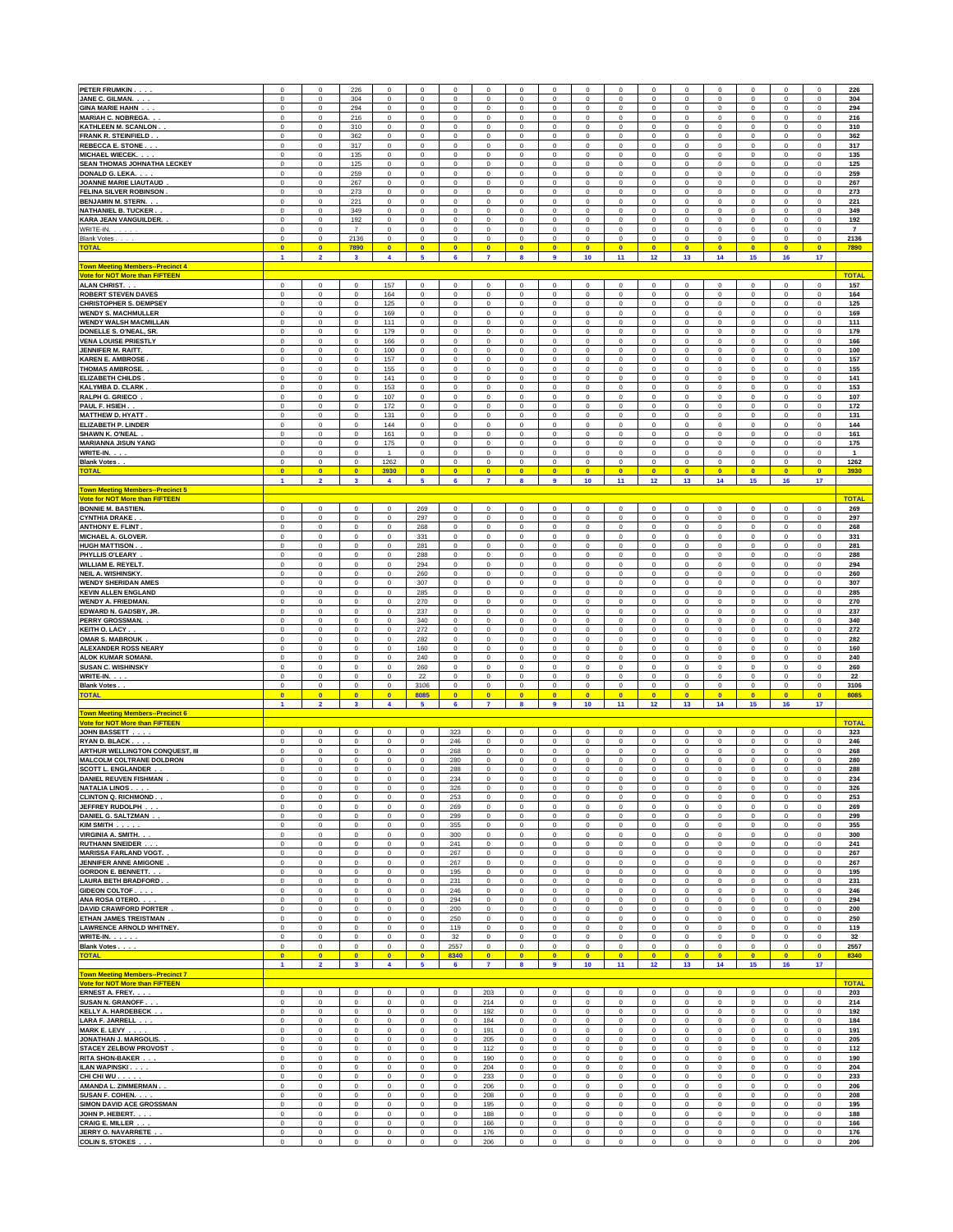| PETER FRUMKIN                                                             | $\mathbf 0$                    | $\mathbf 0$                      | 226                             | $\bf{0}$                             | $\mathbf 0$                | $\mathbf 0$                | 0                              | $\mathbf 0$                | $\mathbf 0$                                 | $\mathbf 0$                     | $\mathbf 0$                | 0                          | $\mathbf 0$                | $\mathbf 0$                | $\mathbf 0$             | $\mathbf 0$                        | 0                        | 226                 |
|---------------------------------------------------------------------------|--------------------------------|----------------------------------|---------------------------------|--------------------------------------|----------------------------|----------------------------|--------------------------------|----------------------------|---------------------------------------------|---------------------------------|----------------------------|----------------------------|----------------------------|----------------------------|-------------------------|------------------------------------|--------------------------|---------------------|
| JANE C. GILMAN. .                                                         | $\mathbf 0$                    | $\circ$                          | 304                             | $\pmb{0}$                            | $\mathbf 0$                | $\mathbf 0$                | $\mathbf 0$                    | $\mathbf 0$                | $\mathbf 0$                                 | $\mathsf 0$                     | $\mathbf 0$                | $\mathsf 0$                | $\mathsf 0$                | $\pmb{0}$                  | $\mathbf 0$             | $\mathbf 0$                        | $\mathbf 0$              | 304                 |
| <b>GINA MARIE HAHN.</b>                                                   | $\bf{0}$                       | $\circ$                          | 294                             | $\pmb{0}$                            | $\pmb{0}$                  | $\mathbf 0$                | $\mathbf 0$                    | $\mathbf 0$                | $\mathbf 0$                                 | $\mathsf 0$                     | $\mathbf 0$                | $\mathsf 0$                | $\mathbf 0$                | $\pmb{0}$                  | $\mathbf 0$             | $\mathbf 0$                        | $\mathbf 0$              | 294                 |
| <b>MARIAH C. NOBREGA</b>                                                  | $\bf{0}$                       | $\circ$                          | 216                             | $\mathbf 0$                          | $\pmb{0}$                  | $\mathbf 0$                | 0                              | $\mathbf 0$                | $\mathbf 0$                                 | $\mathsf 0$                     | $\mathbf 0$                | $\mathsf 0$                | $\mathbf 0$                | $\bf{0}$                   | $\mathbf 0$             | $\mathbf 0$                        | $\mathbf 0$              | 216                 |
| KATHLEEN M. SCANLON                                                       | $\bf{0}$                       | $\circ$                          | 310                             | $\mathbf 0$                          | $\mathbf 0$                | $\mathbf 0$                | 0                              | $\mathbf 0$                | $\mathbf 0$                                 | $\mathsf 0$                     | $\mathbf 0$                | $\mathsf 0$                | $\mathbf 0$                | $\bf{0}$                   | $\mathbf 0$             | $\mathbf 0$                        | $\mathbf 0$              | 310                 |
| <b>FRANK R. STEINFIELD</b>                                                | $\mathbf{0}$                   | $\circ$                          | 362                             | $\mathbf 0$                          | $\mathbf 0$                | $\mathbf 0$                | $\mathbf 0$                    | $\mathbf 0$                | $\mathbf 0$                                 | $\mathsf 0$                     | $\mathbf 0$                | $\mathsf 0$                | $\mathbf 0$                | $\mathbf 0$                | $\mathbf 0$             | $\mathbf 0$                        | $\mathbf 0$              | 362                 |
| <b>REBECCA E. STONE.</b>                                                  | $\mathbf{0}$                   | $\circ$                          | 317                             | $\mathbf 0$                          | $\mathbf 0$                | $\mathbf 0$                | $\mathbf 0$                    | $\mathbf 0$                | $\mathbf 0$                                 | $\mathsf 0$                     | $\mathbf 0$                | $\mathbf 0$                | $\mathbf 0$                | $\mathbf 0$                | $\mathbf 0$             | $\mathsf 0$                        | $\mathbf 0$              | 317                 |
| MICHAEL WIECEK.                                                           | $\mathbf{0}$                   | $\circ$                          | 135                             | $\mathbf 0$                          | $\mathbf 0$                | $\mathbf 0$                | $\mathbf 0$                    | $\mathbf 0$                | $\mathbf 0$                                 | $\mathsf 0$                     | $\mathbf 0$                | $\mathbf 0$                | $\mathbf 0$                | $\mathbf 0$                | $\mathbf 0$             | $\mathsf 0$                        | $\mathbf 0$              | 135                 |
| <b>SEAN THOMAS JOHNATHA LECKEY</b>                                        | $\mathbf{0}$                   | $\circ$                          | 125                             | $\mathbf 0$                          | $\mathbf 0$                | $\mathbf 0$                | $\mathbf 0$                    | $\mathbf 0$                | $\mathbf 0$                                 | $\mathsf 0$                     | $\mathbf 0$                | $\mathbf 0$                | $\mathbf 0$                | $\mathbf 0$                | $\bf{0}$                | $\mathsf 0$                        | $\mathbf 0$              | 125                 |
| DONALD G. LEKA.<br>JOANNE MARIE LIAUTAUD                                  | 0                              | $\,0\,$                          | 259                             | $\bf{0}$                             | 0                          | $\,0\,$                    | $\mathsf{O}\xspace$            | 0                          | $\mathbf 0$                                 | 0                               | $\mathbf 0$                | 0                          | $\,0\,$                    | $\pmb{0}$                  | 0                       | $\mathbf 0$                        | 0                        | 259                 |
| FELINA SILVER ROBINSON                                                    | 0                              | $\,$ 0                           | 267                             | $\pmb{0}$                            | 0                          | $\,0\,$                    | $\mathsf{O}\xspace$            | 0                          | $\bf{0}$                                    | 0                               | $\mathbf 0$                | 0                          | $\,0\,$                    | $\pmb{0}$                  | $\mathbf 0$             | $\mathbf 0$                        | 0                        | 267                 |
|                                                                           | 0                              | $\,$ 0                           | 273                             | $\pmb{0}$                            | $\mathbf 0$                | $\,0\,$                    | $\mathsf{O}\xspace$            | 0                          | $\bf{0}$                                    | 0                               | $\mathbf 0$                | 0                          | $\,0\,$                    | $\pmb{0}$                  | $\mathbf 0$             | $\mathbf 0$                        | 0                        | 273                 |
| BENJAMIN M. STERN. .                                                      | 0                              | $\,$ 0                           | 221                             | $\pmb{0}$                            | $\mathbf 0$                | $\,0\,$                    | $\mathsf{O}\xspace$            | 0                          | $\bf{0}$                                    | 0                               | $\mathbf 0$                | 0                          | $\,0\,$                    | $\pmb{0}$                  | $\mathbf 0$             | $\mathsf 0$                        | 0                        | 221                 |
| NATHANIEL B. TUCKER.                                                      | 0                              | $\,$ 0                           | 349                             | $\pmb{0}$                            | $\pmb{0}$                  | $\,0\,$                    | $\mathbf 0$                    | 0                          | $\bf{0}$                                    | 0                               | $\mathbf 0$                | 0                          | $\,0\,$                    | $\pmb{0}$                  | $\mathbf 0$             | $\mathsf 0$                        | 0                        | 349                 |
| KARA JEAN VANGUILDER.                                                     | 0                              | $\bf 0$                          | 192                             | $\pmb{0}$                            | $\pmb{0}$                  | $\,0\,$                    | $\mathbf 0$                    | 0                          | $\bf{0}$                                    | $\mathbf 0$                     | $\mathbf 0$                | 0                          | $\,0\,$                    | $\pmb{0}$                  | $\mathbf 0$             | $\mathsf 0$                        | 0                        | 192                 |
| WRITE-IN.                                                                 | 0                              | $\,$ 0                           | $\overline{\phantom{a}}$        | $\pmb{0}$                            | 0                          | $\,0\,$                    | $\mathbf 0$                    | 0                          | $\pmb{0}$                                   | 0                               | $\mathbf 0$                | 0                          | $\,0\,$                    | $\pmb{0}$                  | $\mathbf 0$             | $\mathsf 0$                        | 0                        | $\overline{7}$      |
| Blank Votes<br><b>TOTAL</b>                                               | 0                              | $\,0\,$                          | 2136                            | $\bf{0}$                             | 0                          | $\,0\,$                    | $\mathbf 0$                    | $\mathbf 0$                | $\pmb{0}$                                   | $\mathbf 0$                     | $\mathbf 0$                | 0                          | $\,0\,$                    | $\pmb{0}$                  | 0                       | $\mathsf 0$                        | 0                        | 2136                |
|                                                                           | $\bullet$<br>$\blacksquare$    | $\overline{0}$<br>$\overline{2}$ | 7890<br>$\overline{\mathbf{3}}$ | $\bullet$<br>$\overline{\mathbf{4}}$ | $\bullet$<br>5             | $\bullet$<br>6             | $\overline{\mathbf{0}}$<br>7   | $\bullet$<br>8             | $\overline{\mathbf{0}}$<br>$\boldsymbol{9}$ | $\bullet$<br>10                 | $\bullet$<br>11            | $\bullet$<br>12            | $\bullet$<br>13            | $\bullet$<br>14            | $\bullet$<br>15         | $\overline{\mathbf{0}}$<br>16      | $\bullet$<br>17          | 7890                |
| <b>Town Meeting Members--Precinct 4</b><br>Vote for NOT More than FIFTEEN |                                |                                  |                                 |                                      |                            |                            |                                |                            |                                             |                                 |                            |                            |                            |                            |                         |                                    |                          | <b>TOTAL</b>        |
| <b>ALAN CHRIST.</b>                                                       | 0                              | $\circ$                          | $\mathsf 0$                     | 157                                  | $\mathbf 0$                | $\mathbf 0$                | $\mathbf 0$                    | $\Omega$                   | $\mathbf 0$                                 | $\mathsf 0$                     | $\mathbf 0$                | $\mathsf 0$                | $\mathbf 0$                | $\bf{0}$                   | $\Omega$                | $\mathsf 0$                        | $\mathbf 0$              | 157                 |
| <b>ROBERT STEVEN DAVES</b>                                                | 0                              | $\circ$                          | $\mathsf 0$                     | 164                                  | $\mathbf 0$                | $\,0\,$                    | 0                              | $\mathbf 0$                | $\mathbf 0$                                 | $\mathsf 0$                     | $\pmb{0}$                  | $\pmb{0}$                  | $\,0\,$                    | $\pmb{0}$                  | $\Omega$                | $\mathsf 0$                        | $\mathbf 0$              | 164                 |
| CHRISTOPHER S. DEMPSEY<br><b>WENDY S. MACHMULLER</b>                      | 0                              | $\circ$<br>$\circ$               | $\mathsf 0$<br>$\mathbf 0$      | 125<br>169                           | $\pmb{0}$<br>$\pmb{0}$     | $\,0\,$                    | $\mathbf 0$<br>$\mathbf 0$     | $\mathbf 0$<br>$\mathbf 0$ | $\mathbf 0$<br>$\mathbf 0$                  | $\mathsf 0$<br>$\mathsf 0$      | $\mathbf 0$<br>$\mathbf 0$ | $\pmb{0}$<br>$\pmb{0}$     | $\,0\,$                    | $\pmb{0}$<br>$\pmb{0}$     | $\mathbf 0$<br>$\bf{0}$ | $\mathsf{O}\xspace$<br>$\circ$     | $\pmb{0}$<br>$\mathbf 0$ | 125                 |
| <b>WENDY WALSH MACMILLAN</b>                                              | 0<br>0                         | $\circ$                          | $\mathsf 0$                     | 111                                  | $\pmb{0}$                  | $\,0\,$<br>$\,0\,$         | $\mathbf 0$                    | $\mathbf 0$                | $\mathbf 0$                                 | $\mathsf 0$                     | $\pmb{0}$                  | $\pmb{0}$                  | $\,0\,$<br>$\,0\,$         | $\mathbf 0$                | $\bf{0}$                | $\circ$                            | $\mathbf 0$              | 169<br>111          |
| DONELLE S. O'NEAL, SR.                                                    | 0                              | $\circ$                          | $\mathsf 0$                     | 179                                  | $\pmb{0}$                  | $\,0\,$                    | $\mathbf 0$                    | $\mathbf 0$                | $\mathbf 0$                                 | $\mathsf 0$                     | $\pmb{0}$                  | $\pmb{0}$                  | $\,0\,$                    | $\mathbf 0$                | $\bf{0}$                | $\mathbf{0}$                       | $\mathbf 0$              | 179                 |
| <b>VENA LOUISE PRIESTLY</b>                                               | $\,0\,$                        | $\circ$                          | $\mathsf 0$                     | 166                                  | $\mathbf 0$                | $\,0\,$                    | $\mathbf 0$                    | $\mathbf 0$                | $\mathbf 0$                                 | $\mathsf 0$                     | $\pmb{0}$                  | $\mathbf 0$                | $\mathsf{O}\xspace$        | $\mathbf 0$                | $\mathbf 0$             | $\mathbf{0}$                       | $\mathbf 0$              | 166                 |
| JENNIFER M. RAITT                                                         | $\,0\,$                        | $\circ$                          | $\mathsf 0$                     | 100                                  | $\mathbf 0$                | $\bf{0}$                   | $\mathbf 0$                    | $\mathbf 0$                | $\mathbf 0$                                 | $\mathsf 0$                     | $\pmb{0}$                  | $\mathbf 0$                | $\mathsf 0$                | $\mathbf 0$                | $\mathbf 0$             | $\mathbf{0}$                       | $\mathbf 0$              | 100                 |
| <b>KAREN E. AMBROSE</b>                                                   | $\bf{0}$                       | $\circ$                          | $\mathbf 0$                     | 157                                  | $\pmb{0}$                  | $\pmb{0}$                  | $\mathbf 0$                    | $\mathbf 0$                | $\mathbf 0$                                 | $\mathsf 0$                     | $\pmb{0}$                  | $\pmb{0}$                  | $\mathbf 0$                | $\mathbf 0$                | $\mathbf 0$             | $\mathbf{0}$                       | $\mathbf 0$              | 157                 |
| <b>THOMAS AMBROSE.</b>                                                    | $\bf{0}$                       | $\circ$                          | $\mathbf 0$                     | 155                                  | $\pmb{0}$                  | $\bf{0}$                   | $\mathbf 0$                    | $\mathbf 0$                | $\mathbf 0$                                 | $\mathsf 0$                     | $\pmb{0}$                  | $\pmb{0}$                  | $\mathbf 0$                | $\mathbf 0$                | $\mathbf 0$             | $\mathbf{0}$                       | $\mathbf 0$              | 155                 |
| <b>ELIZABETH CHILDS</b>                                                   | $\bf{0}$                       | $\circ$                          | $\mathbf 0$                     | 141                                  | $\mathbf 0$                | $\bf{0}$                   | $\mathbf 0$                    | $\mathbf 0$                | $\mathbf 0$                                 | $\mathsf 0$                     | $\pmb{0}$                  | $\mathbf 0$                | $\mathbf 0$                | $\mathbf 0$                | $\mathbf 0$             | $\mathbf{0}$                       | $\mathbf 0$              | 141                 |
| <b>KALYMBA D. CLARK</b>                                                   | $\mathbf{0}$                   | $\circ$                          | $\mathbf 0$                     | 153                                  | $\mathbf 0$                | $\bf{0}$                   | $\mathbf 0$                    | $\mathbf 0$                | $\mathbf 0$                                 | $\mathsf 0$                     | $\mathbf 0$                | $\mathbf 0$                | $\mathbf 0$                | $\mathbf 0$                | $\mathbf 0$             | $\mathbf{0}$                       | $\mathbf 0$              | 153                 |
| RALPH G. GRIECO                                                           | $\mathbf{0}$                   | $\circ$                          | $\mathbf 0$                     | 107                                  | $\mathbf 0$                | $\bf{0}$                   | $\mathbf 0$                    | $\mathbf 0$                | $\mathbf 0$                                 | $\mathsf 0$                     | $\mathbf 0$                | $\mathbf 0$                | $\mathbf 0$                | $\mathbf 0$                | $\mathbf 0$             | $\mathbf{0}$                       | $\mathbf 0$              | 107                 |
| PAUL F. HSIEH                                                             | $\mathbf{0}$                   | $\circ$                          | $\mathbf 0$                     | 172                                  | $\mathbf 0$                | $\mathbf 0$                | $\mathbf 0$                    | $\mathbf 0$                | $\mathbf 0$                                 | $\Omega$                        | $\mathbf 0$                | $\mathbf 0$                | $\mathbf 0$                | $\mathbf 0$                | $\mathbf 0$             | $\circ$                            | $\mathbf 0$              | 172                 |
| <b>MATTHEW D. HYATT</b>                                                   | $\mathbf{0}$                   | $\circ$                          | $\mathbf 0$                     | 131                                  | $\mathbf 0$                | $\mathbf 0$                | $\mathbf 0$                    | $\mathbf 0$                | $\mathbf 0$                                 | $\Omega$                        | $\mathbf 0$                | $\mathbf 0$                | $\mathbf 0$                | $\mathbf 0$                | $\mathbf 0$             | $\circ$                            | $\mathbf 0$              | 131                 |
| <b>ELIZABETH P. LINDER</b>                                                | $\overline{0}$                 | $\circ$                          | $\mathbf 0$                     | 144                                  | $\mathbf 0$                | $\overline{0}$             | $\mathbf 0$                    | $\mathbf 0$                | $\mathbf 0$                                 | $\Omega$                        | $\overline{0}$             | $\mathbf 0$                | $\mathbf 0$                | $\mathbf 0$                | $\mathbf 0$             | $\mathbf{0}$                       | $\mathbf 0$              | 144                 |
| <b>SHAWN K. O'NEAL</b>                                                    | $\mathbf 0$<br>$\mathbf 0$     | $\circ$<br>$\circ$               | $\Omega$<br>$\Omega$            | 161<br>175                           | $\mathsf 0$<br>$\mathsf 0$ | $\mathbf 0$<br>$\mathbf 0$ | 0<br>$\mathbf 0$               | $\Omega$<br>$\Omega$       | $\mathbf 0$<br>$\mathbf 0$                  | $\Omega$<br>$\Omega$            | $\mathbf 0$                | $\mathsf 0$<br>$\mathbf 0$ | $\mathbf 0$<br>$\mathsf 0$ | $\pmb{0}$                  | $\Omega$<br>$\Omega$    | $\mathsf{O}\xspace$<br>$\mathsf 0$ | $\Omega$<br>$\Omega$     | 161<br>175          |
| <b>MARIANNA JISUN YANG</b><br>WRITE-IN.                                   | 0                              | $\circ$                          | $\Omega$                        | $\overline{1}$                       | $\mathsf 0$                | $\mathbf 0$                | $\mathbf 0$                    | $\Omega$                   | $\mathbf 0$                                 | $\Omega$                        | $\mathbf 0$<br>$\mathbf 0$ | $\mathbf 0$                | $\mathsf 0$                | $\pmb{0}$<br>$\pmb{0}$     | $\Omega$                | $\mathsf 0$                        | $\Omega$                 | $\mathbf{1}$        |
| <b>Blank Votes.</b>                                                       | $\mathbf 0$                    | $\mathsf 0$                      | $\mathbf 0$                     | 1262                                 | $\mathsf 0$                | $\mathbf 0$                | $\mathsf{o}\,$                 | $\Omega$                   | $\mathbf 0$                                 | $\Omega$                        | $\mathbf 0$                | $\mathbf 0$                | $\mathsf 0$                | $\mathbf 0$                | $\Omega$                | $\mathsf{O}\xspace$                | $\mathbf 0$              | 1262                |
| <b>TOTAL</b>                                                              | $\bullet$                      | $\overline{0}$                   | $\overline{0}$                  | 3930                                 | $\overline{0}$             | $\bullet$                  | $\overline{0}$                 | $\bullet$                  | $\overline{0}$                              | $\bullet$                       | $\bullet$                  | $\bullet$                  | $\overline{0}$             | $\bullet$                  | $\overline{0}$          | $\bullet$                          | $\bullet$                | 3930                |
| <b>Town Meeting Members--Precinct 5</b>                                   | $\overline{1}$                 | $\overline{2}$                   | $\overline{\mathbf{3}}$         | 4                                    | 5                          | $6\phantom{a}$             | $\overline{7}$                 | $\mathbf{a}$               | $\overline{9}$                              | 10 <sub>1</sub>                 | 11                         | 12                         | 13                         | 14                         | 15                      | 16                                 | 17                       |                     |
| Vote for NOT More than FIFTEEN<br><b>BONNIE M. BASTIEN.</b>               | $\mathbf 0$                    | $\circ$                          | $\Omega$                        | $\mathbf 0$                          | 269                        | $\Omega$                   | $\Omega$                       | $\Omega$                   | $\mathbf 0$                                 | $\Omega$                        | $\mathbf 0$                | $\Omega$                   | $\mathsf 0$                | $\mathbf 0$                | $\Omega$                | $\circ$                            | $\Omega$                 | <b>TOTAL</b><br>269 |
| <b>CYNTHIA DRAKE</b>                                                      | $\mathbf 0$                    | $\mathsf 0$                      | $\Omega$                        | $\pmb{0}$                            | 297                        | $\mathbf 0$                | 0                              | $\Omega$                   | $\mathbf 0$                                 | $\Omega$                        | $\mathbf 0$                | $\Omega$                   | $\mathbf 0$                | $\mathbf 0$                | $\Omega$                | $\mathsf 0$                        | $\Omega$                 | 297                 |
| <b>ANTHONY E. FLINT</b>                                                   | 0                              | $\mathsf 0$                      | $\Omega$                        | $\pmb{0}$                            | 268                        | $\mathbf 0$                | $\mathbf 0$                    | $\mathbf 0$                | $\mathbf 0$                                 | $\Omega$                        | $\mathbf 0$                | $\mathsf 0$                | $\mathbf 0$                | $\mathbf 0$                | $\Omega$                | $\mathsf 0$                        | $\Omega$                 | 268                 |
| <b>MICHAEL A. GLOVER</b>                                                  | $\mathbf 0$                    | $\circ$                          | $\Omega$                        | $\pmb{0}$                            | 331                        | $\mathbf 0$                | $\mathbf 0$                    | $\Omega$                   | $\mathbf 0$                                 | $\Omega$                        | $\mathbf 0$                | $\mathsf 0$                | $\mathbf 0$                | $\mathbf 0$                | $\Omega$                | $\mathsf 0$                        | $\Omega$                 | 331                 |
| <b>HUGH MATTISON</b>                                                      | $\mathbf 0$                    | $\circ$                          | $\Omega$                        | $^{\circ}$                           | 281                        | $\mathbf 0$                | $\mathbf 0$                    | $\Omega$                   | $\mathbf 0$                                 | $\Omega$                        | $\mathbf 0$                | $\Omega$                   | $\mathbf 0$                | $\mathbf 0$                | $\Omega$                | $\mathbf 0$                        | $\Omega$                 | 281                 |
| PHYLLIS O'LEARY                                                           | $\mathbf 0$                    | $^{\circ}$                       | $\Omega$                        | $^{\circ}$                           | 288                        | $\mathbf 0$                | $\Omega$                       | $\Omega$                   | $\mathbf 0$                                 | $\Omega$                        | $\mathbf 0$                | $\Omega$                   | $\mathbf 0$                | $^{\circ}$                 | $\Omega$                | $\mathbf 0$                        | $\Omega$                 | 288                 |
| <b>WILLIAM E. REYELT</b>                                                  | $^{\circ}$                     | $^{\circ}$                       | $\Omega$                        | $^{\circ}$                           | 294                        | $\mathbf 0$                | $\Omega$                       | $\Omega$                   | $\Omega$                                    | $\Omega$                        | $\mathbf 0$                | $\Omega$                   | $\Omega$                   | $^{\circ}$                 | $\Omega$                | $\Omega$                           | $\Omega$                 | 294                 |
| <b>NEIL A. WISHINSKY</b>                                                  | $^{\circ}$                     | $\Omega$                         | $\Omega$                        | $^{\circ}$                           | 260                        | $\Omega$                   | $\Omega$                       | $\Omega$                   | $\Omega$                                    | $\Omega$                        | $\mathbf 0$                | $\Omega$                   | $\Omega$                   | $^{\circ}$                 | $\Omega$                | $\Omega$                           | $\Omega$                 | 260                 |
| <b>WENDY SHERIDAN AMES</b>                                                | $^{\circ}$                     | $\Omega$                         | $\Omega$                        | $^{\circ}$                           | 307                        | $\Omega$                   | $\Omega$                       | $\Omega$                   | $\Omega$                                    | $\Omega$                        | $\mathbf 0$                | $\Omega$                   | $\Omega$                   | $^{\circ}$                 | $\Omega$                | $\Omega$                           | $\Omega$                 | 307                 |
| <b>KEVIN ALLEN ENGLAND</b>                                                | $^{\circ}$                     | $\Omega$                         | $\Omega$                        | $^{\circ}$                           | 285                        | $\Omega$                   | $\Omega$                       | $\Omega$                   | $\Omega$                                    | $\Omega$                        | $\mathbf 0$                | $\Omega$                   | $\Omega$                   | $^{\circ}$                 | $\Omega$                | $\Omega$                           | $\Omega$                 | 285                 |
| <b>WENDY A. FRIEDMAN</b>                                                  | $^{\circ}$                     | $\Omega$                         | $\Omega$                        | $^{\circ}$                           | 270                        | $\Omega$                   | $\Omega$                       | $\Omega$                   | $\Omega$                                    | $\Omega$                        | $\mathbf 0$                | $\Omega$                   | $\Omega$                   | $\Omega$                   | $\Omega$                | $\Omega$                           | $\Omega$                 | 270                 |
| EDWARD N. GADSBY, JR                                                      | $\Omega$                       | $\Omega$                         | $\Omega$                        | $^{\circ}$                           | 237                        | $\Omega$                   | $\Omega$                       | $\Omega$                   | $\Omega$                                    | $\Omega$                        | $\mathbf 0$                | $\Omega$                   | $\Omega$                   | $\Omega$                   | $\Omega$                | $\Omega$                           | $\Omega$                 | 237                 |
| PERRY GROSSMAN                                                            | $\Omega$                       | $\Omega$                         | $\Omega$                        | $^{\circ}$                           | 340                        | $\Omega$                   | $\Omega$                       | $\Omega$                   | $\Omega$                                    | $\Omega$                        | $\Omega$                   | $\Omega$                   | $\Omega$                   | $\Omega$                   | $\Omega$                | $\Omega$                           | $\Omega$                 | 340                 |
| <b>KEITH O. LACY</b>                                                      | $\Omega$                       | $\Omega$                         | $\Omega$                        | $\bf{0}$                             | 272                        | $\Omega$                   | $\Omega$                       | $\Omega$                   | $\Omega$                                    | $\Omega$                        | $\Omega$                   | $\Omega$                   | $\Omega$                   | $\Omega$                   | $\Omega$                | $\Omega$                           | $\Omega$                 | 272                 |
| <b>OMAR S. MABROUK</b>                                                    | $\Omega$                       | $\Omega$                         | $\Omega$                        | $\bf{0}$                             | 282                        | $\Omega$                   | $\Omega$                       | $\Omega$                   | $\Omega$                                    | $\Omega$                        | $\Omega$                   | $\Omega$                   | $\Omega$                   | $\Omega$                   | $\Omega$                | $\Omega$                           | $\Omega$                 | 282                 |
| <b>ALEXANDER ROSS NEARY</b>                                               | $\Omega$                       | $\Omega$                         | $\Omega$                        | $\Omega$                             | 160                        | $\Omega$                   | $\Omega$                       | $\Omega$                   | $\Omega$                                    | $\Omega$                        | $\Omega$                   | $\Omega$                   | $\Omega$                   | $\Omega$                   | $\Omega$                | $\Omega$                           | $\Omega$                 | 160                 |
| <b>ALOK KUMAR SOMANI</b>                                                  | $\Omega$                       | $\Omega$                         | $\Omega$                        | $\Omega$                             | 240                        | $\Omega$                   | $\Omega$                       | $\Omega$                   | $\Omega$                                    | $\Omega$                        | $\Omega$                   | $\Omega$                   | $\Omega$                   | $\Omega$                   | $\Omega$                | $\Omega$                           | $\Omega$                 | 240                 |
| <b>SUSAN C. WISHINSKY</b>                                                 | $\Omega$                       | $\Omega$                         | $\Omega$                        | $\Omega$                             | 260                        | $\Omega$                   | $\Omega$                       | $\Omega$                   | $\Omega$                                    | $\Omega$                        | $\Omega$                   | $\Omega$                   | $\Omega$                   | $\mathbf 0$                | $\Omega$                | $\Omega$                           | $\Omega$                 | 260                 |
| <b>WRITE-IN.</b>                                                          | $\Omega$                       | $\Omega$                         | $\Omega$                        | $\Omega$                             | 22                         | $\Omega$                   | $\Omega$                       | $\Omega$                   | $\Omega$                                    | $\Omega$                        | $\Omega$                   | $\Omega$                   | $\Omega$                   | $\mathbf 0$                | $\Omega$                | $\Omega$                           | $\Omega$                 | 22                  |
| <b>Blank Votes</b>                                                        | $\mathbf 0$                    | $\mathsf 0$                      | $\mathbf 0$                     | $\mathbf 0$                          | 3106                       | $\mathbf 0$                | 0                              | $\mathbf 0$                | $\mathbf 0$                                 | $\mathsf 0$                     | $\mathbf 0$                | 0                          | $\mathsf 0$                | $\mathbf 0$                | $\mathbf 0$             | $\mathbf 0$                        | $\mathsf 0$              | 3106                |
| <b>TOTAL</b>                                                              | $\overline{0}$<br>$\mathbf{1}$ | $\overline{0}$<br>$\overline{2}$ | $\bullet$<br>$\mathbf{3}$       | $\bullet$<br>$\blacktriangleleft$    | 8085<br>5                  | $\overline{0}$<br>6        | $\overline{0}$<br>$\mathbf{7}$ | $\overline{0}$<br>8        | $\overline{0}$<br>$\boldsymbol{9}$          | $\mathbf{0}$<br>10 <sub>1</sub> | $\bullet$<br>11            | $\overline{0}$<br>12       | $\overline{0}$<br>13       | $\overline{0}$<br>14       | $\mathbf{0}$<br>15      | $\overline{0}$<br>16               | $\bullet$<br>17          | 8085                |
| own Meeting Members--Precinct 6<br>ote for NOT More than FIFTEEN          |                                |                                  |                                 |                                      |                            |                            |                                |                            |                                             |                                 |                            |                            |                            |                            |                         |                                    |                          | <b>TOTAL</b>        |
| <b>JOHN BASSETT</b>                                                       | $\mathbf 0$                    | $\circ$                          | $\mathsf 0$                     | $\mathbf 0$                          | $\mathsf 0$                | 323                        | 0                              | $\bf{0}$                   | $\mathbf 0$                                 | $\mathsf 0$                     | $\mathbf 0$                | $\mathsf 0$                | $\mathsf 0$                | $\mathbf 0$                | $\mathbf 0$             | $\mathsf 0$                        | $\mathbf 0$              | 323                 |
| <b>RYAN D. BLACK</b>                                                      | $\mathbf 0$                    | $\mathbf 0$                      | $\mathsf 0$                     | $\bf{0}$                             | $\mathsf 0$                | 246                        | 0                              | $\Omega$                   | $\mathbf 0$                                 | $\mathbf 0$                     | $\mathbf 0$                | $\mathsf 0$                | $\mathsf 0$                | $\mathbf 0$                | $\mathsf 0$             | $\mathsf 0$                        | $\mathbf 0$              | 246                 |
| ARTHUR WELLINGTON CONQUEST, III                                           | $\mathbf 0$                    | $\mathbf 0$                      | $\mathbf 0$                     | $\mathbf 0$                          | $\mathsf 0$                | 268                        | 0                              | $\mathbf 0$                | $\mathbf 0$                                 | 0                               | $\mathbf 0$                | $\mathsf 0$                | $\mathsf 0$                | $\mathsf 0$                | $\mathbf 0$             | $\mathbf 0$                        | $\mathbf 0$              | 268                 |
| <b>MALCOLM COLTRANE DOLDRON</b>                                           | $\mathbf 0$                    | $\mathbf 0$                      | $\mathsf 0$                     | $\mathbf 0$                          | $\mathsf 0$                | 280                        | 0                              | $\mathbf 0$                | $\mathbf 0$                                 | 0                               | $\mathsf 0$                | $\mathsf 0$                | $\mathsf 0$                | $\mathbf 0$                | $\mathsf 0$             | $\mathbf 0$                        | $\mathbf 0$              | 280                 |
| <b>SCOTT L. ENGLANDER</b>                                                 | $\mathbf 0$                    | $\mathbf 0$                      | $\mathbf 0$                     | $\bf{0}$                             | $\mathsf 0$                | 288                        | 0                              | $\mathbf 0$                | $\mathbf 0$                                 | 0                               | $\mathsf 0$                | $\mathsf 0$                | $\mathsf 0$                | $\mathbf 0$                | $\mathsf 0$             | $\mathbf 0$                        | $\mathbf 0$              | 288                 |
| <b>DANIEL REUVEN FISHMAN</b>                                              | $^{\circ}$                     | $\mathbf 0$                      | $\Omega$                        | $\mathbf 0$                          | 0                          | 234                        | $\mathbf{0}$                   | $\Omega$                   | $\mathbf 0$                                 | $\Omega$                        | $\mathbf 0$                | 0                          | $^{\circ}$                 | $^{\circ}$                 | $\Omega$                | $\Omega$                           | $\mathbf 0$              | 234                 |
| NATALIA LINOS.                                                            | $\mathbf 0$                    | $\mathbf 0$                      | $\mathbf 0$                     | $\mathbf 0$                          | $\mathsf 0$                | 326                        | 0                              | $\mathbf 0$                | $\mathbf 0$                                 | $\mathsf 0$                     | $\mathsf 0$                | $\mathsf 0$                | $\mathsf 0$                | $\mathbf 0$                | $\mathbf 0$             | $\mathbf 0$                        | $\mathbf 0$              | 326                 |
| CLINTON Q. RICHMOND                                                       | $\mathbf 0$                    | $\mathsf 0$                      | $\mathbf 0$                     | $\mathbf 0$                          | 0                          | 253                        | 0                              | $\mathbf 0$                | $\mathbf 0$                                 | $\mathsf 0$                     | $\mathbf 0$                | 0                          | $\mathsf 0$                | $\mathbf 0$                | $\mathbf 0$             | $\mathbf 0$                        | $\mathbf 0$              | 253                 |
| JEFFREY RUDOLPH.                                                          | $\mathbf 0$                    | $\mathbf 0$                      | $\mathbf 0$                     | $\mathbf 0$                          | 0                          | 269                        | 0                              | $\mathbf 0$                | $\mathbf 0$                                 | $\mathsf 0$                     | $\mathbf 0$                | 0                          | $\mathsf 0$                | $\mathbf 0$                | $\mathbf 0$             | $\mathbf 0$                        | $\mathbf 0$              | 269                 |
| DANIEL G. SALTZMAN                                                        | $\mathbf 0$                    | $\mathbf 0$                      | $\mathbf 0$                     | $\mathbf 0$                          | 0                          | 299                        | 0                              | $\mathbf 0$                | $\mathbf 0$                                 | $\mathsf 0$                     | $\mathbf 0$                | 0                          | $\mathsf 0$                | $\mathbf 0$                | $\mathbf 0$             | $\mathbf 0$                        | $\mathbf 0$              | 299                 |
| KIM SMITH                                                                 | $\mathbf 0$                    | $\mathsf 0$                      | $\mathbf 0$                     | $\mathbf 0$                          | 0                          | 355                        | 0                              | $\mathbf 0$                | $\mathbf 0$                                 | $\mathsf 0$                     | $\mathbf 0$                | 0                          | $\mathsf 0$                | $\mathbf 0$                | $\mathbf 0$             | $\mathbf 0$                        | $\mathbf 0$              | 355                 |
| <b>VIRGINIA A. SMITH.</b>                                                 | $\mathbf 0$                    | $\mathsf 0$                      | $\mathbf 0$                     | $\mathbf 0$                          | 0                          | 300                        | 0                              | $\mathbf 0$                | $\mathbf 0$                                 | $\mathsf 0$                     | $\mathbf 0$                | 0                          | $\mathsf 0$                | $\mathbf 0$                | $\mathbf 0$             | $\mathsf 0$                        | $\mathbf 0$              | 300                 |
| <b>RUTHANN SNEIDER</b>                                                    | $\mathbf 0$                    | $\mathsf 0$                      | $\mathbf 0$                     | $\mathbf 0$                          | 0                          | 241                        | 0                              | $\mathbf 0$                | $\mathbf 0$                                 | $\mathsf 0$                     | $\mathbf 0$                | 0                          | $\mathsf 0$                | $\mathbf 0$                | $\mathbf 0$             | $\mathsf 0$                        | $\mathbf 0$              | 241                 |
| <b>MARISSA FARLAND VOGT.</b>                                              | $\mathbf 0$                    | $\mathsf 0$                      | $\mathbf 0$                     | $\mathbf 0$                          | 0                          | 267                        | 0                              | $\mathbf 0$                | $\mathbf 0$                                 | $\mathsf 0$                     | $\mathbf 0$                | 0                          | $\mathsf 0$                | $\mathbf 0$                | $\mathbf 0$             | $\mathsf 0$                        | $\mathbf 0$              | 267                 |
| JENNIFER ANNE AMIGONE                                                     | $\mathbf 0$                    | $\mathsf 0$                      | $\mathbf 0$                     | $\mathbf 0$                          | 0                          | 267                        | 0                              | $\mathbf 0$                | $\mathbf 0$                                 | $\mathsf 0$                     | $\mathbf 0$                | 0                          | $\mathsf 0$                | $\mathbf 0$                | $\mathbf 0$             | $\mathsf 0$                        | $\mathbf 0$              | 267                 |
| <b>GORDON E. BENNETT</b>                                                  | $\mathbf 0$                    | $\mathsf 0$                      | $\mathbf 0$                     | $\mathbf 0$                          | 0                          | 195                        | 0                              | $\mathbf 0$                | $\mathbf 0$                                 | $\mathsf 0$                     | $\mathbf 0$                | 0                          | $\mathsf 0$                | $\mathbf 0$                | $\mathbf 0$             | $\mathbf 0$                        | $\mathbf 0$              | 195                 |
| <b>LAURA BETH BRADFORD.</b>                                               | $\mathbf 0$                    | $\mathsf 0$                      | $\mathbf 0$                     | $\mathbf 0$                          | 0                          | 231                        | 0                              | $\mathbf 0$                | $\mathbf 0$                                 | $\mathsf 0$                     | $\mathbf 0$                | 0                          | $\mathsf 0$                | $\mathbf 0$                | $\mathbf 0$             | $\mathsf 0$                        | $\mathbf 0$              | 231                 |
| GIDEON COLTOF.                                                            | $\mathbf 0$                    | $\mathsf 0$                      | $\mathbf 0$                     | $\mathbf 0$                          | 0                          | 246                        | 0                              | $\mathbf 0$                | $\mathbf 0$                                 | $\mathsf 0$                     | $\mathbf 0$                | 0                          | $\mathsf 0$                | $\mathbf 0$                | $\mathbf 0$             | $\mathsf 0$                        | $\mathbf 0$              | 246                 |
| ANA ROSA OTERO.                                                           | $\mathbf 0$                    | $\mathsf 0$                      | $\mathbf 0$                     | $\mathbf 0$                          | 0                          | 294                        | 0                              | $\mathbf 0$                | $\mathbf 0$                                 | $\mathsf 0$                     | $\mathbf 0$                | 0                          | $\mathsf 0$                | $\mathbf 0$                | $\mathbf 0$             | $\mathsf 0$                        | $\mathbf 0$              | 294                 |
| <b>DAVID CRAWFORD PORTER</b>                                              | $\mathbf 0$                    | $\mathsf 0$                      | $\mathbf 0$                     | $\mathbf 0$                          | 0                          | 200                        | 0                              | $\mathbf 0$                | $\mathbf 0$                                 | $\mathsf 0$                     | $\mathbf 0$                | 0                          | $\mathsf 0$                | $\mathbf 0$                | $\mathbf 0$             | $\mathsf 0$                        | $\mathbf 0$              | 200                 |
| ETHAN JAMES TREISTMAN                                                     | $\mathbf 0$                    | $\mathbf 0$                      | $\mathbf 0$                     | $\mathbf 0$                          | 0                          | 250                        | 0                              | $\mathbf 0$                | $\mathbf 0$                                 | $\mathsf 0$                     | $\mathbf 0$                | 0                          | $\mathsf 0$                | $\mathbf 0$                | $\mathbf 0$             | $\mathsf 0$                        | $\mathbf 0$              | 250                 |
| <b>LAWRENCE ARNOLD WHITNEY.</b>                                           | $\mathbf 0$                    | $\mathbf 0$                      | $\mathbf 0$                     | $\mathbf 0$                          | 0                          | 119                        | 0                              | $\mathbf 0$                | $\mathbf 0$                                 | $\mathsf 0$                     | $\mathbf 0$                | 0                          | $\mathsf 0$                | $\mathbf 0$                | $\mathbf 0$             | $\mathsf 0$                        | $\mathbf 0$              | 119                 |
| WRITE-IN.                                                                 | $\mathbf 0$                    | $\mathsf 0$                      | $\mathbf 0$                     | $\mathbf 0$                          | 0                          | 32                         | 0                              | $\mathbf 0$                | $\mathbf 0$                                 | $\mathsf 0$                     | $\mathbf 0$                | 0                          | $\mathsf 0$                | $\mathbf 0$                | $\mathbf 0$             | $\mathsf 0$                        | $\mathbf 0$              | 32                  |
| Blank Votes                                                               | $\mathbf 0$                    | $\mathbf 0$                      | $\mathbf 0$                     | $\mathbf 0$                          | 0                          | 2557                       | $\mathsf{o}\,$                 | $\pmb{0}$                  | $\,0\,$                                     | $\mathsf{O}\xspace$             | $\mathbf 0$                | 0                          | $\mathbf 0$                | $\mathbf 0$                | $\mathbf 0$             | $\mathsf{O}\xspace$                | $\mathbf 0$              | 2557                |
| <b>TOTAL</b>                                                              | $\bullet$                      | $\bullet$                        | $\bullet$                       | $\bullet$                            | $\pmb{0}$                  | 8340                       | $\bullet$                      | $\bullet$                  | $\bullet$                                   | $\bullet$                       | $\bullet$                  | $\bullet$                  | $\bullet$                  | $\bullet$                  | $\overline{0}$          | $\bullet$                          | $\bullet$                | 8340                |
|                                                                           | $\blacksquare$                 | $\overline{\mathbf{2}}$          | 3                               | $\blacktriangleleft$                 | $\overline{\mathbf{5}}$    | 6                          | $\overline{7}$                 | 8                          | $\overline{9}$                              | 10                              | 11                         | 12                         | 13                         | 14                         | 15                      | 16                                 | 17                       |                     |
| own Meeting Members--Precinct 7<br>ote for NOT More than FIFTEEN          |                                |                                  |                                 |                                      |                            |                            |                                |                            |                                             |                                 |                            |                            |                            |                            |                         |                                    |                          | <b>TOTAL</b>        |
| ERNEST A. FREY.                                                           | $\mathbf 0$                    | $\mathbb O$                      | $\mathbf 0$                     | $\mathbf 0$                          | $\mathsf 0$                | $^{\circ}$                 | 203                            | $\mathbf 0$                | $\mathbf 0$                                 | $\mathsf 0$                     | $\mathbf 0$                | $\mathbf 0$                | $\mathsf 0$                | $\mathbf 0$                | $\mathbf 0$             | $\mathbf 0$                        | $\mathbf 0$              | 203                 |
| SUSAN N. GRANOFF                                                          | $\mathbf 0$                    | $\,0\,$                          | $\mathbf 0$                     | $\mathbf 0$                          | 0                          | $\mathbf 0$                | 214                            | $\pmb{0}$                  | $\mathbf 0$                                 | $\mathsf 0$                     | $\mathbf 0$                | 0                          | $\mathbf 0$                | $\mathbf 0$                | $\mathbf 0$             | $\,0\,$                            | $\mathbf 0$              | 214                 |
| KELLY A. HARDEBECK .                                                      | 0                              | $\,0\,$                          | $\mathbf 0$                     | $\mathbf 0$                          | 0                          | $\mathbf 0$                | 192                            | $\pmb{0}$                  | $\mathbf 0$                                 | $\mathsf 0$                     | $\mathbf 0$                | 0                          | $\mathbf 0$                | $\mathbf 0$                | $\mathbf 0$             | $\,$ 0                             | $\mathbf 0$              | 192                 |
| LARA F. JARRELL.                                                          | $\mathbf 0$                    | $\,0\,$                          | $\mathbf 0$                     | $\mathbf 0$                          | 0                          | $\mathbf 0$                | 184                            | $\pmb{0}$                  | $\mathbf 0$                                 | $\mathbf 0$                     | $\mathbf 0$                | 0                          | $\mathbf 0$                | $\mathbf 0$                | $\mathbf 0$             | $\,$ 0                             | 0                        | 184                 |
| MARK E. LEVY                                                              | $\mathbf 0$                    | $\,0\,$                          | $\mathbf 0$                     | $\pmb{0}$                            | 0                          | $\mathbf 0$                | 191                            | $\bf{0}$                   | $\mathbf 0$                                 | $\mathbf 0$                     | $\mathbf 0$                | 0                          | $\,0\,$                    | $\mathbf 0$                | $\mathbf 0$             | $\,0\,$                            | 0                        | 191                 |
| JONATHAN J. MARGOLIS.                                                     | $\mathbf 0$                    | $\,0\,$                          | $\mathbf 0$                     | $\pmb{0}$                            | 0                          | $\mathbf 0$                | 205                            | $\bf{0}$                   | $\mathbf 0$                                 | $\mathbf 0$                     | $\mathbf 0$                | 0                          | $\mathbf 0$                | $\mathbf 0$                | $\mathbf 0$             | $\,$ 0                             | 0                        | 205                 |
| STACEY ZELBOW PROVOST.                                                    | $\mathbf 0$                    | $\,$ 0                           | $\mathbf 0$                     | $\pmb{0}$                            | 0                          | $\mathbf 0$                | 112                            | $\bf{0}$                   | $\mathbf 0$                                 | $\mathbf 0$                     | $\mathbf 0$                | 0                          | $\mathbf 0$                | $\mathbf 0$                | $\mathbf 0$             | $\,$ 0                             | 0                        | 112                 |
| RITA SHON-BAKER<br>AN WAPINSKI<br>π                                       | $\mathbf 0$<br>0               | $\,$ 0<br>$\,$ 0                 | $\mathbf 0$<br>$\mathbf 0$      | $\pmb{0}$<br>$\pmb{0}$               | 0<br>0                     | 0<br>0                     | 190<br>204                     | $\bf{0}$<br>$\bf{0}$       | $\bf{0}$<br>$\bf{0}$                        | $\mathbf 0$<br>$\mathbf 0$      | $\mathbf 0$<br>$\mathbf 0$ | 0<br>0                     | $\,0\,$<br>$\,0\,$         | $\mathbf 0$<br>$\mathbf 0$ | $\mathbf 0$<br>0        | $\,0\,$<br>$\,0\,$                 | 0<br>0                   | 190<br>204          |
| CHICHIWU                                                                  | 0                              | $\,0\,$                          | $\mathbf 0$                     | $\pmb{0}$                            | 0                          | 0                          | 233                            | $\bf{0}$                   | $\bf{0}$                                    | $\mathbf 0$                     | $\mathbf 0$                | 0                          | $\,0\,$                    | $\mathbf 0$                | 0                       | $\,0\,$                            | 0                        | 233                 |
| AMANDA L. ZIMMERMAN.                                                      | 0                              | $\,$ 0                           | $\mathbf 0$                     | $\bf{0}$                             | 0                          | 0                          | 206                            | $\bf{0}$                   | $\bf{0}$                                    | $\mathbf 0$                     | $\mathbf 0$                | 0                          | $\,0\,$                    | $\mathbf 0$                | 0                       | 0                                  | 0                        | 206                 |
| SUSAN F. COHEN.                                                           | 0                              | $\,0\,$                          | 0                               | $\bf{0}$                             | 0                          | 0                          | 208                            | $\bf{0}$                   | $\bf{0}$                                    | $\mathbf 0$                     | $\mathbf 0$                | 0                          | $\,0\,$                    | $\mathbf 0$                | 0                       | 0                                  | 0                        | 208                 |
| SIMON DAVID ACE GROSSMAN                                                  | 0                              | $\,0\,$                          | $\,$ 0                          | $\mathbf 0$                          | 0                          | 0                          | 195                            | $\mathbf 0$                | $\bf{0}$                                    | $\mathbf 0$                     | $\mathbf 0$                | 0                          | $\,0\,$                    | $\mathbf 0$                | 0                       | $\,$ 0                             | 0                        | 195                 |
| JOHN P. HEBERT.                                                           | $\,0\,$                        | $\,0\,$                          | $\mathsf 0$                     | $\mathbf 0$                          | 0                          | $\,0\,$                    | 188                            | $\mathbf 0$                | $\mathbf 0$                                 | $\mathbf 0$                     | $\mathbf 0$                | $\mathbf 0$                | $\mathsf 0$                | $\mathbf 0$                | $\,0\,$                 | $\,0\,$                            | $\pmb{0}$                | 188                 |
| CRAIG E. MILLER                                                           | $\mathbf 0$                    | $\mathbf 0$                      | $\mathsf 0$                     | $\mathbf 0$                          | $\mathbf 0$                | $\mathbf 0$                | 166                            | $\bf{0}$                   | $\mathbf 0$                                 | $\mathbf 0$                     | $\mathbf 0$                | $\mathbf 0$                | $\mathsf 0$                | $\mathbf 0$                | $\mathbf 0$             | $\mathbf 0$                        | $\pmb{0}$                | 166                 |
| JERRY O. NAVARRETE.                                                       | $\bf{0}$                       | $\mathbf 0$                      | $\mathbf 0$                     | $\bf{0}$                             | $\pmb{0}$                  | $\bf{0}$                   | 176                            | $\bf{0}$                   | $\mathbf 0$                                 | $\mathsf 0$                     | $\mathbf 0$                | $\pmb{0}$                  | $\mathbf 0$                | $\pmb{0}$                  | $\mathbf 0$             | $\mathbf 0$                        | $\pmb{0}$                | 176                 |
| <b>COLIN S. STOKES</b>                                                    | $\bf{0}$                       | $\,0\,$                          | $\mathbf 0$                     | $\mathbf 0$                          | $\mathbf 0$                | $\mathbf 0$                | 206                            | $\mathbf 0$                | $\mathbf 0$                                 | $\mathsf{O}\xspace$             | $\mathbf 0$                | $\mathbf 0$                | $\mathsf{O}\xspace$        | $\mathbf 0$                | $\mathbf 0$             | $\mathsf{O}\xspace$                | $\mathbf 0$              | 206                 |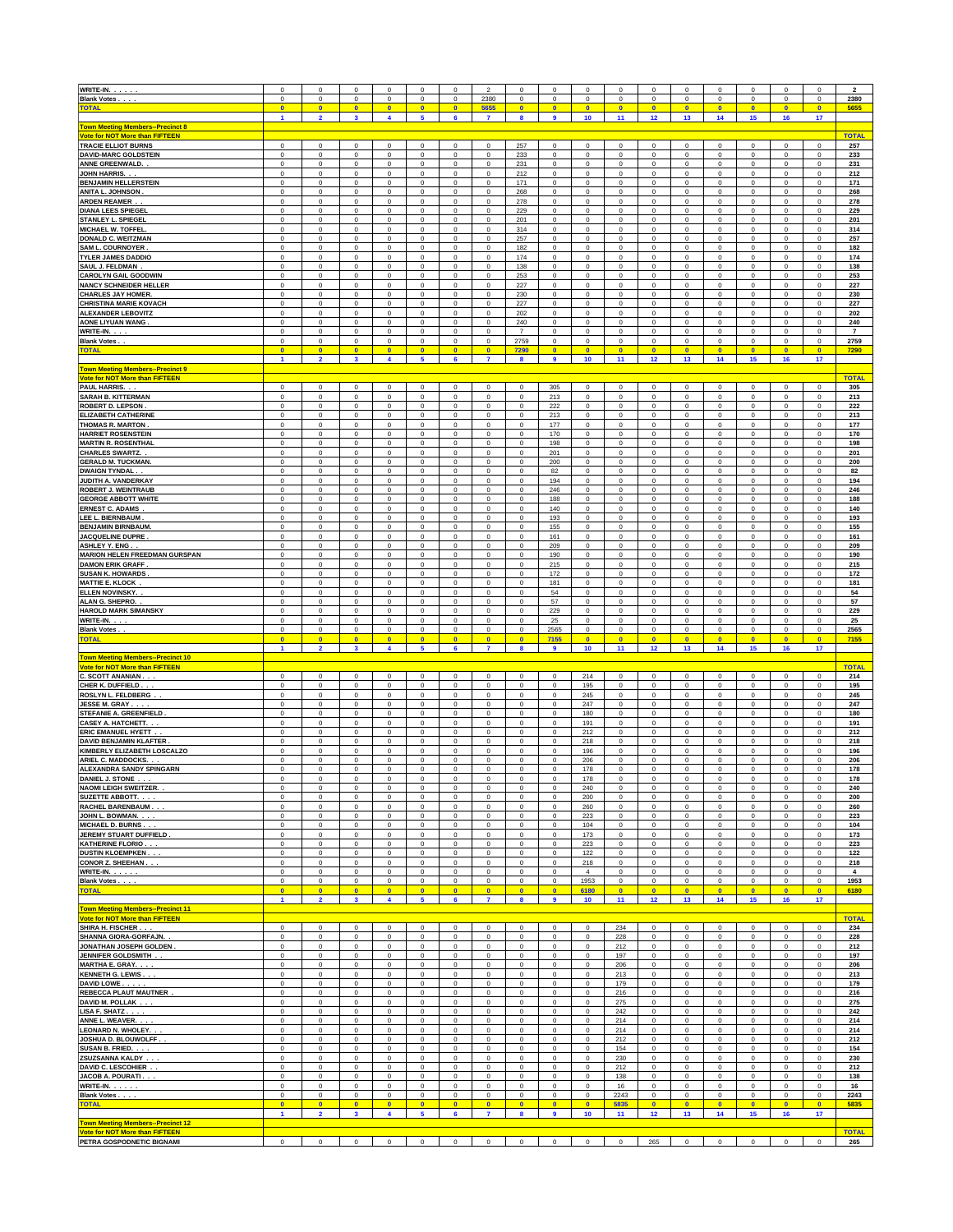| WRITE-IN.                                                                  | 0                                 | $^{\circ}$                  | $^{\circ}$                           | $^{\circ}$                           | 0                          | $^{\circ}$                  | $\overline{2}$              | $^{\circ}$                 | $^{\circ}$                    | $\Omega$                   | $\Omega$                   | $\Omega$                   | $^{\circ}$                    | $^{\circ}$                 | $\Omega$                  | 0                          | $\Omega$                   | $\overline{2}$      |
|----------------------------------------------------------------------------|-----------------------------------|-----------------------------|--------------------------------------|--------------------------------------|----------------------------|-----------------------------|-----------------------------|----------------------------|-------------------------------|----------------------------|----------------------------|----------------------------|-------------------------------|----------------------------|---------------------------|----------------------------|----------------------------|---------------------|
| <b>Blank Votes.</b>                                                        | $\mathbf 0$                       | $\mathbf 0$                 | $\mathsf 0$                          | $\mathbf 0$                          | $^{\circ}$                 | $^{\circ}$                  | 2380                        | $\mathbf 0$                | $\mathbf 0$                   | $\mathbf 0$                | $\mathbf 0$                | $\mathbf 0$                | $\mathbf 0$                   | $\mathbf 0$                | $\mathbf 0$               | $\mathbf 0$                | $\pmb{0}$                  | 2380                |
| <b>TOTAI</b>                                                               | $\bullet$                         | $\overline{0}$              | $\bullet$                            | $\overline{0}$                       | $\mathbf{0}$               | $\mathbf{0}$                | 5655                        | $\mathbf{0}$               | $\overline{0}$                | $\Omega$                   | $\mathbf{0}$               | $\overline{0}$             | $\overline{0}$                | $\overline{\mathbf{0}}$    | $\Omega$                  | $\overline{0}$             | $\bullet$                  | 5655                |
| <b>Town Meeting Members--Precinct 8</b>                                    | $\mathbf{1}$                      | $\overline{2}$              | $\overline{\mathbf{3}}$              | $\overline{\mathbf{4}}$              | $\overline{\mathbf{5}}$    | $6\phantom{a}$              | 7                           | 8                          | $\overline{\mathbf{9}}$       | 10                         | 11                         | 12                         | 13                            | 14                         | 15                        | 16                         | 17                         |                     |
| <b>Vote for NOT More than FIFTEEN</b><br><b>TRACIE ELLIOT BURNS</b>        | $\overline{0}$                    | $\mathsf 0$                 | $\mathbf 0$                          | $\mathbf 0$                          | $^{\circ}$                 | $^{\circ}$                  | $\mathbf 0$                 | 257                        | $\mathbf 0$                   | $\mathsf 0$                | $\mathbf 0$                | 0                          | $\mathsf 0$                   | $\mathbf{0}$               | $\mathbf 0$               | $\mathsf 0$                | $\mathbf 0$                | <b>TOTAL</b><br>257 |
| <b>DAVID-MARC GOLDSTEIN</b>                                                | $^{\circ}$                        | $^{\circ}$                  | $\mathbf 0$                          | $\mathbf 0$                          | $\mathbf 0$                | $\Omega$                    | $\mathbf 0$                 | 233                        | $\mathbf 0$                   | $\mathsf 0$                | $\mathbf 0$                | $\mathsf 0$                | $\mathsf 0$                   | $\overline{0}$             | $^{\circ}$                | $\mathbf 0$                | $\mathbf 0$                | 233                 |
| ANNE GREENWALD.                                                            | $\overline{0}$                    | $\theta$                    | $\mathbf{0}$                         | $\mathbf{0}$                         | $\mathbf{0}$               | $^{\circ}$                  | $^{\circ}$                  | 231                        | $^{\circ}$                    | $\mathbf 0$                | $\mathbf 0$                | $\overline{0}$             | $\mathbf 0$                   | $\overline{\mathbf{0}}$    | $^{\circ}$                | $^{\circ}$                 | $\bf{0}$                   | 231                 |
| JOHN HARRIS                                                                | 0                                 | $\mathbf 0$                 | 0                                    | $\mathbf 0$                          | $^{\circ}$                 | $^{\circ}$                  | $\mathbf 0$                 | 212                        | $\mathbf 0$                   | $\mathbf 0$                | $\mathbf 0$                | $\mathbf 0$                | $\mathsf 0$                   | $\mathbf 0$                | $\mathbf 0$               | $\mathbf 0$                | $\mathbf 0$                | 212                 |
| <b>BENJAMIN HELLERSTEIN</b>                                                | 0                                 | $\mathsf 0$                 | 0                                    | $\mathbf 0$                          | $\mathbf 0$                | $^{\circ}$                  | $\mathbf 0$                 | 171                        | $\mathbf 0$                   | $\mathsf 0$                | $\mathbf 0$                | $\mathbf 0$                | $\mathsf 0$                   | $\mathbf 0$                | $\mathbf 0$               | $\mathbf 0$                | $\mathbf 0$                | 171                 |
| ANITA L. JOHNSON                                                           | $\mathbf 0$                       | $\,$ 0                      | $\mathbf 0$                          | $\mathbf 0$                          | $\mathbf 0$                | $\mathbf 0$                 | $\mathbf 0$                 | 268                        | $\mathbf 0$                   | $\mathsf 0$                | $\mathbf 0$                | $\mathbf 0$                | $\mathsf 0$                   | $\mathbf 0$                | $\mathbf 0$               | $\mathbf 0$                | $\mathbf 0$                | 268                 |
| <b>ARDEN REAMER</b>                                                        | $\mathbf 0$                       | $\mathsf 0$                 | $\mathbf 0$                          | $\mathbf 0$                          | $\mathbf 0$                | $\mathbf 0$                 | $\mathbf 0$                 | 278                        | $\mathbf 0$                   | $\mathsf 0$                | $\mathbf 0$                | $\mathbf 0$                | $\mathsf 0$                   | $\mathbf 0$                | $\mathbf 0$               | $\mathbf 0$                | $\mathbf 0$                | 278                 |
| <b>DIANA LEES SPIEGEL</b>                                                  | $\mathbf 0$                       | $\mathsf 0$                 | $\mathbf 0$                          | $\mathbf 0$                          | $\mathbf 0$                | $\mathbf 0$                 | $\mathbf 0$                 | 229                        | $\mathbf 0$                   | $\mathsf 0$                | $\mathbf 0$                | $\mathbf 0$                | $\mathsf 0$                   | $\mathbf 0$                | $\mathbf 0$               | $\mathbf 0$                | $\mathbf 0$                | 229                 |
| <b>STANLEY L. SPIEGEL</b>                                                  | $\mathbf 0$                       | $\mathsf 0$                 | $\mathbf 0$                          | $\mathbf 0$                          | $\mathbf 0$                | $\mathbf 0$                 | $\mathbf 0$                 | 201                        | $\mathbf 0$                   | $\mathsf 0$                | $\mathbf 0$                | $\mathbf 0$                | $\mathsf 0$                   | $\mathbf 0$                | $\mathbf 0$               | $\mathbf 0$                | $\mathbf 0$                | 201                 |
| <b>MICHAEL W. TOFFEL</b>                                                   | $\mathbf 0$                       | $\mathsf 0$                 | $\mathbf 0$                          | $\mathbf 0$                          | $\mathbf 0$                | $\mathbf 0$                 | $\mathbf 0$                 | 314                        | $\mathbf 0$                   | $\mathsf 0$                | $\mathbf 0$                | $\mathbf 0$                | $\mathsf 0$                   | $\mathbf 0$                | $\mathbf 0$               | $\mathbf 0$                | $\mathbf 0$                | 314                 |
| DONALD C. WEITZMAN                                                         | $\mathbf 0$                       | $\mathsf 0$                 | $\mathbf 0$                          | $\mathbf 0$                          | $\mathbf 0$                | $\mathbf 0$                 | $\mathbf 0$                 | 257                        | $\mathbf 0$                   | $\mathsf 0$                | $\mathbf 0$                | $\mathbf 0$                | $\mathsf 0$                   | $\mathbf 0$                | $\mathbf 0$               | $\mathbf 0$                | $\mathbf 0$                | 257                 |
| <b>SAM L. COURNOYER</b>                                                    | $\mathbf 0$                       | $\mathsf 0$                 | $\mathbf 0$                          | $\mathbf 0$                          | $\mathbf 0$                | $\mathbf 0$                 | $\mathbf 0$                 | 182                        | $\mathbf 0$                   | $\mathsf 0$                | $\mathbf 0$                | $\mathbf 0$                | $\mathsf 0$                   | $\mathbf 0$                | $\mathbf 0$               | $\mathbf 0$                | $\mathbf 0$                | 182                 |
| <b>TYLER JAMES DADDIO</b>                                                  | $\mathbf 0$                       | $\mathsf 0$                 | $\mathbf 0$                          | $\mathbf 0$                          | $\mathbf 0$                | $\mathbf 0$                 | $\mathbf 0$                 | 174                        | $\mathbf 0$                   | $\mathsf 0$                | $\mathbf 0$                | $\mathbf 0$                | $\mathsf 0$                   | $\mathbf 0$                | $\mathbf 0$               | $\mathbf 0$                | $\mathbf 0$                | 174                 |
| SAUL J. FELDMAN                                                            | $\mathbf 0$                       | $\mathsf 0$                 | $\mathbf 0$                          | $\mathbf 0$                          | $\mathbf 0$                | $\mathbf 0$                 | $\mathbf 0$                 | 138                        | $\mathbf 0$                   | $\mathsf 0$                | $\mathbf 0$                | $\mathbf 0$                | $\mathsf 0$                   | $\mathbf 0$                | $\mathbf 0$               | $\mathbf 0$                | $\mathbf 0$                | 138                 |
| <b>CAROLYN GAIL GOODWIN</b>                                                | $\mathbf 0$                       | $\mathsf 0$                 | $\mathbf 0$                          | $\mathbf 0$                          | $\mathbf 0$                | $\mathbf 0$                 | $\mathbf 0$                 | 253                        | $\mathbf 0$                   | $\mathsf 0$                | $\mathbf 0$                | 0                          | $\mathsf 0$                   | $\mathbf 0$                | $\mathbf 0$               | $\mathbf 0$                | $\mathbf 0$                | 253                 |
|                                                                            | $\mathbf 0$                       | $\mathsf 0$                 | $\mathbf 0$                          | $\mathbf 0$                          | $\mathbf 0$                | $\mathbf 0$                 | $\mathbf 0$                 | 227                        | $\mathbf 0$                   | $\mathsf 0$                | $\mathbf 0$                | 0                          | $\mathsf 0$                   | $\mathbf 0$                | $\mathbf 0$               | $\mathbf 0$                | $\mathbf 0$                | 227                 |
| <b>NANCY SCHNEIDER HELLER</b><br><b>CHARLES JAY HOMER.</b>                 | $\mathbf 0$                       | $\mathsf 0$                 | $\mathbf 0$                          | $\mathbf 0$                          | $\mathbf 0$                | $\mathbf 0$                 | $\mathbf 0$                 | 230                        | $\mathbf 0$                   | $\mathsf 0$                | $\mathbf 0$                | 0                          | $\mathsf 0$                   | $\mathbf 0$                | $\mathbf 0$               | $\mathbf 0$                | $\mathbf 0$                | 230                 |
| <b>CHRISTINA MARIE KOVACH</b>                                              | $\mathbf 0$                       | $\mathsf 0$                 | $\mathbf 0$                          | $\mathbf 0$                          | $\mathbf 0$                | $\mathbf 0$                 | $\mathbf 0$                 | 227                        | $\mathbf 0$                   | $\mathsf 0$                | $\mathbf 0$                | 0                          | $\mathsf 0$                   | $\mathbf 0$                | $\mathbf 0$               | $\mathbf 0$                | $\mathbf 0$                | 227                 |
| <b>ALEXANDER LEBOVITZ</b>                                                  | $\mathbf 0$                       | $\mathsf 0$                 | $\mathbf 0$                          | $\mathbf 0$                          | $\mathbf 0$                | $\mathbf 0$                 | $\mathbf 0$                 | 202                        | $\mathbf 0$                   | $\mathsf 0$                | $\mathbf 0$                | 0                          | $\mathsf 0$                   | $\mathbf 0$                | $\mathbf 0$               | $\mathbf 0$                | $\mathbf 0$                | 202                 |
| <b>AONE LIYUAN WANG</b>                                                    | $\mathbf 0$                       | $\mathsf 0$                 | $\mathbf 0$                          | $\mathbf 0$                          | $\mathbf 0$                | $\mathbf 0$                 | $\mathbf 0$                 | 240                        | $\mathbf 0$                   | $\mathsf 0$                | $\mathbf 0$                | 0                          | $\mathsf 0$                   | $\mathbf 0$                | $\mathbf 0$               | $\mathbf 0$                | $\mathbf 0$                | 240                 |
| WRITE-IN.                                                                  | $\mathbf 0$                       | $\mathsf 0$                 | $\mathbf 0$                          | $\mathbf 0$                          | 0                          | $\mathbf 0$                 | $\mathbf 0$                 | $\overline{7}$             | $\mathbf 0$                   | $\mathsf 0$                | $\mathbf 0$                | 0                          | $\mathsf 0$                   | $\mathbf 0$                | $\mathbf 0$               | $\mathbf 0$                | $\mathbf 0$                | $\overline{7}$      |
| <b>Blank Votes.</b>                                                        | $\mathbf 0$                       | $\mathsf 0$                 | $\mathsf 0$                          | $\mathbf 0$                          | 0                          | $\mathbf 0$                 | 0                           | 2759                       | $\mathbf 0$                   | $\mathsf 0$                | $\mathbf 0$                | 0                          | $\mathbf 0$                   | $\mathbf 0$                | $\mathbf 0$               | $\mathbf 0$                | $\mathsf 0$                | 2759                |
| <b>TOTAL</b>                                                               | $\bullet$                         | $\overline{0}$              | $\overline{0}$                       | $\overline{0}$                       | $\mathbf{0}$               | $\overline{0}$              | $\overline{0}$              | 7290                       | $\overline{0}$                | $\overline{0}$             | $\bullet$                  | $\overline{0}$             | $\bullet$                     | $\overline{0}$             | $\mathbf{0}$              | $\overline{0}$             | $\mathbf{0}$               | 7290                |
| own Meeting Members--Precinct 9                                            | $\mathbf{1}$                      | $\overline{2}$              | $\overline{\mathbf{3}}$              | $\overline{\mathbf{4}}$              | 5                          | 6                           | $\overline{7}$              | 8                          | $\overline{9}$                | 10                         | 11                         | 12                         | 13                            | 14                         | 15                        | 16                         | 17                         |                     |
| <b>Vote for NOT More than FIFTEEN</b>                                      |                                   |                             |                                      |                                      |                            |                             |                             |                            |                               |                            |                            |                            |                               |                            |                           |                            |                            | <b>TOTAL</b>        |
| PAUL HARRIS.                                                               | $\mathbf 0$                       | $\mathsf 0$                 | $\mathbf 0$                          | $\mathbf 0$                          | 0                          | $\mathbf 0$                 | 0                           | $\mathbf 0$                | 305                           | $\mathsf 0$                | $\mathbf 0$                | 0                          | $\mathbf 0$                   | $\mathbf 0$                | $\mathbf 0$               | $\mathsf 0$                | $\mathbf 0$                | 305                 |
| <b>SARAH B. KITTERMAN</b>                                                  | $\mathbf 0$                       | $\circ$                     | $\mathsf 0$                          | $\mathbf 0$                          | $\mathsf 0$                | $\mathbf 0$                 | 0                           | $\mathbf 0$                | 213                           | $\mathsf 0$                | $\mathsf 0$                | 0                          | $\mathsf 0$                   | $\mathbf 0$                | $\mathbf 0$               | $\mathbf 0$                | $\mathbf 0$                | 213                 |
| <b>ROBERT D. LEPSON</b>                                                    | $\mathbf 0$                       | $\circ$                     | $\mathsf 0$                          | $\mathbf 0$                          | $\mathsf 0$                | $\mathbf 0$                 | $\mathbf 0$                 | $\mathbf 0$                | 222                           | $\mathbf 0$                | $\mathsf 0$                | $\mathsf 0$                | $\mathsf 0$                   | $\mathbf 0$                | $\mathbf 0$               | $\mathbf 0$                | $\mathbf 0$                | 222                 |
| <b>ELIZABETH CATHERINE</b>                                                 | $\mathbf 0$                       | $\circ$                     | $\mathsf 0$                          | $\mathbf 0$                          | $\mathbf 0$                | $^{\circ}$                  | $\mathbf 0$                 | $\mathbf 0$                | 213                           | $\mathbf 0$                | $\mathsf 0$                | $\mathsf 0$                | $\mathsf 0$                   | $\mathbf 0$                | $\mathbf 0$               | $\mathbf 0$                | $\mathbf 0$                | 213                 |
| <b>THOMAS R. MARTON</b>                                                    | $\mathbf 0$                       | $\circ$                     | $\mathsf 0$                          | $\mathbf 0$                          | $\mathbf 0$                | $^{\circ}$                  | 0                           | $\mathbf 0$                | 177                           | $\mathbf 0$                | $\mathsf 0$                | $\mathsf 0$                | $\mathsf 0$                   | $\mathbf 0$                | $\mathbf 0$               | $\mathbf 0$                | $\mathbf 0$                | 177                 |
| <b>HARRIET ROSENSTEIN</b>                                                  | 0                                 | $\circ$                     | $\mathbf 0$                          | $\bf{0}$                             | 0                          | $\,0\,$                     | 0                           | 0                          | 170                           | $\mathbf 0$                | $\mathbf 0$                | 0                          | $\,0\,$                       | $\bf{0}$                   | $\mathbf 0$               | $\,0\,$                    | 0                          | 170                 |
| <b>MARTIN R. ROSENTHAI</b>                                                 | $\mathbf 0$                       | $\circ$                     | $\mathbf 0$                          | $\pmb{0}$                            | 0                          | $\,0\,$                     | 0                           | $\bf{0}$                   | 198                           | $\mathbf 0$                | $\mathbf 0$                | 0                          | $\,0\,$                       | $\pmb{0}$                  | $\mathbf 0$               | $\mathbf 0$                | 0                          | 198                 |
| <b>CHARLES SWARTZ.</b>                                                     | $\mathbf 0$                       | $\circ$                     | $\mathbf 0$                          | $\pmb{0}$                            | 0                          | $\,0\,$                     | 0                           | $\bf{0}$                   | 201                           | $\mathsf 0$                | $\mathbf 0$                | $\mathbf 0$                | $\,0\,$                       | $\pmb{0}$                  | $\mathbf 0$               | $\mathbf 0$                | 0                          | 201                 |
| <b>GERALD M. TUCKMAN</b>                                                   | $\mathbf 0$                       | $\circ$                     | $\mathbf 0$                          | $\pmb{0}$                            | 0                          | $^{\circ}$                  | 0                           | $\bf{0}$                   | 200                           | $\mathsf 0$                | $\mathbf 0$                | $\mathbf 0$                | $\mathbf 0$                   | $\pmb{0}$                  | $\mathbf 0$               | $\mathbf 0$                | 0                          | 200                 |
| <b>DWAIGN TYNDAL.</b>                                                      | $\mathbf 0$                       | $\circ$                     | $\mathbf 0$                          | $\pmb{0}$                            | 0                          | $^{\circ}$                  | 0                           | $\bf{0}$                   | 82                            | $\mathsf 0$                | $\mathbf 0$                | $\mathbf 0$                | $\mathsf 0$                   | $\pmb{0}$                  | $^{\circ}$                | $\mathbf 0$                | 0                          | 82                  |
| JUDITH A. VANDERKAY                                                        | $\mathbf 0$                       | $\circ$                     | $\mathbf 0$                          | $\pmb{0}$                            | 0                          | $^{\circ}$                  | 0                           | $\bf{0}$                   | 194                           | $\mathsf 0$                | $\mathbf 0$                | $\pmb{0}$                  | $\mathsf 0$                   | $\pmb{0}$                  | $^{\circ}$                | $\mathbf 0$                | 0                          | 194                 |
| ROBERT J. WEINTRAUB                                                        | $\mathbf 0$                       | $\circ$                     | $\mathsf 0$                          | $\pmb{0}$                            | 0                          | $^{\circ}$                  | 0                           | $\bf{0}$                   | 246                           | $\mathsf 0$                | $\mathbf 0$                | $\pmb{0}$                  | $\mathsf 0$                   | $\pmb{0}$                  | $^{\circ}$                | $\mathbf 0$                | 0                          | 246                 |
| <b>GEORGE ABBOTT WHITE</b>                                                 | $\mathbf 0$                       | $\circ$                     | $\mathsf 0$                          | $\pmb{0}$                            | 0                          | $\,0\,$                     | 0                           | $\bf{0}$                   | 188                           | $\mathsf 0$                | $\mathbf 0$                | $\pmb{0}$                  | $\mathsf 0$                   | $\pmb{0}$                  | $\bf{0}$                  | $\mathbf 0$                | 0                          | 188                 |
| <b>ERNEST C. ADAMS</b>                                                     | $\mathbf 0$                       | $\circ$                     | $\mathbf 0$                          | $\pmb{0}$                            | 0                          | $\,0\,$                     | 0                           | $\bf{0}$                   | 140                           | $\mathsf 0$                | $\mathbf 0$                | $\pmb{0}$                  | $\mathbf 0$                   | $\pmb{0}$                  | $\bf{0}$                  | $\mathbf 0$                | 0                          | 140                 |
| LEE L. BIERNBAUM                                                           | $\mathbf 0$                       | $\circ$                     | $\mathbf 0$                          | $\pmb{0}$                            | 0                          | $\,0\,$                     | 0                           | $\bf{0}$                   | 193                           | $\mathsf 0$                | $\mathbf 0$                | $\pmb{0}$                  | $\mathbf 0$                   | $\pmb{0}$                  | $\bf{0}$                  | $\mathbf 0$                | 0                          | 193                 |
| <b>BENJAMIN BIRNBAUM</b>                                                   | $\mathbf 0$                       | $\circ$                     | $\mathbf 0$                          | $\pmb{0}$                            | 0                          | $\,0\,$                     | 0                           | $\bf{0}$                   | 155                           | $\mathsf 0$                | $\mathbf 0$                | $\pmb{0}$                  | $\mathbf 0$                   | $\pmb{0}$                  | $^{\circ}$                | $\mathbf 0$                | 0                          | 155                 |
| JACQUELINE DUPRE                                                           | 0                                 | $\circ$                     | $\mathbf 0$                          | $\pmb{0}$                            | 0                          | $\,0\,$                     | 0                           | $\bf{0}$                   | 161                           | $\mathsf 0$                | $\mathbf 0$                | $\pmb{0}$                  | $\mathbf 0$                   | $\pmb{0}$                  | $^{\circ}$                | $\mathbf 0$                | 0                          | 161                 |
| ASHLEY Y. ENG.                                                             | 0                                 | $\circ$                     | $\mathbf 0$                          | $\pmb{0}$                            | 0                          | $\,0\,$                     | 0                           | $\bf{0}$                   | 209                           | $\mathsf 0$                | $\mathbf 0$                | $\pmb{0}$                  | $\mathbf 0$                   | $\pmb{0}$                  | $^{\circ}$                | $\mathbf 0$                | 0                          | 209                 |
| <b>MARION HELEN FREEDMAN GURSPAN</b>                                       | 0                                 | $\circ$                     | $\mathbf 0$                          | $\pmb{0}$                            | 0                          | $^{\circ}$                  | 0                           | $\bf{0}$                   | 190                           | $\mathsf 0$                | $\mathbf 0$                | $\pmb{0}$                  | $\mathbf 0$                   | $\bf{0}$                   | $^{\circ}$                | $\mathbf 0$                | 0                          | 190                 |
| <b>DAMON ERIK GRAFF</b>                                                    | 0                                 | $\circ$                     | $\mathbf 0$                          | $\bf{0}$                             | 0                          | $^{\circ}$                  | 0                           | $\bf{0}$                   | 215                           | $\mathsf 0$                | $\mathbf 0$                | $\pmb{0}$                  | $\,0\,$                       | $\bf{0}$                   | $^{\circ}$                | $\mathbf 0$                | 0                          | 215                 |
| <b>SUSAN K. HOWARDS</b>                                                    | 0                                 | $\circ$                     | $\mathbf 0$                          | $\bf{0}$                             | 0                          | $^{\circ}$                  | 0                           | $\bf{0}$                   | 172                           | $\mathsf 0$                | $\mathbf 0$                | $\pmb{0}$                  | $\,0\,$                       | $\bf{0}$                   | $^{\circ}$                | $\mathbf 0$                | $\mathbf 0$                | 172                 |
| <b>MATTIE E. KLOCK</b><br>ELLEN NOVINSKY.                                  | 0                                 | $\circ$                     | $\mathsf 0$                          | $\bf{0}$                             | 0                          | $^{\circ}$<br>$\mathbf 0$   | 0                           | $\bf{0}$                   | 181                           | $\mathbf 0$<br>$\mathsf 0$ | $\mathbf 0$                | $\pmb{0}$                  | $\,0\,$                       | $\bf{0}$                   | $^{\circ}$<br>$\mathbf 0$ | $\mathbf 0$<br>$\mathbf 0$ | 0                          | 181                 |
| ALAN G. SHEPRO.                                                            | $\,0\,$<br>$\,0\,$                | $\theta$<br>$\theta$        | $\mathsf{O}\xspace$<br>$\mathsf 0$   | $\mathbf 0$<br>$\mathbf 0$           | 0<br>0                     | $\mathbf 0$                 | 0<br>0                      | $\bf{0}$<br>$\pmb{0}$      | 54<br>57                      | $\mathsf 0$                | $\mathbf 0$<br>$\mathbf 0$ | $\mathbf 0$<br>$\mathbf 0$ | $\,0\,$<br>$\mathsf 0$        | $\mathbf 0$<br>$\mathbf 0$ | $\mathbf 0$               | $\mathsf 0$                | 0<br>$\pmb{0}$             | 54<br>57            |
| <b>HAROLD MARK SIMANSKY</b>                                                | $\bf{0}$                          | $\circ$                     | $\mathbf 0$                          | $\mathbf 0$                          | $\mathbf 0$                | $\mathbf 0$                 | $\mathsf{O}\xspace$         | $\pmb{0}$                  | 229                           | $\mathsf 0$                | $\mathbf 0$                | $\pmb{0}$                  | $\mathsf 0$                   | $\pmb{0}$                  | $\mathbf 0$               | $\mathsf 0$                | $\pmb{0}$                  | 229                 |
| WRITE-IN.                                                                  | $\bf{0}$                          | $\circ$                     | $\mathsf 0$                          | $\mathbf 0$                          | $\mathbf 0$                | $\mathbf 0$                 | $\mathbf 0$                 | $\pmb{0}$                  | 25                            | $\mathsf 0$                | $\mathbf 0$                | $\mathbf 0$                | $\mathbf 0$                   | $\pmb{0}$                  | $\mathbf 0$               | $\mathsf 0$                | $\pmb{0}$                  | 25                  |
| <b>Blank Votes.</b>                                                        | $\bf{0}$                          | $\circ$                     | $\mathbf 0$                          | $\mathbf 0$                          | $\pmb{0}$                  | $\mathbf 0$                 | $\mathbf 0$                 | $\bf{0}$                   | 2565                          | $\mathsf 0$                | $\mathbf 0$                | $\pmb{0}$                  | $\mathbf 0$                   | $\mathbf 0$                | $\bf{0}$                  | $\mathbf 0$                | $\pmb{0}$                  | 2565                |
| <b>TOTAL</b>                                                               | $\bullet$                         | $\overline{0}$              | $\bullet$                            | $\bullet$                            | $\bullet$                  | $\overline{0}$              | $\overline{0}$              | $\overline{0}$             | 7155                          | $\bullet$                  | $\bullet$                  | $\bullet$                  | $\overline{0}$                | $\bullet$                  | $\overline{0}$            | $\overline{0}$             | $\bullet$                  | 7155                |
| <b>Town Meeting Members--Precinct 10</b>                                   | $\blacksquare$                    | $\overline{ }$              | $\overline{\mathbf{3}}$              | 4                                    | 5                          | 6                           | $\overline{7}$              | 8                          | 9                             | 10 <sub>1</sub>            | 11                         | 12                         | 13                            | 14                         | 15                        | 16                         | 17                         |                     |
| <b>Vote for NOT More than FIFTEEN</b><br>c<br>. SCOTT ANANIAN              | $\mathbf 0$                       | $\circ$                     | $\mathsf 0$                          | $\mathbf 0$                          | $\mathbf 0$                | $\mathbf 0$                 | 0                           | $\mathbf 0$                | $\overline{0}$                | 214                        | $\mathbf 0$                | $\mathbf 0$                | $\mathbf 0$                   | $\overline{\mathbf{0}}$    | $\mathbf 0$               | $\mathsf 0$                | $\mathbf 0$                | <b>TOTAL</b><br>214 |
| CHER K. DUFFIELD.                                                          | 0                                 | $\,0\,$                     | $\mathbf 0$                          | $\bf{0}$                             | 0                          | 0                           | $\mathbf 0$                 | $\pmb{0}$                  | $\mathbf 0$                   | 195                        | $\mathbf 0$                | 0                          | $\,0\,$                       | $\mathbf 0$                | $\mathbf 0$               | $\mathbf 0$                | $\mathbf 0$                | 195                 |
| ROSLYN L. FELDBERG                                                         | 0                                 | $\,$ 0                      | $\mathbf 0$                          | $\pmb{0}$                            | 0                          | 0                           | $\mathbf 0$                 | $\pmb{0}$                  | $\mathbf 0$                   | 245                        | $\mathbf 0$                | 0                          | $\,0\,$                       | $\mathbf 0$                | $\mathbf 0$               | $\mathsf 0$                | $\pmb{0}$                  | 245                 |
| JESSE M. GRAY                                                              | 0                                 | $\,$ 0                      | $\mathbf 0$                          | $\pmb{0}$                            | 0                          | 0                           | $\mathbf 0$                 | $\pmb{0}$                  | $\mathbf 0$                   | 247                        | $\mathbf 0$                | 0                          | $\,0\,$                       | $\mathbf 0$                | $\mathbf 0$               | $\mathbf 0$                | $\pmb{0}$                  | 247                 |
| STEFANIE A. GREENFIELD                                                     | 0                                 | $\,$ 0                      | $\mathbf 0$                          | $\pmb{0}$                            | 0                          | 0                           | 0                           | $\pmb{0}$                  | $\mathbf 0$                   | 180                        | $\mathbf 0$                | 0                          | $\,0\,$                       | $\pmb{0}$                  | $\mathbf 0$               | $\mathsf 0$                | 0                          | 180                 |
| <b>CASEY A. HATCHETT.</b>                                                  | 0                                 | $\,$ 0                      | $\mathbf 0$                          | $\bf{0}$                             | 0                          | $\,0\,$                     | 0                           | 0                          | $\mathbf 0$                   | 191                        | $\mathbf 0$                | 0                          | $\,0\,$                       | $\mathbf 0$                | $\mathbf 0$               | $\mathbf 0$                | 0                          | 191                 |
| ERIC EMANUEL HYETT.                                                        | 0                                 | $\,$ 0                      | $\mathbf 0$                          | $\pmb{0}$                            | 0                          | $\,0\,$                     | 0                           | 0                          | $\mathbf 0$                   | 212                        | $\mathbf 0$                | 0                          | $\,0\,$                       | $\mathbf 0$                | $\mathbf 0$               | $\mathbf 0$                | 0                          | 212                 |
| <b>DAVID BENJAMIN KLAFTER</b>                                              | 0                                 | $\,$ 0                      | $\mathbf 0$                          | $\pmb{0}$                            | 0                          | 0                           | 0                           | $\pmb{0}$                  | $\mathbf 0$                   | 218                        | $\mathbf 0$                | 0                          | $\,0\,$                       | $\mathbf 0$                | $\mathbf 0$               | 0                          | 0                          | 218                 |
| KIMBERLY ELIZABETH LOSCALZO                                                | 0                                 | $\,$ 0                      | $\mathbf 0$                          | $\pmb{0}$                            | 0                          | 0                           | $\mathbf 0$                 | $\pmb{0}$                  | $\mathbf 0$                   | 196                        | $\mathbf 0$                | 0                          | $\,0\,$                       | $\mathbf 0$                | $\mathbf 0$               | 0                          | 0                          | 196                 |
| ARIEL C. MADDOCKS.                                                         | 0                                 | $\mathbf 0$                 | $\mathsf 0$                          | $\pmb{0}$                            | 0                          | 0                           | $\mathbf 0$                 | $\mathbf 0$                | $\mathbf 0$                   | 206                        | $\mathbf 0$                | 0                          | $\,0\,$                       | $\pmb{0}$                  | $\mathbf 0$               | $\mathbf 0$                | 0                          | 206                 |
| <b>ALEXANDRA SANDY SPINGARN</b>                                            | 0                                 | $\mathbf 0$                 | $\mathsf 0$                          | $\pmb{0}$                            | $\mathbf 0$                | $\mathbf 0$                 | 0                           | $\mathbf 0$                | $\mathbf 0$                   | 178                        | $\mathbf 0$                | 0                          | $\mathbf 0$                   | $\mathsf 0$                | $\mathbf 0$               | $\mathbf 0$                | $\mathbf 0$                | 178                 |
| DANIEL J. STONE .                                                          | 0                                 | $\,0\,$                     | $\mathbf 0$                          | $\pmb{0}$                            | 0                          | 0                           | 0                           | 0                          | $\,0\,$                       | 178                        | 0                          | 0                          | $\mathbf 0$                   | 0                          | $\,0\,$                   | $\,0\,$                    | 0                          | 178                 |
| <b>NAOMI LEIGH SWEITZER.</b>                                               | 0                                 | $\,$ 0                      | $\mathbf 0$                          | $\bf{0}$                             | 0                          | 0                           | 0                           | $\pmb{0}$                  | $\mathbf 0$                   | 240                        | $\mathbf 0$                | 0                          | $\,0\,$                       | $\mathbf 0$                | 0                         | $\,$ 0                     | 0                          | 240                 |
| SUZETTE ABBOTT.                                                            | 0                                 | $\,0\,$                     | $\mathbf 0$                          | $\mathbf 0$                          | 0                          | 0                           | $\mathsf{o}\,$              | $\pmb{0}$                  | $\mathbf 0$                   | 200                        | $\mathbf 0$                | 0                          | $\,0\,$                       | $\mathbf 0$                | $\mathbf 0$               | $\mathsf{O}\xspace$        | 0                          | 200                 |
| RACHEL BARENBAUM                                                           | 0                                 | $\,0\,$                     | $\mathbf 0$                          | $\mathbf 0$                          | 0                          | 0                           | $\mathbf 0$                 | $\pmb{0}$                  | $\,0\,$                       | 260                        | $\mathbf 0$                | 0                          | $\,0\,$                       | $\mathbf 0$                | $\mathbf 0$               | $\mathsf 0$                | $\mathbf 0$                | 260                 |
| JOHN L. BOWMAN.                                                            | 0                                 | $\,0\,$                     | $\mathbf 0$                          | $\mathbf 0$                          | 0                          | 0                           | $\mathbf 0$                 | $\pmb{0}$                  | $\,0\,$                       | 223                        | $\mathbf 0$                | 0                          | $\,0\,$                       | $\mathbf 0$                | $\mathbf 0$               | $\mathbf 0$                | $\mathbf 0$                | 223                 |
| MICHAEL D. BURNS                                                           | 0                                 | $\,0\,$                     | $\mathbf 0$                          | $\bf{0}$                             | 0                          | 0                           | $\mathbf 0$                 | $\pmb{0}$                  | $\mathbf 0$                   | 104                        | $\mathbf 0$                | 0                          | $\,0\,$                       | $\mathbf 0$                | $\mathbf 0$               | $\mathbf 0$                | 0                          | 104                 |
| JEREMY STUART DUFFIELD                                                     | 0                                 | $\,0\,$                     | $\mathbf 0$                          | $\bf{0}$                             | 0                          | 0                           | $\mathbf 0$                 | $\pmb{0}$                  | $\mathbf 0$                   | 173                        | $\mathbf 0$                | 0                          | $\,0\,$                       | $\mathbf 0$                | $\mathbf 0$               | $\mathbf 0$                | 0                          | 173                 |
| <b>KATHERINE FLORIO</b>                                                    | 0                                 | $\,0\,$                     | $\mathbf 0$                          | $\mathbf 0$                          | 0                          | 0                           | $\mathsf{O}\xspace$         | $\mathbf 0$                | $\mathbf 0$                   | 223                        | $\mathbf 0$                | 0                          | $\,0\,$                       | $\mathbf 0$                | $\mathbf 0$               | $\mathbf 0$                | 0                          | 223                 |
| <b>DUSTIN KLOEMPKEN</b>                                                    | $\,0\,$                           | $\mathsf 0$                 | $\mathsf 0$                          | $\mathbf 0$                          | $\mathsf 0$                | $\,0\,$                     | $\mathsf{O}\xspace$         | $\mathbf 0$                | $\mathbf 0$                   | 122                        | $\mathbf 0$                | $\mathbf 0$                | $\mathsf 0$                   | $\mathbf 0$                | $\mathbf 0$               | $\mathsf 0$                | $\pmb{0}$                  | 122                 |
| <b>CONOR Z. SHEEHAN</b>                                                    | $\bf{0}$                          | $\mathbf 0$                 | $\mathbf 0$                          | $\mathbf 0$                          | $\mathbf 0$                | $\bf{0}$                    | $\mathsf{O}\xspace$         | $\mathbf 0$                | $\mathbf 0$                   | 218                        | $\mathbf 0$                | $\mathbf 0$                | $\mathsf 0$                   | $\mathbf 0$                | $\mathbf 0$               | $\mathbf 0$                | $\pmb{0}$                  | 218                 |
| <b>WRITE-IN.</b>                                                           | $\bf{0}$                          | $\mathbf 0$                 | $\mathsf 0$                          | $\mathbf 0$                          | $\mathbf 0$                | $\bf{0}$                    | $\mathsf{O}\xspace$         | $\mathbf 0$                | $\mathbf 0$                   | $\overline{4}$             | $\mathbf 0$                | $\mathbf 0$                | $\mathsf 0$                   | $\mathbf 0$                | $\mathbf 0$               | $\mathsf 0$                | $\pmb{0}$                  | $\overline{4}$      |
| Blank Votes                                                                | $\bf{0}$                          | $\mathbf 0$                 | $\mathbf 0$                          | $\mathbf{0}$                         | $\mathbf{0}$               | $\bf{0}$                    | $\mathbf 0$                 | $\mathbf 0$                | $\mathbf 0$                   | 1953                       | $\mathbf{0}$               | $\mathbf 0$                | $\mathbf 0$                   | $\mathbf 0$                | $\bf{0}$                  | $\mathbf 0$                | $\pmb{0}$                  | 1953                |
| <b>TOTAL</b>                                                               | $\bullet$<br>$\blacktriangleleft$ | $\bullet$<br>$\overline{2}$ | $\bullet$<br>$\overline{\mathbf{3}}$ | $\bullet$<br>$\overline{\mathbf{4}}$ | $\bullet$<br>5             | $\bullet$<br>$6\phantom{a}$ | $\bullet$<br>$\overline{7}$ | $\bullet$<br>8             | $\bullet$<br>$\boldsymbol{9}$ | 6180<br>10                 | $\bullet$<br>11            | $\bullet$<br>12            | $\bullet$<br>13               | $\bullet$<br>14            | $\bullet$<br>15           | $\bullet$<br>16            | $\bullet$<br>17            | 6180                |
| <b>Town Meeting Members--Precinct 11</b><br>Vote for NOT More than FIFTEEN |                                   |                             |                                      |                                      |                            |                             |                             |                            |                               |                            |                            |                            |                               |                            |                           |                            |                            | <b>TOTAL</b>        |
| SHIRA H. FISCHER                                                           | $\mathbf{0}$                      | $\mathsf 0$                 | $\mathsf 0$                          | $\mathbf 0$                          | $\mathbf 0$                | $\overline{0}$              | $\mathbf 0$                 | $\bf{0}$                   | $\mathbf 0$                   | $\mathsf 0$                | 234                        | $\mathbf 0$                | $\mathsf 0$                   | $\mathbf 0$                | $\mathbf 0$               | $\mathsf 0$                | $\mathbf 0$                | 234                 |
| SHANNA GIORA-GORFAJN.                                                      | $\mathbf 0$                       | $\mathsf 0$                 | $\mathbf 0$                          | $\pmb{0}$                            | $\Omega$                   | $\mathsf 0$                 | $\mathsf 0$                 | $\mathbf 0$                | $\mathbf 0$                   | $\Omega$                   | 228                        | 0                          | $\mathsf 0$                   | $\mathbf 0$                | $\Omega$                  | $\mathsf 0$                | $\mathbf 0$                | 228                 |
| JONATHAN JOSEPH GOLDEN                                                     | $\mathbf 0$                       | $\mathsf 0$                 | $\mathbf 0$                          | $\pmb{0}$                            | $\Omega$                   | $\mathbf 0$                 | $\mathsf{o}\,$              | $\mathbf 0$                | $\mathbf 0$                   | $\Omega$<br>$\Omega$       | 212                        | $\mathsf{o}\,$             | $\mathsf 0$                   | $\mathbf 0$                | $\Omega$<br>$\Omega$      | $\mathsf{o}\xspace$        | $\mathbf 0$                | 212                 |
| JENNIFER GOLDSMITH<br>MARTHA E. GRAY.                                      | $\mathbf 0$<br>$\mathbf 0$        | $\mathsf 0$<br>$\mathsf 0$  | $\mathbf 0$<br>$\mathbf 0$           | $\pmb{0}$<br>$\pmb{0}$               | $\mathbf 0$<br>$\mathbf 0$ | $\mathbf 0$<br>$\mathbf 0$  | 0<br>0                      | $\mathbf 0$<br>$\mathbf 0$ | $\mathbf 0$<br>$\mathbf 0$    | $\Omega$                   | 197<br>206                 | 0<br>0                     | $\mathbf 0$<br>$\mathbf 0$    | $\mathbf 0$<br>$\mathbf 0$ | $\Omega$                  | $\,$ 0<br>$\,$ 0           | $\mathbf 0$<br>$\mathbf 0$ | 197<br>206          |
| KENNETH G. LEWIS                                                           | $\mathbf 0$                       | $\mathsf 0$                 | $\mathbf 0$                          | $\bf{0}$                             | $\mathbf 0$                | $\mathbf 0$                 | 0                           | $\mathbf 0$                | $\mathbf 0$                   | $\Omega$                   | 213                        | 0                          | $\mathbf 0$                   | $\mathbf 0$                | $\mathbf 0$               | $\,$ 0                     | $\mathbf 0$                | 213                 |
| DAVID LOWE                                                                 | 0                                 | $\mathsf 0$                 | $\mathbf 0$                          | $\bf{0}$                             | $\mathbf 0$                | 0                           | 0                           | $\mathbf 0$                | $\mathbf 0$                   | $\Omega$                   | 179                        | 0                          | $\mathbf 0$                   | $\mathbf 0$                | $\mathbf 0$               | $\,$ 0                     | $\mathbf 0$                | 179                 |
| REBECCA PLAUT MAUTNER.                                                     | 0                                 | $\mathsf 0$                 | $\mathbf 0$                          | $\pmb{0}$                            | $\mathsf 0$                | 0                           | 0                           | $\mathbf 0$                | $\mathbf 0$                   | $\mathsf 0$                | 216                        | 0                          | $\mathbf 0$                   | $\mathbf 0$                | $\mathbf 0$               | $\,$ 0                     | $\mathbf 0$                | 216                 |
| DAVID M. POLLAK                                                            | 0                                 | $\mathsf 0$                 | $\mathbf 0$                          | $\pmb{0}$                            | 0                          | $\mathbf 0$                 | 0                           | $\mathbf 0$                | $\mathbf 0$                   | $\mathsf 0$                | 275                        | 0                          | $\mathbf 0$                   | $\mathbf 0$                | $\mathbf 0$               | $\,$ 0                     | $\mathbf 0$                | 275                 |
| LISA F. SHATZ.                                                             | 0                                 | $\mathsf 0$                 | $\mathbf 0$                          | $\bf{0}$                             | 0                          | $\mathbf 0$                 | 0                           | $\mathbf 0$                | $\mathbf 0$                   | $\mathsf 0$                | 242                        | 0                          | $\mathbf 0$                   | $\mathbf 0$                | $\mathbf 0$               | $\,$ 0                     | $\mathbf 0$                | 242                 |
| ANNE L. WEAVER.                                                            | 0                                 | $\mathsf 0$                 | $\mathbf 0$                          | $\bf{0}$                             | 0                          | 0                           | 0                           | $\mathbf 0$                | $\mathbf 0$                   | $\mathsf 0$                | 214                        | 0                          | $\mathbf 0$                   | $\mathbf 0$                | $\mathbf 0$               | $\mathbf 0$                | $\mathbf 0$                | 214                 |
| LEONARD N. WHOLEY. .                                                       | 0                                 | $\mathsf 0$                 | $\mathbf 0$                          | $\bf{0}$                             | $\mathbf 0$                | 0                           | 0                           | $\mathbf 0$                | $\mathbf 0$                   | $\mathsf 0$                | 214                        | 0                          | $\mathbf 0$                   | $\mathbf 0$                | $\mathbf 0$               | $\mathbf 0$                | $\Omega$                   | 214                 |
| JOSHUA D. BLOUWOLFF.                                                       | 0                                 | $\mathsf 0$                 | $\mathbf 0$                          | $\bf{0}$                             | $\mathbf 0$                | 0                           | 0                           | $\mathbf 0$                | $\mathbf 0$                   | $\Omega$                   | 212                        | 0                          | $\mathbf 0$                   | $\mathbf 0$                | $\mathbf 0$               | $\mathbf 0$                | $\Omega$                   | 212                 |
| <b>SUSAN B. FRIED.</b>                                                     | 0                                 | $\mathsf 0$                 | $\mathbf 0$<br>$\Omega$              | $\bf{0}$                             | $\mathbf 0$                | 0                           | 0                           | $\mathbf 0$                | $\mathbf 0$                   | $\Omega$<br>$\Omega$       | 154                        | 0                          | $\mathbf 0$                   | $\mathbf 0$                | $\mathbf 0$               | $\mathbf 0$                | $\Omega$<br>$\Omega$       | 154                 |
| ZSUZSANNA KALDY<br>DAVID C. LESCOHIER                                      | 0<br>$\mathbf 0$                  | $\mathsf 0$<br>$\mathsf 0$  | $\Omega$                             | $\bf{0}$<br>$\mathbf 0$              | $\mathbf 0$<br>$\mathbf 0$ | 0<br>$\mathbf 0$            | 0<br>$\mathbf 0$            | $\mathbf 0$<br>$\Omega$    | $\mathbf 0$<br>$\mathbf 0$    | $\Omega$                   | 230<br>212                 | 0<br>0                     | $\mathbf 0$<br>$\mathbf 0$    | $\mathbf 0$<br>$\mathbf 0$ | $\Omega$<br>$\Omega$      | $\mathbf 0$<br>$\mathbf 0$ | $\Omega$                   | 230<br>212          |
| JACOB A. POURATI                                                           | $\mathbf 0$                       | $\mathbf 0$                 | $\Omega$                             | $\mathbf 0$                          | $\mathbf 0$                | $\mathbf 0$                 | $\mathbf 0$                 | $\Omega$                   | $^{\circ}$                    | $\Omega$                   | 138                        | 0                          | $\mathbf 0$                   | $\mathbf 0$                | $\Omega$                  | $\mathbf 0$                | $\Omega$                   | 138                 |
| WRITE-IN.                                                                  | $^{\circ}$                        | $\Omega$                    | $\Omega$                             | $\mathbf 0$                          | $\mathbf 0$                | $\mathbf 0$                 | $\mathbf 0$                 | $\mathbf 0$                | $^{\circ}$                    | $\Omega$                   | 16                         | $\mathbf 0$                | $\mathbf 0$                   | $\mathbf 0$                | $\Omega$                  | $\mathbf 0$                | $\Omega$                   | 16                  |
| Blank Votes                                                                | $^{\circ}$                        | $\mathbf 0$                 | $\mathbf 0$                          | $\mathbf 0$                          | $\mathbf 0$                | 0                           | $\mathbf 0$                 | $\mathbf 0$                | $\mathbf 0$                   | $\mathbf 0$                | 2243                       | $\mathbf 0$                | $\mathbf 0$                   | $\mathbf 0$                | $\mathbf 0$               | $\mathbf 0$                | $\mathsf 0$                | 2243                |
| <b>TOTAL</b>                                                               | $\mathbf{0}$                      | $\Omega$                    | $\mathbf{0}$                         | $\Omega$                             | $\mathbf{0}$               | $\mathbf{0}$                | $\mathbf{0}$                | $\Omega$                   | $\bullet$                     | $\mathbf{0}$               | 5835                       | $\bullet$                  | $\Omega$                      | $\mathbf{0}$               | $\bullet$                 | $\mathbf{0}$               | $\mathbf{0}$               | 5835                |
| <b>Town Meeting Members--Precinct 12</b>                                   | $\blacktriangleleft$              | $\overline{2}$              | $\overline{\mathbf{3}}$              | $\overline{4}$                       | 5                          | 6                           | $\overline{7}$              | $\mathbf{a}$               | $\mathbf{g}$                  | 10 <sub>1</sub>            | 11                         | 12                         | 13                            | 14                         | 15                        | 16                         | 17                         |                     |
| Vote for NOT More than FIFTEEN<br>PETRA GOSPODNETIC BIGNAMI                | $\mathbf 0$                       | $\overline{\mathbf{0}}$     | $\circ$ $\qquad$                     |                                      |                            |                             |                             |                            |                               |                            |                            |                            | 0 0 0 0 0 0 0 0 0 0 265 0 0 0 |                            | $\sim$ 0                  | $\sim$ 0                   | $\overline{0}$             | <b>TOTAL</b><br>265 |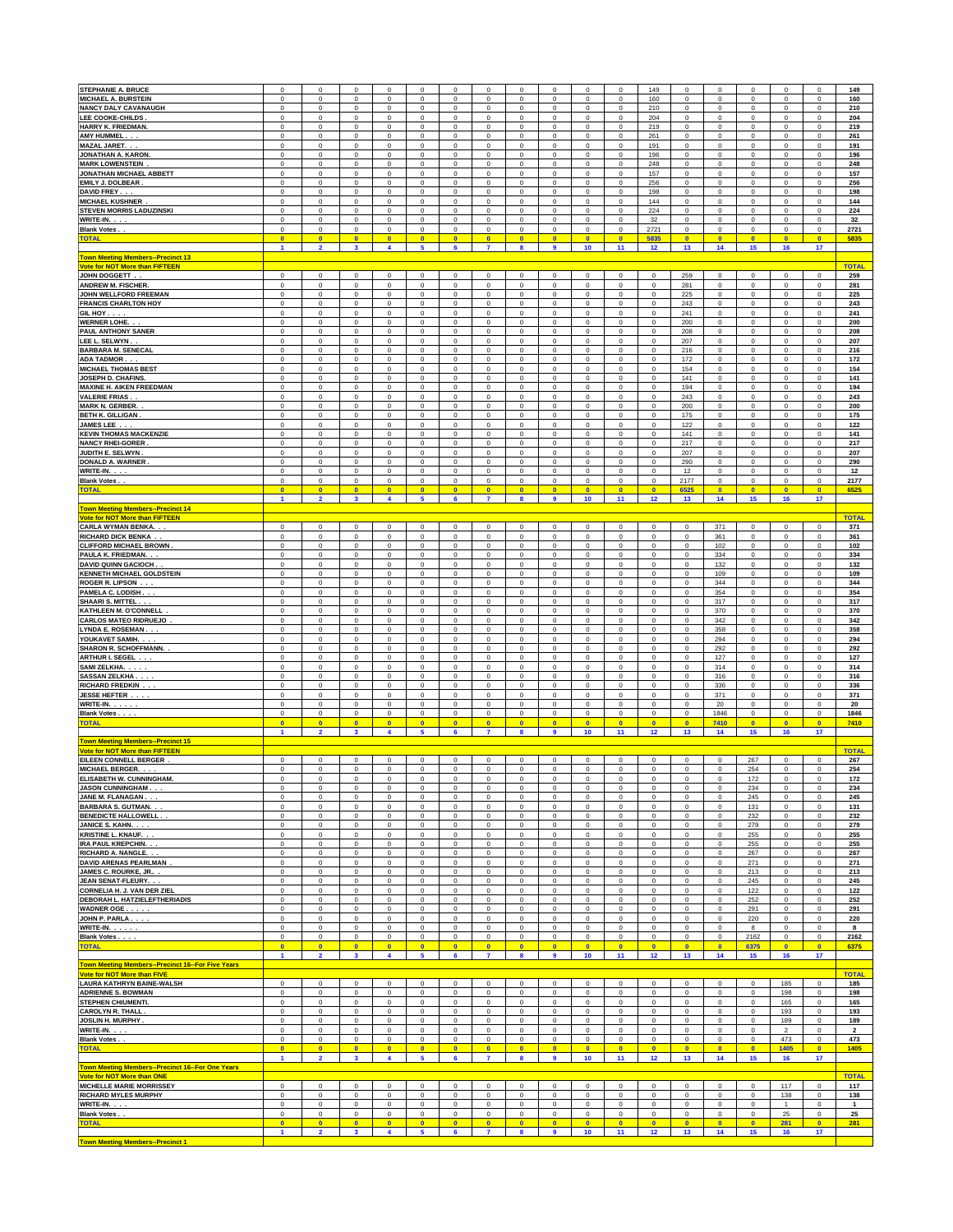| STEPHANIE A. BRUCE                                                                | $\mathbf 0$                 | $\mathbf 0$                            | $\mathbf 0$                          | $\mathbf 0$                       | $^{\circ}$                                | $\mathbf 0$              | $\circ$                          | $\mathbf 0$                | $\mathbf 0$                            | $\mathbf 0$                | $^{\circ}$                 | 149                        | $\mathbf 0$          | $^{\circ}$                             | $\mathbf 0$                | $\mathbf 0$                                | 0                            | 149                     |
|-----------------------------------------------------------------------------------|-----------------------------|----------------------------------------|--------------------------------------|-----------------------------------|-------------------------------------------|--------------------------|----------------------------------|----------------------------|----------------------------------------|----------------------------|----------------------------|----------------------------|----------------------|----------------------------------------|----------------------------|--------------------------------------------|------------------------------|-------------------------|
| <b>MICHAEL A. BURSTEIN</b>                                                        | $\mathsf 0$                 | $\mathbf 0$                            | $\mathsf 0$                          | $\mathbf 0$                       | $\mathbf 0$                               | $\mathbf 0$              | $\mathbf 0$                      | $\mathbf 0$                | $\pmb{0}$                              | $\mathbf 0$                | $\mathbf 0$                | 160                        | $\mathbf 0$          | $\pmb{0}$                              | $\mathbf 0$                | $\mathbf 0$                                | $\mathbf 0$                  | 160                     |
| <b>NANCY DALY CAVANAUGH</b>                                                       | $\pmb{0}$                   | $\mathbf 0$                            | $\mathbf 0$                          | $\mathbf 0$                       | $\mathbf 0$                               | $\mathbf 0$              | $\mathbf 0$                      | $\mathbf 0$                | $\mathbf 0$                            | $\mathbf 0$                | $\mathbf 0$                | 210                        | $\mathbf 0$          | $\bf{0}$                               | $\mathbf 0$                | $\mathbf 0$                                | $\mathbf 0$                  | 210                     |
| <b>LEE COOKE-CHILDS</b>                                                           | $\pmb{0}$                   | $\mathbf 0$                            | $\mathbf 0$                          | $\mathbf 0$                       | $\mathbf 0$                               | $\mathbf 0$              | $\mathbf 0$                      | $\mathbf 0$                | $\bf{0}$                               | $\mathbf 0$                | $\mathbf 0$                | 204                        | $\mathbf 0$          | $\mathbf{0}$                           | $\mathbf 0$                | $\mathbf 0$                                | $\mathbf 0$                  | 204                     |
| HARRY K. FRIEDMAN.                                                                | $\mathbf 0$                 | $\overline{0}$                         | $\mathbf 0$                          | $\mathbf{0}$                      | $\mathbf 0$                               | $\mathbf 0$              | $\mathbf 0$                      | $\mathbf 0$                | $\mathbf 0$                            | $\mathbf 0$                | $\mathbf{0}$               | 219                        | $\mathbf{0}$         | $\mathbf{0}$                           | $\mathbf 0$                | $\mathbf 0$                                | $\mathbf 0$                  | 219                     |
| AMY HUMMEL                                                                        | $\mathbf 0$                 | $\mathbf 0$                            | $\mathbf 0$                          | $\mathbf{0}$                      | $\mathbf{0}$                              | $\mathbf 0$              | $\mathbf 0$                      | $\mathbf 0$                | $\mathbf{0}$                           | $\mathbf 0$                | $\mathbf{0}$               | 261                        | $\mathbf{0}$         | $\mathbf{0}$                           | $\mathbf 0$                | $\mathbf 0$                                | $\mathbf 0$                  | 261                     |
| MAZAL JARET.                                                                      | $\mathbf 0$                 | $\overline{0}$                         | $\mathbf 0$                          | $\mathbf{0}$                      | $\mathbf{0}$                              | $\mathbf 0$              | $\mathbf 0$                      | $\mathbf 0$                | $\overline{0}$                         | $\mathbf 0$                | $\mathbf 0$                | 191                        | $\mathbf{0}$         | $\overline{\mathbf{0}}$                | $\mathbf 0$                | $\mathbf 0$                                | $\bf{0}$                     | 191                     |
| <b>JONATHAN A. KARON.</b>                                                         | $\bf{0}$                    | $\overline{0}$                         | $\mathbf 0$                          | $\mathbf{0}$                      | $\mathbf{0}$                              | $\mathbf 0$              | $\mathbf 0$<br>$\mathbf 0$       | $\mathbf 0$                | $\overline{0}$                         | $\mathbf 0$                | $\mathbf 0$                | 196                        | $\mathbf{0}$         | $\overline{\mathbf{0}}$                | $\mathbf 0$                | $\mathsf 0$                                | $\bf{0}$                     | 196                     |
| <b>MARK LOWENSTEIN</b>                                                            | $\mathbf 0$                 | $\overline{0}$                         | $\mathbf 0$                          | $\mathbf{0}$                      | $\mathbf{0}$                              | $\mathbf 0$              | $\,$ 0                           | $\mathbf 0$                | $\overline{0}$                         | $\mathbf 0$                | $\mathbf{0}$               | 248                        | $\mathbf{0}$         | $\overline{\mathbf{0}}$                | $\mathbf 0$                | $\mathsf 0$                                | $\mathbf 0$                  | 248                     |
| JONATHAN MICHAEL ABBETT                                                           | 0                           | $\,0\,$                                | $\mathsf 0$                          | $\bf{0}$                          | $\,0\,$                                   | 0                        |                                  | $\bf{0}$                   | $\,0\,$                                | $\mathbf 0$                | $\mathbf 0$                | 157                        | 0                    | $\mathbf 0$                            | 0                          | $\,0\,$                                    | 0                            | 157                     |
| EMILY J. DOLBEAR.                                                                 | 0                           | $\mathbf 0$                            | $\mathsf 0$                          | $\bf{0}$                          | $\mathbf 0$                               | 0                        | $\mathbf 0$                      | $\bf{0}$                   | $\bf{0}$                               | 0                          | $\mathbf 0$                | 256                        | 0                    | $\mathbf 0$                            | 0                          | $\bf{0}$                                   | 0                            | 256                     |
| DAVID FREY                                                                        | 0                           | $\mathbf 0$                            | $\mathsf 0$                          | $\bf{0}$                          | $\mathbf 0$                               | 0                        | $\mathsf 0$                      | $\bf{0}$                   | $\bf{0}$                               | 0                          | $\mathbf 0$                | 198                        | 0                    | $\mathbf 0$                            | 0                          | $\mathbf 0$                                | 0                            | 198                     |
| <b>MICHAEL KUSHNER</b>                                                            | $\mathbf 0$                 | $\mathbf 0$                            | $\mathbf 0$                          | $\bf{0}$                          | $\mathbf 0$                               | 0                        | $\mathsf 0$                      | $\bf{0}$                   | $\mathbf 0$                            | 0                          | $\mathbf 0$                | 144                        | $\mathbf 0$          | $\mathbf 0$                            | 0                          | $\mathbf 0$                                | 0                            | 144                     |
| STEVEN MORRIS LADUZINSKI                                                          | $\mathbf 0$                 | $\mathbf 0$                            | $\mathbf 0$                          | $\bf{0}$                          | $\mathbf 0$                               | 0                        | $\mathsf 0$                      | $\bf{0}$                   | $\mathbf 0$                            | $\,0\,$                    | $\mathbf 0$                | 224                        | $\mathbf 0$          | $\mathbf 0$                            | $\,0\,$                    | $\mathbf 0$                                | 0                            | 224                     |
| WRITE-IN.                                                                         | $\mathbf 0$                 | $\mathbf 0$                            | $\mathbf 0$                          | $\bf{0}$                          | $\mathbf 0$                               | 0                        | $\mathbf 0$<br>$\mathsf 0$       | $\bf{0}$<br>$\mathbf 0$    | $\mathbf 0$                            | $\mathbf 0$                | $\mathbf 0$                | 32                         | $\mathbf 0$          | $\pmb{0}$                              | 0<br>$\mathbf 0$           | $\mathbf 0$                                | 0                            | 32                      |
| Blank Votes<br><b>TOTAL</b>                                                       | $\mathbf 0$<br>$\bullet$    | $\mathbf 0$<br>$\overline{\mathbf{0}}$ | $\mathsf{O}\xspace$<br>$\bullet$     | $\bf{0}$<br>$\bullet$             | $\mathbf 0$<br>$\bullet$                  | 0<br>$\bullet$           | $\bullet$                        | $\bullet$                  | $\mathbf 0$<br>$\overline{\mathbf{0}}$ | $\,0\,$<br>$\bullet$       | $\mathbf 0$<br>$\bullet$   | 2721<br>5835               | 0<br>$\bullet$       | $\mathbf 0$<br>$\overline{\mathbf{0}}$ | $\bullet$                  | $\mathbf 0$<br>$\overline{\mathbf{0}}$     | 0<br>$\bullet$               | 2721<br>5835            |
| Town Meeting Members--Precinct 13                                                 | $\overline{\mathbf{1}}$     | $\overline{2}$                         | $\mathbf{3}$                         | $\overline{\mathbf{4}}$           | 5                                         | 6                        | $\overline{7}$                   | 8                          | 9                                      | 10                         | 11                         | 12                         | 13                   | 14                                     | 15                         | 16                                         | 17                           |                         |
| <u>Vote for NOT More than FIFTEEN</u><br><b>JOHN DOGGETT</b>                      | $\mathbf 0$                 | $\mathbf 0$                            | $\mathbf 0$                          | $\bf{0}$                          | $\mathbf 0$                               | $\mathbf 0$              | $\mathsf{o}\xspace$              | $\mathbf 0$                | $\mathbf 0$                            | $\mathsf 0$                | $\mathbf 0$                | $\mathbf 0$                | 259                  | $\mathbf 0$                            | $\mathbf 0$                | $\bf 0$                                    | $\mathbf 0$                  | <b>TOTAL</b><br>259     |
| <b>ANDREW M. FISCHER</b>                                                          | $\mathbf 0$<br>$\mathbf 0$  | $\mathbf 0$<br>$\mathbf 0$             | $\mathbf 0$<br>$\mathbf 0$           | $\bf{0}$                          | $\mathbf 0$<br>$\mathbf 0$                | $\mathbf 0$              | $\mathbf 0$<br>$\mathsf 0$       | $\mathbf 0$<br>$\mathbf 0$ | $\mathbf 0$<br>$\mathbf 0$             | $\mathsf 0$<br>$\mathbf 0$ | $\mathbf 0$<br>$\mathbf 0$ | $\mathbf 0$<br>$\mathbf 0$ | 281<br>225           | $\mathbf 0$<br>$\mathbf 0$             | $\mathsf 0$<br>$\mathsf 0$ | $\mathsf{O}\xspace$<br>$\mathsf{O}\xspace$ | 0                            | 281                     |
| <b>JOHN WELLFORD FREEMAN</b><br><b>FRANCIS CHARLTON HOY</b>                       | $\mathbf 0$                 | $\mathbf 0$                            | $\mathbf 0$                          | $\bf{0}$<br>$\bf{0}$              | $\mathbf 0$                               | 0<br>0                   | $\mathsf 0$                      | $\mathbf 0$                | $\bf{0}$                               | $\mathbf 0$                | $\mathbf 0$                | $\mathbf 0$                | 243                  | $\mathbf 0$                            | $\bf{0}$                   | $\mathbf 0$                                | 0<br>0                       | 225<br>243              |
| GIL HOY                                                                           | $\mathbf 0$                 | $\mathbf 0$                            | $\mathbf 0$                          | $\bf{0}$                          | $\mathbf 0$                               | 0                        | $\mathsf 0$                      | $\mathbf 0$                | $\bf{0}$                               | 0                          | $\mathbf 0$                | $\mathbf 0$                | 241                  | $\mathbf 0$                            | $\bf{0}$                   | $\mathbf 0$                                | 0                            | 241                     |
| <b>WERNER LOHE</b>                                                                | $\mathbf 0$                 | $\mathbf 0$                            | $\mathbf 0$                          | $\bf{0}$                          | $\mathbf 0$                               | 0                        | $\mathsf 0$                      | $\mathbf 0$                | $\bf{0}$                               | 0                          | $\mathbf 0$                | $\mathbf 0$                | 200                  | $\mathbf 0$                            | $\bf{0}$                   | $\mathbf 0$                                | 0                            | 200                     |
| <b>PAUL ANTHONY SANER</b>                                                         | $\mathbf 0$                 | $\mathbf 0$                            | $\mathbf 0$                          | $\bf{0}$                          | $\mathbf 0$                               | 0                        | $\mathbf 0$                      | $\mathbf 0$                | $\bf{0}$                               | 0                          | $\mathbf 0$                | $\mathbf 0$                | 208                  | $\mathbf 0$                            | $\mathbf 0$                | $\mathbf 0$                                | 0                            | 208                     |
| LEE L. SELWYN.                                                                    | $\mathbf 0$                 | $\mathbf 0$                            | $\mathsf 0$                          | $\mathbf 0$                       | $\,0\,$                                   | $\mathbf 0$              | $\mathsf 0$                      | $\mathbf 0$                | $\bf{0}$                               | $\,$ 0                     | $\mathbf 0$                | $\mathbf 0$                | 207                  | $\mathbf 0$                            | $\mathbf 0$                | $\mathsf{O}\xspace$                        | 0                            | 207                     |
| <b>BARBARA M. SENECAL</b>                                                         | $\pmb{0}$                   | $\mathbf 0$                            | $\mathsf 0$                          | $\mathbf 0$                       | $\bf{0}$                                  | $\mathbf 0$              | $\mathsf 0$                      | $\mathbf 0$                | $\pmb{0}$                              | $\mathbf 0$                | $\mathbf 0$                | $\mathbf 0$                | 216                  | $\mathbf 0$                            | $\mathbf 0$                | $\mathsf 0$                                | $\pmb{0}$                    | 216                     |
| <b>ADA TADMOR</b>                                                                 | $\bf{0}$                    | $\overline{0}$                         | $\mathbf 0$                          | $\bf{0}$                          | $\bf{0}$                                  | $\mathbf 0$              | $\mathbf 0$                      | $\mathbf 0$                | $\bf{0}$                               | $\mathbf 0$                | $\mathbf 0$                | $\mathbf 0$                | 172                  | $\pmb{0}$                              | $\mathbf 0$                | $\mathsf 0$                                | $\pmb{0}$                    | 172                     |
| <b>MICHAEL THOMAS BEST</b>                                                        | $\mathbf 0$                 | $\overline{0}$                         | $\mathbf 0$                          | $\bf{0}$                          | $\bf{0}$                                  | $\mathbf 0$              | $\mathbf 0$                      | $\mathbf 0$                | $\mathbf 0$                            | $\mathbf 0$                | $\mathbf{0}$               | $\mathbf 0$                | 154                  | $\pmb{0}$                              | $\mathbf 0$                | $\mathbf 0$                                | $\pmb{0}$                    | 154                     |
| <b>JOSEPH D. CHAFINS.</b>                                                         | $\mathbf 0$                 | $\overline{0}$                         | $\mathbf{0}$                         | $\mathbf{0}$                      | $\bf{0}$                                  | $\mathbf 0$              | $\mathbf 0$                      | $\mathbf 0$                | $\mathbf{0}$                           | $\mathbf{0}$               | $\mathbf{0}$               | $\mathbf 0$                | 141                  | $\mathbf 0$                            | $\mathbf 0$                | $\mathbf 0$                                | $\bf{0}$                     | 141                     |
| <b>MAXINE H. AIKEN FREEDMAN</b>                                                   | $\mathbf 0$                 | $\overline{0}$                         | $\mathbf 0$                          | $\mathbf{0}$                      | $\bf{0}$                                  | $\mathbf 0$              | $\mathbf 0$                      | $\mathbf 0$                | $\mathbf{0}$                           | $\mathbf{0}$               | $\mathbf 0$                | $\mathbf 0$                | 194                  | $\mathbf 0$                            | $\mathbf 0$                | $\mathbf 0$                                | $\mathbf 0$                  | 194                     |
| <b>VALERIE FRIAS.</b>                                                             | $\mathbf 0$                 | $\overline{0}$                         | $\mathbf 0$                          | $\mathbf{0}$                      | $\mathbf{0}$                              | $\mathbf 0$              | $\mathbf 0$                      | $\mathbf 0$                | $\overline{0}$                         | $\mathbf{0}$               | $\mathbf 0$                | $\mathbf 0$                | 243                  | $\mathbf 0$                            | $\mathbf 0$                | $\mathbf 0$                                | $\mathbf 0$                  | 243                     |
| <b>MARK N. GERBER.</b>                                                            | $\mathbf 0$                 | $\mathbf 0$                            | $\mathbf 0$                          | $\mathbf{0}$                      | $\mathbf 0$                               | $\mathbf 0$              | $\mathbf 0$                      | $\Omega$                   | $\mathbf{0}$                           | $\mathbf 0$                | $\mathbf 0$                | $\bf{0}$                   | 200                  | $\mathbf 0$                            | $\mathbf 0$                | $\mathbf 0$                                | $\mathbf 0$                  | 200                     |
| <b>BETH K. GILLIGAN</b>                                                           | $\mathbf 0$                 | $\mathbf 0$                            | $\mathbf 0$                          | $\mathbf{0}$                      | $\bf{0}$                                  | $\mathbf 0$              | $\mathbf 0$                      | $\Omega$                   | $\overline{0}$                         | $\mathbf 0$                | $\mathbf{0}$               | $\bf{0}$                   | 175                  | $\mathbf 0$                            | $\mathbf 0$                | $\mathbf 0$                                | $\mathbf 0$                  | 175                     |
|                                                                                   | $\mathbf 0$                 | $\mathbf 0$                            | $\overline{0}$                       | $\mathbf{0}$                      | $\mathbf{0}$                              | $\mathbf 0$              | $\mathbf 0$                      | $\Omega$                   | $\overline{0}$                         | $\mathbf 0$                | $\mathbf{0}$               | $\bf{0}$                   | 122                  | $\mathbf 0$                            | $\mathbf 0$                | $\mathbf 0$                                | $\mathbf 0$                  | 122                     |
| JAMES LEE<br><b>KEVIN THOMAS MACKENZIE</b>                                        | $\Omega$                    | $\mathbf 0$                            | $\mathbf 0$                          | $\mathbf 0$                       | $\mathbf 0$                               | $\mathbf 0$              | $\mathsf{o}\xspace$              | $\Omega$                   | $\bf{0}$                               | $\Omega$                   | $\mathbf 0$                | $\mathbf 0$                | 141                  | $\mathbf 0$                            | $\Omega$                   | $\mathsf 0$                                | $\Omega$                     | 141                     |
| <b>NANCY RHEI-GORER</b>                                                           | $\mathbf 0$                 | $\mathbf 0$                            | $\mathbf 0$                          | $\mathbf 0$                       | $\mathbf 0$                               | $\mathbf 0$              | $\mathbf 0$                      | $\Omega$                   | $\bf{0}$                               | $\Omega$                   | $\mathbf 0$                | $\mathbf 0$                | 217                  | $\mathbf 0$                            | $\Omega$                   | $\mathsf 0$                                | $\Omega$                     | 217                     |
| JUDITH E. SELWYN                                                                  | $\mathbf 0$                 | $\mathbf 0$                            | $\mathbf 0$                          | $\mathbf 0$                       | $\mathbf 0$                               | $\mathbf 0$              | $\mathbf 0$                      | $\Omega$                   | $\bf{0}$                               | $\Omega$                   | $\mathbf 0$                | $\mathbf 0$                | 207                  | $\mathbf 0$                            | $\Omega$                   | $\mathsf 0$                                | $\Omega$                     | 207                     |
| <b>DONALD A. WARNER</b>                                                           | $\mathbf 0$                 | $\mathbf 0$                            | $\mathbf 0$                          | $\mathbf 0$                       | $\mathbf 0$                               | $\mathbf 0$              | $\mathbf 0$                      | $\Omega$                   | $\bf{0}$                               | $\Omega$                   | $\mathbf 0$                | $\mathbf 0$                | 290                  | $\mathbf 0$                            | $\Omega$                   | $\mathbf 0$                                | $\Omega$                     | 290                     |
| WRITE-IN.                                                                         | $\mathbf 0$                 | $\mathbf 0$                            | $\mathbf 0$                          | $\mathbf 0$                       | $\mathbf 0$                               | $\mathbf 0$              | $\mathbf 0$                      | $\Omega$                   | $\bf{0}$                               | $\Omega$                   | $\mathbf 0$                | $\mathbf 0$                | 12                   | $\mathbf 0$                            | $\Omega$                   | $\mathbf 0$                                | $\mathbf 0$                  | 12                      |
| <b>Blank Votes.</b>                                                               | $\mathbf 0$                 | $\mathbf 0$                            | $\mathbf 0$                          | $\mathbf 0$                       | $\mathbf 0$                               | $\mathbf 0$              | $\mathsf{o}\,$                   | $\Omega$                   | $\bf{0}$                               | $\mathbf 0$                | $\mathbf 0$                | 0                          | 2177                 | $\mathbf 0$                            | $\Omega$                   | $\mathbf 0$                                | $\mathbf 0$                  | 2177                    |
| <b>TOTAL</b>                                                                      | $\bullet$                   | $\overline{\mathbf{0}}$                | $\bullet$                            | $\bullet$                         | $\bullet$                                 | $\bullet$                | $\bullet$                        | $\bullet$                  | $\overline{\mathbf{0}}$                | $\bullet$                  | $\bullet$                  | $\bullet$                  | 6525                 | $\bullet$                              | $\bullet$                  | $\bullet$                                  | $\bullet$                    | 6525                    |
|                                                                                   | $\overline{1}$              | $\overline{2}$                         | $\overline{\mathbf{3}}$              | $\overline{\mathbf{4}}$           | 5                                         | 6                        | $\overline{7}$                   | 8                          | $\overline{9}$                         | 10                         | 11                         | 12                         | 13                   | 14                                     | 15                         | 16                                         | 17                           |                         |
| <b>Town Meeting Members--Precinct 14</b><br><b>Vote for NOT More than FIFTEEN</b> |                             |                                        |                                      |                                   |                                           |                          |                                  |                            |                                        |                            |                            |                            |                      |                                        |                            |                                            |                              | <b>TOTAL</b>            |
| <b>CARLA WYMAN BENKA</b>                                                          | $\Omega$                    | $\mathbf 0$                            | $\Omega$                             | $\mathbf 0$                       | $\mathbf 0$                               | $\mathbf 0$              | $\Omega$                         | $\Omega$                   | $\mathbf 0$                            | $\Omega$                   | $\mathbf 0$                | $\mathbf 0$                | $\mathbf 0$          | 371                                    | $\Omega$                   | $\Omega$                                   | $\Omega$                     | 371                     |
| <b>RICHARD DICK BENKA</b>                                                         | $\Omega$                    | $\mathbf 0$                            | $\mathbf 0$                          | $\mathbf 0$                       | $\mathbf 0$                               | $\mathbf 0$              | $\Omega$                         | $\Omega$                   | $\mathbf 0$                            | $\Omega$                   | $\mathbf 0$                | $\mathbf 0$                | $\mathbf 0$          | 361                                    | $\Omega$                   | $\mathsf 0$                                | $\Omega$                     | 361                     |
| <b>CLIFFORD MICHAEL BROWN</b>                                                     | $\mathbf 0$                 | $\mathbf 0$                            | $\mathbf 0$                          | $^{\circ}$                        | $\mathbf 0$                               | $^{\circ}$               | $\mathbf 0$                      | $\Omega$                   | $^{\circ}$                             | $\Omega$                   | $^{\circ}$                 | $\mathbf 0$                | $\mathbf 0$          | 102                                    | $\Omega$                   | $\mathbf 0$                                | $\Omega$                     | 102                     |
| PAULA K. FRIEDMAN.                                                                | $\mathbf 0$                 | $\mathbf 0$                            | $\mathbf 0$                          | $^{\circ}$                        | $\mathbf 0$                               | $^{\circ}$               | $\Omega$                         | $\Omega$                   | $^{\circ}$                             | $\Omega$                   | $^{\circ}$                 | $\mathbf 0$                | $\mathbf 0$          | 334                                    | $\Omega$                   | $\mathbf 0$                                | $\Omega$                     | 334                     |
| DAVID QUINN GACIOCH                                                               | $\Omega$                    | $\mathbf 0$                            | $\mathbf 0$                          | $^{\circ}$                        | $\mathbf 0$                               | $^{\circ}$               | $\Omega$                         | $\Omega$                   | $^{\circ}$                             | $\Omega$                   | $\mathbf 0$                | $\mathbf 0$                | $\mathbf 0$          | 132                                    | $\Omega$                   | $\mathbf 0$                                | $\Omega$                     | 132                     |
| <b>KENNETH MICHAEL GOLDSTEIN</b>                                                  | $\Omega$                    | $\mathbf 0$                            | $\mathbf 0$                          | $^{\circ}$                        | $\mathbf 0$                               | $^{\circ}$               | $\Omega$                         | $\Omega$                   | $^{\circ}$                             | $\Omega$                   | $\mathbf 0$                | $\mathbf 0$                | $\mathbf 0$          | 109                                    | $\Omega$                   | $\Omega$                                   | $\Omega$                     | 109                     |
| <b>ROGER R. LIPSON</b>                                                            | $\Omega$                    | $\mathbf 0$                            | $\Omega$                             | $^{\circ}$                        | $\Omega$                                  | $\Omega$                 | $\Omega$                         | $\Omega$                   | $^{\circ}$                             | $\Omega$                   | $\mathbf 0$                | $\mathbf 0$                | $\mathbf 0$          | 344                                    | $\Omega$                   | $\Omega$                                   | $\Omega$                     | 344                     |
| PAMELA C. LODISH                                                                  | $\Omega$                    | $\mathbf 0$                            | $\Omega$                             | $\Omega$                          | $\Omega$                                  | $\Omega$                 | $\Omega$                         | $\Omega$                   | $^{\circ}$                             | $\Omega$                   | $\mathbf 0$                | $\Omega$                   | $\mathbf 0$          | 354                                    | $\Omega$                   | $\Omega$                                   | $\Omega$                     | 354                     |
| <b>SHAARI S. MITTEL</b>                                                           | $\Omega$                    | $\mathbf 0$                            | $\Omega$                             | $\Omega$                          | $\Omega$                                  | $\Omega$                 | $\Omega$                         | $\Omega$                   | $\Omega$                               | $\Omega$                   | $\mathbf 0$                | $\Omega$                   | $^{\circ}$           | 317                                    | $\Omega$                   | $\Omega$                                   | $\Omega$                     | 317                     |
| KATHLEEN M. O'CONNELL                                                             | $\Omega$                    | $\mathbf 0$                            | $\Omega$                             | $\Omega$                          | $\Omega$                                  | $\Omega$                 | $\Omega$                         | $\Omega$                   | $\Omega$                               | $\Omega$                   | $\mathbf 0$                | $\Omega$                   | $^{\circ}$           | 370                                    | $\Omega$                   | $\Omega$                                   | $\Omega$                     | 370                     |
| <b>CARLOS MATEO RIDRUEJO</b>                                                      | $\Omega$                    | $\Omega$                               | $\Omega$                             | $\Omega$                          | $\Omega$                                  | $\Omega$                 | $\Omega$                         | $\Omega$                   | $\Omega$                               | $\Omega$                   | $\mathbf 0$                | $\Omega$                   | $\mathbf 0$          | 342                                    | $\Omega$                   | $\Omega$                                   | $\Omega$                     | 342                     |
| <b>LYNDA E. ROSEMAN</b>                                                           | $\Omega$<br>$\Omega$        | $\Omega$<br>$\Omega$                   | $\Omega$<br>$\Omega$                 | $\Omega$<br>$\Omega$              | $\Omega$<br>$\Omega$                      | $\Omega$<br>$\Omega$     | $\Omega$<br>$\Omega$             | $\Omega$<br>$\Omega$       | $\Omega$<br>$\Omega$                   | $\Omega$<br>$\Omega$       | $^{\circ}$<br>$\Omega$     | $\Omega$<br>$\Omega$       | $\Omega$<br>$\Omega$ | 358                                    | $\Omega$<br>$\Omega$       | $\Omega$<br>$\Omega$                       | $\Omega$<br>$\Omega$         | 358<br>294              |
| YOUKAVET SAMIH.<br><b>SHARON R. SCHOFFMANN.</b>                                   | $\Omega$                    | $\Omega$                               | $\Omega$                             | $\Omega$                          | $\Omega$                                  | $\Omega$                 | $\Omega$                         | $\Omega$                   | $\Omega$                               | $\Omega$                   | $\Omega$                   | $\Omega$                   | $\Omega$             | 294<br>292                             | $\Omega$                   | $\Omega$                                   | $\Omega$                     | 292                     |
| <b>ARTHUR I. SEGEL</b>                                                            | $\Omega$                    | $\Omega$                               | $\Omega$                             | $\Omega$                          | $\Omega$                                  | $\Omega$                 | $\Omega$                         | $\Omega$                   | $\Omega$                               | $\Omega$                   | $\Omega$                   | $\Omega$                   | $\Omega$             | 127                                    | $\Omega$                   | $\Omega$                                   | $\Omega$                     | 127                     |
| <b>SAMI ZELKHA</b>                                                                | $\Omega$                    | $\Omega$                               | $\Omega$                             | $\Omega$                          | $\Omega$                                  | $\Omega$                 | $\Omega$                         | $\Omega$                   | $\Omega$                               | $\Omega$                   | $\Omega$                   | $\Omega$                   | $\Omega$             | 314                                    | $\Omega$                   | $\Omega$                                   | $\Omega$                     | 314                     |
| <b>SASSAN ZELKHA</b>                                                              | $\Omega$                    | $\Omega$                               | $\Omega$                             | $\Omega$                          | $\Omega$                                  | $\Omega$                 | $\Omega$                         | $\Omega$                   | $\Omega$                               | $\Omega$                   | $\Omega$                   | $\Omega$                   | $\Omega$             | 316                                    | $\Omega$                   | $\Omega$                                   | $\Omega$                     | 316                     |
| <b>RICHARD FREDKIN</b>                                                            | $\mathbf 0$                 | $\mathbf 0$                            | $\mathbf 0$                          | $\mathbf 0$                       | $\mathbf 0$                               | $\mathbf 0$              | $\mathbf 0$                      | $\Omega$                   | $\mathbf 0$                            | $\mathbf 0$                | $\mathbf 0$                | $\mathbf 0$                | $\mathbf 0$          | 336                                    | $\mathbf 0$                | $\mathsf 0$                                | $\mathbf 0$                  | 336                     |
| <b>JESSE HEFTER</b>                                                               | $\mathbf 0$                 | $\mathbf 0$                            | $\mathbf 0$                          | $\mathbf 0$                       | $\mathbf 0$                               | $\mathbf 0$              | $\mathbf 0$                      | $\Omega$                   | $\mathbf 0$                            | $\mathbf 0$                | $\mathbf 0$                | $\mathbf 0$                | $\mathbf 0$          | 371                                    | $\mathbf 0$                | $\mathsf 0$                                | $\mathbf 0$                  | 371                     |
| WRITE-IN.                                                                         | $\mathbf 0$                 | $\mathbf 0$                            | $\mathbf 0$                          | $\mathbf 0$                       | $\mathbf 0$                               | $\mathbf 0$              | $\mathbf 0$                      | $\mathbf 0$                | $\mathbf 0$                            | $\mathbf 0$                | $\mathbf 0$                | $\mathbf 0$                | $\mathbf 0$          | 20                                     | $\mathbf 0$                | $\mathbf 0$                                | $\mathbf 0$                  | 20                      |
| <b>Blank Votes.</b>                                                               | $\mathbf 0$                 | $\mathsf 0$                            | $\mathsf 0$                          | $\mathbf 0$                       | $\mathsf 0$                               | $\mathbf 0$              | $\mathsf 0$                      | $\mathbf 0$                | $\mathbf 0$                            | $\mathsf 0$                | $\mathbf 0$                | 0                          | $\mathsf 0$          | 1846                                   | $\mathsf 0$                | $\mathsf 0$                                | $\mathbf 0$                  | 1846                    |
| <b>TOTAL</b>                                                                      | $\overline{0}$              | $\overline{0}$                         | $\overline{0}$                       | $\Omega$                          | $\overline{0}$                            | $\overline{0}$           | $\overline{0}$                   | $\mathbf{0}$               | $\overline{0}$                         | $\overline{0}$             | $\overline{0}$             | $\overline{0}$             | $\overline{0}$       | 7410                                   | $\mathbf{0}$               | $\overline{0}$                             | $\mathbf{0}$                 | 7410                    |
|                                                                                   | $\mathbf{1}$                | $\overline{2}$                         | $\mathbf{3}$                         | $\overline{\mathbf{4}}$           | 5                                         | 6                        | $\overline{\mathbf{r}}$          | 8                          | $\overline{9}$                         | 10                         | 11                         | 12                         | 13                   | 14                                     | 15                         | 16                                         | 17                           |                         |
| Town Meeting Members--Precinct 15<br><b>Vote for NOT More than FIFTEEN</b>        |                             |                                        |                                      |                                   |                                           |                          |                                  |                            |                                        |                            |                            |                            |                      |                                        |                            |                                            |                              | <b>TOTAL</b>            |
| EILEEN CONNELL BERGER                                                             | $\mathbf 0$                 | $\mathsf 0$                            | $\mathsf 0$                          | $\mathbf 0$                       | $\mathbf 0$                               | $\mathbf 0$              | $\mathsf 0$                      | $\mathbf 0$                | $\mathbf 0$                            | $\mathsf 0$                | $\mathbf 0$                | $\mathbf 0$                | $\mathsf 0$          | $\mathbf 0$                            | 267                        | $\mathsf 0$                                | $\mathbf 0$                  | 267                     |
| <b>MICHAEL BERGER.</b>                                                            | $\bf{0}$                    | $\mathbf 0$                            | $\mathbf 0$                          | $\mathbf 0$                       | $\mathbf 0$                               | $\Omega$                 | $\mathbf 0$                      | $\mathbf 0$                | $\mathbf 0$                            | $\mathbf 0$                | $\mathbf 0$                | $\mathbf 0$                | $\mathbf 0$          | $\bf{0}$                               | 254                        | 0                                          | $\mathbf 0$                  | 254                     |
| ELISABETH W. CUNNINGHAM.                                                          | $\Omega$                    | $\mathbf 0$                            | $^{\circ}$                           | $^{\circ}$                        | $^{\circ}$                                | $\Omega$                 | $\Omega$                         | $\Omega$                   | $\mathbf 0$                            | $^{\circ}$                 | $^{\circ}$                 | $^{\circ}$                 | $^{\circ}$           | $\mathbf 0$                            | 172                        | $\Omega$                                   | $^{\circ}$                   | 172                     |
| <b>JASON CUNNINGHAM.</b>                                                          | $\mathbf 0$                 | $\mathsf 0$                            | $\mathbf 0$                          | $\mathbf 0$                       | $\mathsf 0$                               | $\mathbf 0$              | $\mathbf 0$                      | $\mathbf 0$                | $\mathbf 0$                            | $\mathsf 0$                | $\mathbf 0$                | $\mathbf 0$                | $\mathbf 0$          | $\mathbf 0$                            | 234                        | $\mathsf 0$                                | $\mathbf 0$                  | 234                     |
| JANE M. FLANAGAN.                                                                 | $\mathbf 0$                 | $\mathsf 0$                            | $\mathsf 0$                          | $\mathbf 0$                       | $\mathsf 0$                               | $\mathsf 0$              | $\mathsf 0$                      | $\mathbf 0$                | $\mathbf 0$                            | $\mathsf 0$                | $\mathbf 0$                | 0                          | $\mathsf 0$          | $\mathbf 0$                            | 245                        | $\mathsf 0$                                | $\mathsf 0$                  | 245                     |
| BARBARA S. GUTMAN. .                                                              | $\mathbf 0$                 | $\mathsf 0$                            | $\mathsf 0$                          | $\mathbf 0$                       | $\mathsf 0$                               | $\mathsf 0$              | $\mathsf 0$                      | $\mathbf 0$                | $\mathbf 0$                            | $\mathsf 0$                | $\mathbf 0$                | 0                          | $\mathsf 0$          | $\mathbf 0$                            | 131                        | $\mathsf 0$                                | $\mathsf 0$                  | 131                     |
| <b>BENEDICTE HALLOWELL</b>                                                        | $\mathbf 0$                 | $\mathsf 0$                            | $\mathsf 0$                          | $\mathbf 0$                       | $\mathsf 0$                               | $\mathsf 0$              | $\mathsf 0$                      | $\mathbf 0$                | $\mathbf 0$                            | $\mathsf 0$                | $\mathbf 0$                | 0                          | $\mathsf 0$          | $\mathbf 0$                            | 232                        | $\mathsf 0$                                | $\mathsf 0$                  | 232                     |
| JANICE S. KAHN.                                                                   | $\mathbf 0$                 | $\mathsf 0$                            | $\mathsf 0$                          | $\mathbf 0$                       | $\mathsf 0$                               | $\mathsf 0$              | $\mathsf 0$                      | $\mathbf 0$                | $\mathbf 0$                            | $\mathsf 0$                | $\mathbf 0$                | 0                          | $\mathsf 0$          | $\mathbf 0$                            | 279                        | $\mathsf 0$                                | $\mathsf 0$                  | 279                     |
| <b>KRISTINE L. KNAUF</b>                                                          | $\mathbf 0$                 | $\mathsf 0$                            | $\mathsf 0$                          | $\mathbf 0$                       | $\mathsf 0$                               | $\mathsf 0$              | $\mathsf 0$                      | $\mathbf 0$                | $\mathbf 0$                            | $\mathsf 0$                | $\mathbf 0$                | 0                          | $\mathsf 0$          | $\mathbf 0$                            | 255                        | $\mathsf 0$                                | $\mathsf 0$                  | 255                     |
| IRA PAUL KREPCHIN.                                                                | $\mathbf 0$                 | $\mathsf 0$                            | $\mathsf 0$                          | $\mathbf 0$                       | $\mathsf 0$                               | $\mathsf 0$              | $\mathsf 0$                      | $\mathbf 0$                | $\mathbf 0$                            | $\mathsf 0$                | $\mathbf 0$                | 0                          | $\mathsf 0$          | $\mathbf 0$                            | 255                        | $\mathsf 0$                                | $\mathsf 0$                  | 255                     |
| RICHARD A. NANGLE. .                                                              | $\mathbf 0$                 | $\mathsf 0$                            | $\mathsf 0$                          | $\mathbf 0$                       | $\mathsf 0$                               | $\mathsf 0$              | $\mathsf 0$                      | $\mathbf 0$                | $\mathbf 0$                            | $\mathsf 0$                | $\mathbf 0$                | 0                          | $\mathsf 0$          | $\mathbf 0$                            | 267                        | $\mathsf 0$                                | $\mathsf 0$                  | 267                     |
| <b>DAVID ARENAS PEARLMAN.</b>                                                     | $\mathbf 0$                 | $\mathsf 0$                            | $\mathsf 0$                          | $\mathbf 0$                       | $\mathsf 0$                               | $\mathsf 0$              | $\mathsf 0$                      | $\mathbf 0$                | $\mathbf 0$                            | $\mathsf 0$                | $\mathbf 0$                | 0                          | $\mathsf 0$          | $\mathbf 0$                            | 271                        | $\mathsf 0$                                | $\mathsf 0$                  | 271                     |
| JAMES C. ROURKE, JR                                                               | $\mathbf 0$                 | $\mathsf 0$                            | $\mathsf 0$                          | $\mathbf 0$                       | $\mathsf 0$                               | $\mathsf 0$              | $\mathsf 0$                      | $\mathbf 0$                | $\mathbf 0$                            | $\mathsf 0$                | $\mathbf 0$                | 0                          | $\mathsf 0$          | $\mathbf 0$                            | 213                        | $\mathsf 0$                                | $\mathsf 0$                  | 213                     |
| JEAN SENAT-FLEURY. .                                                              | $\mathbf 0$                 | $\mathsf 0$                            | $\mathsf 0$                          | $\mathbf 0$                       | $\mathsf 0$                               | $\mathbf 0$              | $\mathsf 0$                      | $\mathbf 0$                | $\mathbf 0$                            | $\mathsf 0$                | $\mathbf 0$                | 0                          | $\mathsf 0$          | $\mathbf 0$                            | 245                        | $\mathsf 0$                                | $\mathsf 0$                  | 245                     |
| CORNELIA H. J. VAN DER ZIEL                                                       | $\mathbf 0$                 | $\mathsf 0$                            | $\mathsf 0$                          | $\mathbf 0$                       | $\mathsf 0$                               | $\mathbf 0$              | $\mathsf 0$                      | $\mathbf 0$                | $\mathbf 0$                            | $\mathsf 0$                | $\mathbf 0$                | 0                          | $\mathsf 0$          | $\mathbf 0$                            | 122                        | $\mathsf 0$                                | $\mathsf 0$                  | 122                     |
| DEBORAH L. HATZIELEFTHERIADIS                                                     | $\mathbf 0$                 | $\mathsf 0$                            | $\mathsf 0$                          | $\mathbf 0$                       | $\mathsf 0$                               | $\mathbf 0$              | $\mathsf 0$                      | $\mathbf 0$                | $\mathbf 0$                            | $\mathsf 0$                | $\mathbf 0$                | 0                          | $\mathsf 0$          | $\mathbf 0$                            | 252                        | $\mathsf 0$                                | $\mathsf 0$                  | 252                     |
| <b>WADNER OGE.</b>                                                                | $\mathbf 0$                 | $\mathsf 0$                            | $\mathsf 0$                          | $\mathbf 0$                       | $\mathsf 0$                               | $\mathbf 0$              | $\mathsf 0$                      | $\mathbf 0$                | $\mathsf 0$                            | $\mathsf 0$                | $\mathbf 0$                | 0                          | $\mathsf 0$          | $\mathbf 0$                            | 291                        | $\mathsf 0$                                | $\mathsf 0$                  | 291                     |
| JOHN P. PARLA.                                                                    | $\mathbf 0$                 | $\mathsf 0$                            | $\mathsf 0$                          | $\mathbf 0$                       | $\mathsf 0$                               | $\mathbf 0$              | $\mathsf 0$                      | $\mathbf 0$                | $\mathbf 0$                            | $\mathsf 0$                | $\mathbf 0$                | 0                          | $\mathsf 0$          | $\mathbf 0$                            | 220                        | $\mathsf 0$                                | $\mathsf 0$                  | 220                     |
| WRITE-IN.                                                                         | $\mathbf 0$                 | $\mathsf 0$                            | $\mathsf 0$                          | $\mathbf 0$                       | $\mathsf 0$                               | $\mathbf 0$              | $\mathsf 0$                      | $\mathbf 0$                | $\mathbf 0$                            | $\mathsf 0$                | $\mathbf 0$                | 0                          | $\mathsf 0$          | $\mathbf 0$                            | 8                          | $\mathsf 0$                                | $\mathsf 0$                  | 8                       |
| Blank Votes                                                                       | $\mathbf 0$                 | $\mathsf{O}\xspace$                    | $\mathsf{O}\xspace$                  | $\mathbf 0$                       | $\mathbf 0$                               | $\,0\,$                  | $\mathbf 0$                      | $\mathbf 0$                | $\,0\,$                                | $\mathbf 0$                | $\mathbf 0$                | 0                          | $\,$ 0               | $\mathbf 0$                            | 2162                       | $\mathsf{O}\xspace$                        | $\mathbf 0$                  | 2162                    |
| <b>TOTAL</b>                                                                      | $\bullet$<br>$\blacksquare$ | $\bullet$<br>$\overline{\mathbf{2}}$   | $\bullet$<br>$\overline{\mathbf{3}}$ | $\bullet$<br>$\blacktriangleleft$ | $\overline{0}$<br>$\overline{\mathbf{5}}$ | $\bullet$<br>6           | $\overline{0}$<br>$\overline{7}$ | $\bullet$<br>8             | $\bullet$<br>$\overline{9}$            | $\bullet$<br>10            | $\bullet$<br>11            | $\bullet$<br>12            | $\overline{0}$<br>13 | $\bullet$<br>14                        | 6375<br>15                 | $\bullet$<br>16                            | $\bullet$<br>17 <sub>2</sub> | 6375                    |
| <b>Town Meeting Members--Precinct 16--For Five Years</b>                          |                             |                                        |                                      |                                   |                                           |                          |                                  |                            |                                        |                            |                            |                            |                      |                                        |                            |                                            |                              |                         |
| Vote for NOT More than FIVE<br><b>LAURA KATHRYN BAINE-WALSH</b>                   | $\mathsf 0$                 | $\mathsf 0$                            | $\mathsf 0$                          | $\mathbf 0$                       | $^{\circ}$                                | $^{\circ}$               | $\circ$                          | $\mathbf 0$                | $\mathbf 0$                            | $\mathsf 0$                | $\mathbf 0$                | $\mathbf 0$                | $\mathsf 0$          | $^{\circ}$                             | $\mathbf 0$                | 185                                        | $\mathbf 0$                  | <b>TOTAL</b><br>185     |
| <b>ADRIENNE S. BOWMAN</b>                                                         | $\mathbf 0$                 | $\mathbf 0$                            | $\mathbf 0$                          | $\mathbf 0$                       | $^{\circ}$                                | 0                        | $\mathbf 0$                      | $\mathbf 0$                | $\,0\,$                                | $\mathbf 0$                | $\mathbf 0$                | 0                          | 0                    | $\mathbf 0$                            | $\mathbf 0$                | 198                                        | 0                            | 198                     |
| STEPHEN CHIUMENTI.                                                                | $\mathbf 0$                 | $\mathbf 0$                            | $\mathsf 0$                          | $\mathbf 0$                       | $\mathbf 0$                               | $\,0\,$                  | $\mathbf 0$                      | $\mathbf 0$                | $\,0\,$                                | $\mathbf 0$                | $\mathbf 0$                | 0                          | $\mathbf 0$          | $\mathbf 0$                            | $\mathbf 0$                | 165                                        | 0                            | 165                     |
| CAROLYN R. THALL.                                                                 | $\mathbf 0$                 | $\mathbf 0$                            | $\mathsf 0$                          | $\pmb{0}$                         | $\mathbf 0$                               | 0                        | $\mathbf 0$                      | $\mathbf 0$                | $\,0\,$                                | $\mathbf 0$                | $\mathbf 0$                | 0                          | $\mathbf 0$          | $\mathbf 0$                            | $\mathbf 0$                | 193                                        | 0                            | 193                     |
| JOSLIN H. MURPHY.                                                                 | $\mathbf 0$                 | $\mathbf 0$                            | $\mathsf 0$                          | $\pmb{0}$                         | $\mathbf 0$                               | 0                        | $\mathbf 0$                      | $\mathbf 0$                | $\mathbf 0$                            | $\mathbf 0$                | $\mathbf 0$                | 0                          | $\mathbf 0$          | $\mathbf 0$                            | $\mathbf 0$                | 189                                        | $\mathbf 0$                  | 189                     |
| WRITE-IN.                                                                         | $\mathbf 0$                 | $\mathbf 0$                            | $\mathsf 0$                          | $\pmb{0}$                         | $\mathbf 0$                               | $\,0\,$                  | $\mathbf 0$                      | $\mathbf 0$                | $\,0\,$                                | $\mathbf 0$                | $\mathbf 0$                | 0                          | $\mathbf 0$          | $\mathbf 0$                            | $\mathbf 0$                | $\overline{2}$                             | $\pmb{0}$                    | $\overline{\mathbf{2}}$ |
| Blank Votes                                                                       | $\mathbf 0$                 | $\mathsf{O}\xspace$                    | $\mathsf{O}\xspace$                  | $\mathbf 0$                       | $\,0\,$                                   | $\,0\,$                  | $\mathbf 0$                      | $\mathbf 0$                | $\,0\,$                                | $\mathbf 0$                | $\mathbf 0$                | 0                          | $\mathbf 0$          | $\mathbf 0$                            | $\mathbf 0$                | 473                                        | $\mathbf 0$                  | 473                     |
| <b>TOTAL</b>                                                                      | $\bullet$                   | $\bullet$                              | $\bullet$                            | $\bullet$                         | $\bullet$                                 | $\bullet$                | $\bullet$                        | $\bullet$                  | $\bullet$                              | $\bullet$                  | $\bullet$                  | $\bullet$                  | $\overline{0}$       | $\bullet$                              | $\bullet$                  | 1405                                       | $\bullet$                    | 1405                    |
| Town Meeting Members--Precinct 16--For One Years                                  | $\blacksquare$              | $\overline{\mathbf{2}}$                | $\mathbf{3}$                         | $\blacktriangleleft$              | $\sqrt{5}$                                | 6                        | $\mathbf{7}$                     | 8                          | $\overline{9}$                         | 10                         | 11                         | 12                         | 13                   | 14                                     | 15                         | 16                                         | 17 <sub>2</sub>              |                         |
| Vote for NOT More than ONE<br>MICHELLE MARIE MORRISSEY                            | $\mathbf 0$                 | $\mathsf 0$                            | $\mathsf 0$                          | $\mathbf 0$                       | $^{\circ}$                                | $^{\circ}$               | $\mathbf 0$                      | $\mathbf 0$                | $\mathbf 0$                            | $\mathbf 0$                | $\mathbf 0$                | 0                          | $\mathsf 0$          | $\mathbf 0$                            | $\mathbf 0$                | 117                                        | $\mathbf 0$                  | <b>TOTAL</b><br>117     |
| RICHARD MYLES MURPHY                                                              | $\mathbf 0$                 | $\mathbf 0$                            | $\mathsf 0$                          | $\bf{0}$                          | $\,0\,$                                   | $\,0\,$                  | $\mathbf 0$                      | $\mathbf 0$                | $\,0\,$                                | $\mathbf 0$                | $\mathbf 0$                | 0                          | $\,0\,$              | $\mathbf 0$                            | 0                          | 138                                        | $\mathbf 0$                  | 138                     |
| WRITE-IN.                                                                         | $\mathbf 0$                 | $\mathsf 0$                            | $\mathsf{O}\xspace$                  | $\mathbf 0$                       | $\mathbf 0$                               | $\,0\,$                  | $\mathsf 0$                      | $\mathbf 0$                | $\mathbf 0$                            | $\mathbf 0$                | $\mathbf 0$                | 0                          | $\mathsf 0$          | $\mathbf 0$                            | $\mathsf 0$                | $\overline{1}$                             | 0                            | $\mathbf{1}$            |
| Blank Votes                                                                       | $\mathbf 0$                 | $\mathsf{O}\xspace$                    | $\mathsf{O}\xspace$                  | $\mathbf 0$                       | $\mathbf 0$                               | $\bf{0}$                 | $\mathbf 0$                      | $\mathbf 0$                | $\mathbf 0$                            | $\mathsf 0$                | $\mathbf 0$                | $\mathbf 0$                | $\mathbf 0$          | $\mathbf 0$                            | $\mathbf 0$                | 25                                         | $\mathbf 0$                  | 25                      |
| <b>TOTAL</b>                                                                      | $\bullet$<br>$\blacksquare$ | $\bullet$<br>$\overline{2}$            | $\bullet$<br>$\mathbf{3}$            | $\bullet$<br>$\blacktriangleleft$ | $\bullet$<br>$\sqrt{5}$                   | $\bullet$<br>$6^{\circ}$ | $\bullet$<br>$\mathbf{7}$        | $\bullet$<br>8             | $\bullet$<br>$\overline{9}$            | $\bullet$<br>10            | $\bullet$<br>11            | $\bullet$<br>12            | $\bullet$<br>13      | $\bullet$<br>14                        | $\bullet$<br>15            | 281<br>16                                  | $\bullet$<br>17              | 281                     |
| <b>Town Meeting Members--Precinct 1</b>                                           |                             |                                        |                                      |                                   |                                           |                          |                                  |                            |                                        |                            |                            |                            |                      |                                        |                            |                                            |                              |                         |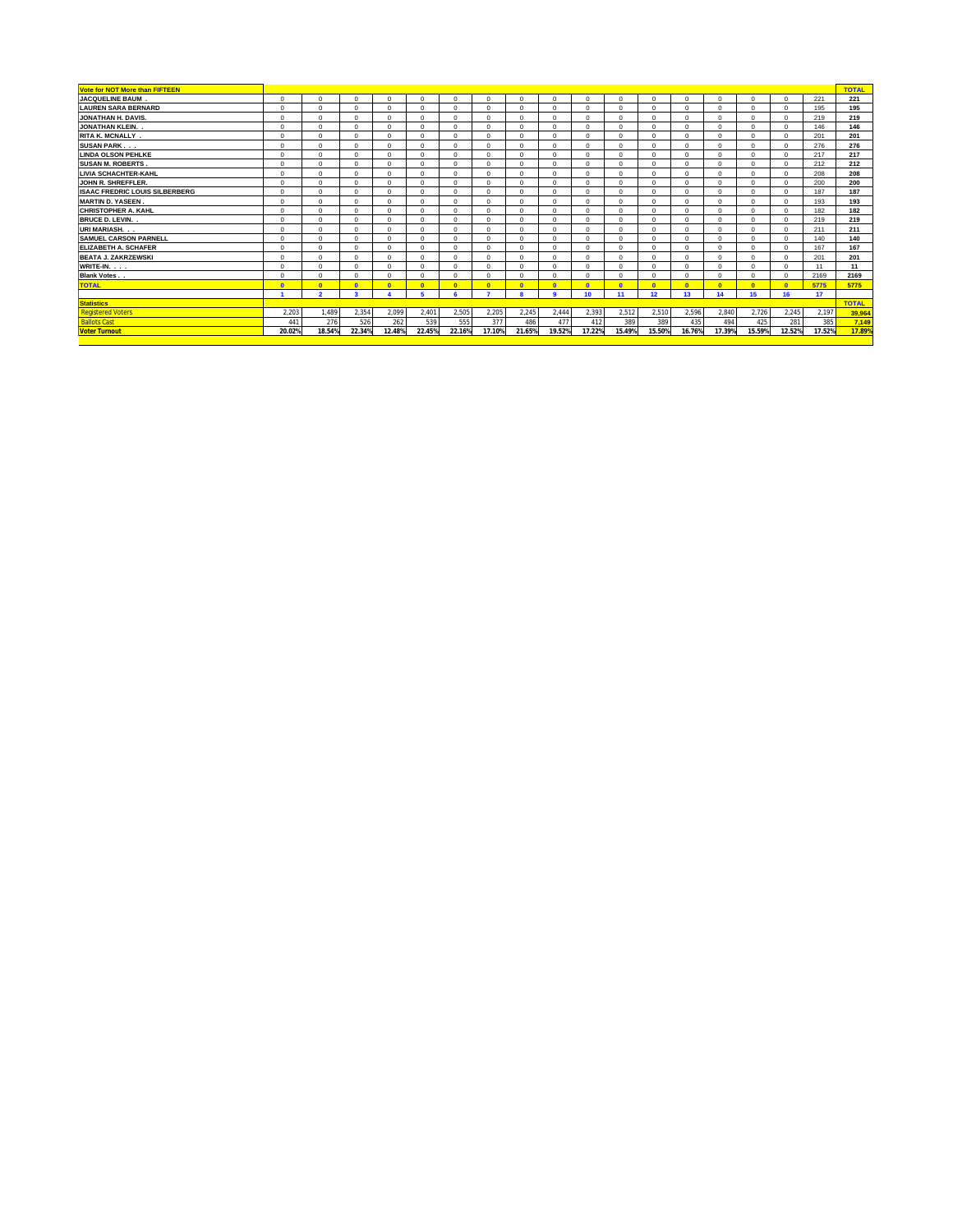| Vote for NOT More than FIFTEEN        |            |                          |                         |            |              |              |                |            |              |                  |                |              |                |             |              |             |        | <b>TOTAL</b> |
|---------------------------------------|------------|--------------------------|-------------------------|------------|--------------|--------------|----------------|------------|--------------|------------------|----------------|--------------|----------------|-------------|--------------|-------------|--------|--------------|
| <b>JACQUELINE BAUM</b>                | $\Omega$   | $\Omega$                 | $\Omega$                | $^{\circ}$ | $\Omega$     | $\Omega$     | $\Omega$       | $\Omega$   | $\Omega$     | $\Omega$         | $\Omega$       | $\Omega$     | $\Omega$       | $\circ$     | $\Omega$     | $\mathbf 0$ | 221    | 221          |
| <b>LAUREN SARA BERNARD</b>            | $\Omega$   | $\Omega$                 | $\Omega$                | $\Omega$   | $\Omega$     | $\Omega$     |                | $\Omega$   | $\Omega$     | $\Omega$         | $\Omega$       | $\Omega$     | $\Omega$       | $\Omega$    | $\Omega$     | $\Omega$    | 195    | 195          |
| JONATHAN H. DAVIS.                    | $\Omega$   | $\Omega$                 | $\Omega$                | $\Omega$   | $\Omega$     | $\Omega$     | $\Omega$       | $\Omega$   | $\Omega$     | $\Omega$         | $\Omega$       | $\Omega$     | $\Omega$       | $\circ$     | $\Omega$     | $\Omega$    | 219    | 219          |
| JONATHAN KLEIN.                       | $\Omega$   | $\Omega$                 | $\Omega$                | $\Omega$   | $\Omega$     | $\Omega$     | $\Omega$       | $\Omega$   | $\Omega$     | $\Omega$         | $\Omega$       | $\Omega$     | $\Omega$       | $^{\circ}$  | $\Omega$     | $\Omega$    | 146    | 146          |
| <b>RITA K. MCNALLY.</b>               | $\Omega$   | $\Omega$                 | $\Omega$                | $\Omega$   | $\Omega$     | $\Omega$     | $\Omega$       | $\Omega$   | $\Omega$     | $\Omega$         | $\Omega$       | 0            | $\Omega$       | $^{\circ}$  | $\Omega$     | $\Omega$    | 201    | 201          |
| <b>SUSAN PARK</b>                     | $\Omega$   | $\Omega$                 | $\Omega$                | $\Omega$   | $\Omega$     | $\Omega$     | $\Omega$       | $\Omega$   | $\Omega$     | $\Omega$         | $\sqrt{2}$     | $\Omega$     | $\Omega$       | $^{\circ}$  | $\Omega$     | $\Omega$    | 276    | 276          |
| <b>LINDA OLSON PEHLKE</b>             | $\Omega$   | $\Omega$                 | $\Omega$                | $\Omega$   | $\Omega$     | $\Omega$     | $\Omega$       | $\Omega$   | $\Omega$     | $\Omega$         | $\Omega$       | $\Omega$     | $\Omega$       | $^{\circ}$  | $\Omega$     | $\Omega$    | 217    | 217          |
| <b>SUSAN M. ROBERTS.</b>              | $\Omega$   | $\Omega$                 | $\Omega$                | $\Omega$   | $\Omega$     | $\Omega$     | $\Omega$       | $\Omega$   | $\Omega$     | $\Omega$         | $\Omega$       | $\Omega$     | $\Omega$       | $^{\circ}$  | $\Omega$     | $\Omega$    | 212    | 212          |
| <b>LIVIA SCHACHTER-KAHL</b>           | $\Omega$   | $\Omega$                 | $\Omega$                | $\Omega$   | $\Omega$     | $\Omega$     | $\Omega$       | $\Omega$   | $\Omega$     | $\Omega$         | $\Omega$       | $\Omega$     | $\Omega$       | $^{\circ}$  | $\Omega$     | $\Omega$    | 208    | 208          |
| <b>JOHN R. SHREFFLER.</b>             | $\Omega$   | $\Omega$                 | $\Omega$                | $\Omega$   | $\Omega$     | $\Omega$     | $\Omega$       | $\Omega$   | $\Omega$     | $\Omega$         | $\sqrt{2}$     | $\Omega$     | $\Omega$       | $\Omega$    | $\Omega$     | $\Omega$    | 200    | 200          |
| <b>ISAAC FREDRIC LOUIS SILBERBERG</b> | $\Omega$   | $\Omega$                 | $\Omega$                | $\Omega$   | $\Omega$     | $\Omega$     | $\Omega$       | $\Omega$   | $\Omega$     | $\Omega$         | $\Omega$       | $\Omega$     | $\Omega$       | $^{\circ}$  | $\Omega$     | $\Omega$    | 187    | 187          |
| <b>MARTIN D. YASEEN</b>               | $\Omega$   | $\Omega$                 | $\Omega$                | $\Omega$   | $\mathbf 0$  | $\Omega$     | $\Omega$       | $\Omega$   | $\Omega$     | $\Omega$         | $\sqrt{2}$     | $\Omega$     | $\Omega$       | $\circ$     | $\Omega$     | $\Omega$    | 193    | 193          |
| CHRISTOPHER A. KAHL                   | $\Omega$   | $\Omega$                 | $\Omega$                | $\Omega$   | $\Omega$     | $\Omega$     |                | $\Omega$   | $\Omega$     | $\Omega$         | Λ              | $\Omega$     | $\Omega$       | $\Omega$    | $\Omega$     | $\Omega$    | 182    | 182          |
| <b>BRUCE D. LEVIN.</b> .              | $\Omega$   | $\Omega$                 | $\Omega$                | $\Omega$   | $\Omega$     | $\Omega$     | $\Delta$       | $\Omega$   | $\Omega$     | $\Omega$         | $\sqrt{2}$     | $\Omega$     | $\Omega$       | $^{\circ}$  | $\Omega$     | $\Omega$    | 219    | 219          |
| URI MARIASH                           | $\Omega$   | $\Omega$                 | $\Omega$                | $\Omega$   | $\Omega$     | $\Omega$     | $\Omega$       | $\Omega$   | $\Omega$     | $\Omega$         | $\Omega$       | $\Omega$     | $\Omega$       | $\Omega$    | $\Omega$     | $\Omega$    | 211    | 211          |
| <b>SAMUEL CARSON PARNELL</b>          | $\Omega$   | $\Omega$                 | $\Omega$                | $\Omega$   | $\Omega$     | $\Omega$     | $\Omega$       | $\Omega$   | $\Omega$     | $\Omega$         | Λ              | $\Omega$     | $\Omega$       | $\Omega$    | $\Omega$     | $\mathbf 0$ | 140    | 140          |
| <b>ELIZABETH A. SCHAFER</b>           | $\Omega$   | $\Omega$                 | $\Omega$                | $\Omega$   | $\Omega$     | $\Omega$     | $\Omega$       | $\Omega$   | $\Omega$     | $\Omega$         | $\sqrt{2}$     | $\Omega$     | $\Omega$       | $^{\circ}$  | $\Omega$     | $\Omega$    | 167    | 167          |
| <b>BEATA J. ZAKRZEWSKI</b>            | $\Omega$   | $\Omega$                 | $\Omega$                | $\Omega$   | $\mathbf 0$  | $\Omega$     |                | $\Omega$   | $\Omega$     | $\Omega$         |                | $\Omega$     | $\Omega$       | $\mathbf 0$ | $\Omega$     | $\mathbf 0$ | 201    | 201          |
| WRITE-IN.                             | $\Omega$   | $\Omega$                 | $\Omega$                | $\Omega$   | $\mathbf 0$  | $\Omega$     | $\Omega$       | $\Omega$   | $\Omega$     | $\Omega$         | $\overline{a}$ | $\Omega$     | $\Omega$       | $\mathbf 0$ | $\Omega$     | $\mathbf 0$ | 11     | 11           |
| <b>Blank Votes.</b>                   | $\Omega$   | $\Omega$                 | $\Omega$                | $\Omega$   | $\Omega$     | $\Omega$     | $\Omega$       | $\Omega$   | $\Omega$     | $\Omega$         | $\Omega$       | $\Omega$     | $\Omega$       | $\Omega$    | $\Omega$     | $\Omega$    | 2169   | 2169         |
| <b>TOTAL</b>                          | $\sqrt{2}$ | $\Omega$                 | $\mathbf{0}$            | $\Omega$   | $\mathbf{0}$ | $\mathbf{0}$ | $\overline{0}$ | $\sqrt{2}$ | $\mathbf{0}$ | $\Omega$         | $\mathbf{0}$   | $\mathbf{0}$ | $\overline{0}$ | $\Omega$    | $\mathbf{0}$ | $\Omega$    | 5775   | 5775         |
|                                       |            | $\overline{\phantom{a}}$ | $\overline{\mathbf{a}}$ |            | 5            |              | ۰.             |            | $\sim$       | 10 <sup>10</sup> | 11             | 12           | 13             | 14          | 15           | 16          | 17     |              |
| <b>Statistics</b>                     |            |                          |                         |            |              |              |                |            |              |                  |                |              |                |             |              |             |        | <b>TOTAL</b> |
| <b>Registered Voters</b>              | 2,203      | 1,489                    | 2,354                   | 2,099      | 2,401        | 2,505        | 2,205          | 2,245      | 2,444        | 2,393            | 2,512          | 2,510        | 2,596          | 2,840       | 2,726        | 2,245       | 2,197  | 39,964       |
| <b>Ballots Cast</b>                   | 441        | 276                      | 526                     | 262        | 539          | 555          | 377            | 486        | 477          | 412              | 389            | 389          | 435            | 494         | 425          | 281         | 385    | 7,149        |
| <b>Voter Turnout</b>                  | 20.02%     | 18.54%                   | 22.34%                  | 12.48%     | 22.45%       | 22.16%       | 17.10%         | 21.65%     | 19.52%       | 17.22%           | 15.49%         | 15.50%       | 16.76%         | 17.39%      | 15.59%       | 12.52%      | 17.52% | 17.89%       |
|                                       |            |                          |                         |            |              |              |                |            |              |                  |                |              |                |             |              |             |        |              |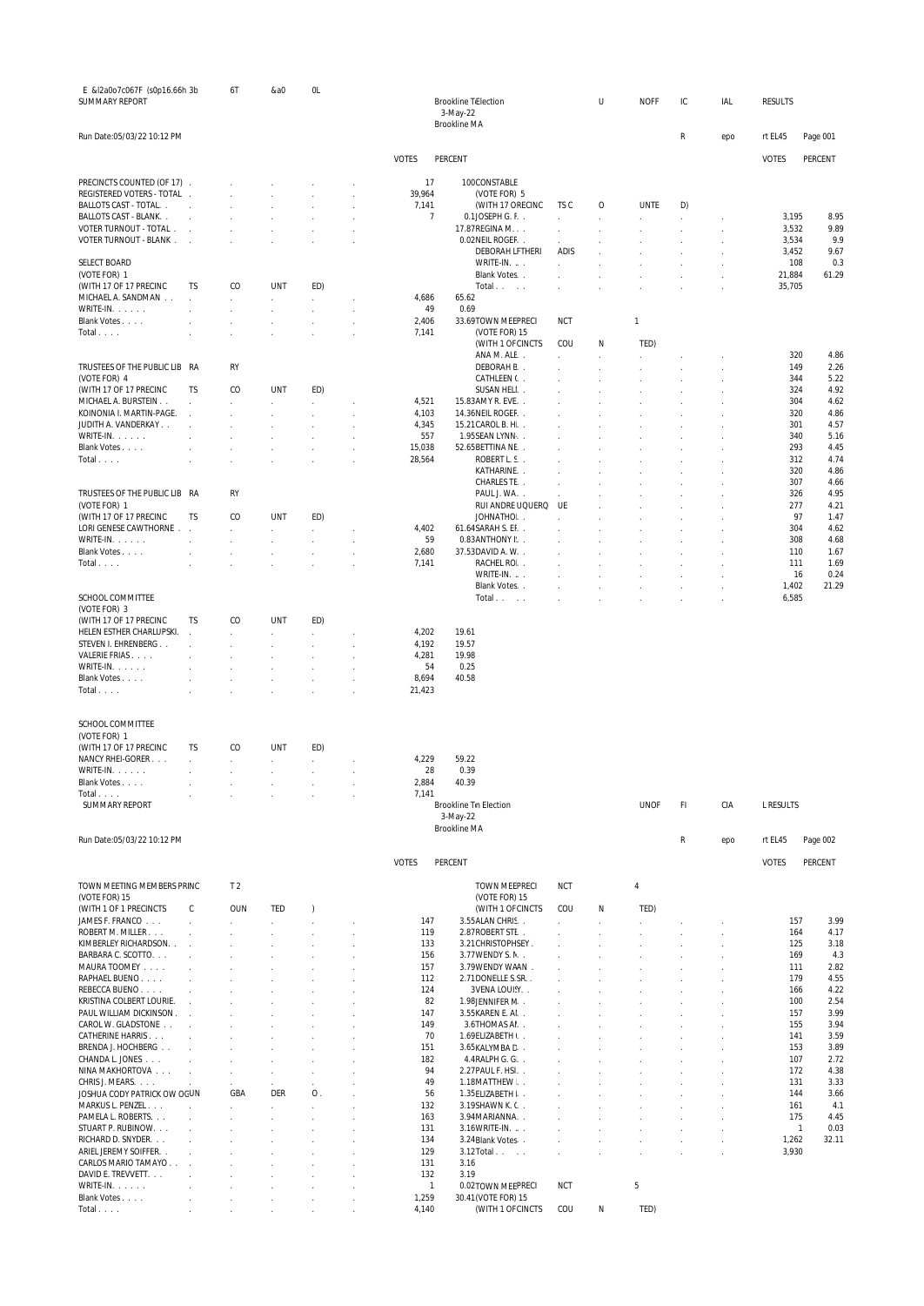| E &I2a0o7c067F (s0p16.66h 3b<br><b>SUMMARY REPORT</b> |                        | 6T                                | &a0        | OL                  |                       | <b>Brookline TiElection</b><br>3-May-22  |            | U            | <b>NOFF</b> | IС        | IAL | <b>RESULTS</b> |                               |
|-------------------------------------------------------|------------------------|-----------------------------------|------------|---------------------|-----------------------|------------------------------------------|------------|--------------|-------------|-----------|-----|----------------|-------------------------------|
|                                                       |                        |                                   |            |                     |                       | <b>Brookline MA</b>                      |            |              |             |           |     |                |                               |
| Run Date:05/03/22 10:12 PM                            |                        |                                   |            |                     |                       |                                          |            |              |             | R         | epo | rt EL45        | Page 001                      |
|                                                       |                        |                                   |            |                     | <b>VOTES</b>          | PERCENT                                  |            |              |             |           |     | <b>VOTES</b>   | PERCENT                       |
| PRECINCTS COUNTED (OF 17)                             |                        |                                   |            |                     | 17                    | 100CONSTABLE                             |            |              |             |           |     |                |                               |
| REGISTERED VOTERS - TOTAL .<br>BALLOTS CAST - TOTAL   | $\mathbf{r}$           |                                   |            |                     | 39,964<br>7,141       | (VOTE FOR) 5<br>(WITH 17 ORECINC         | TS C       | 0            | <b>UNTE</b> | D)        |     |                |                               |
| BALLOTS CAST - BLANK                                  |                        |                                   |            |                     | 7                     | 0.1JOSEPH G. F.                          |            |              |             | $\cdot$   |     | 3,195          | 8.95                          |
| VOTER TURNOUT - TOTAL.                                | $\sim$                 |                                   |            |                     |                       | 17.87 REGINA M.                          |            | $\mathbf{r}$ |             | $\lambda$ |     | 3,532          | 9.89                          |
| VOTER TURNOUT - BLANK.                                | $\overline{a}$         |                                   |            |                     |                       | 0.02NEIL ROGEF<br><b>DEBORAH LFTHERI</b> | ADIS       |              |             |           |     | 3,534<br>3,452 | 9.9<br>9.67                   |
| <b>SELECT BOARD</b>                                   |                        |                                   |            |                     |                       | WRITE-IN.                                |            |              |             |           |     | 108            | 0.3                           |
| (VOTE FOR) 1                                          |                        |                                   |            |                     |                       | Blank Votes                              |            |              |             |           |     | 21,884         | 61.29                         |
| (WITH 17 OF 17 PRECINC                                | TS                     | CO                                | UNT        | ED)                 |                       | Total<br>$\sim$ $\sim$                   |            |              |             |           |     | 35,705         |                               |
| MICHAEL A. SANDMAN<br>WRITE-IN.                       |                        | $\epsilon$                        | $\sim$     | $\sim$              | 4,686<br>49           | 65.62<br>0.69                            |            |              |             |           |     |                |                               |
| Blank Votes                                           |                        |                                   |            |                     | 2,406                 | 33.69TOWN MEEPRECI                       | <b>NCT</b> |              | 1           |           |     |                |                               |
| Total                                                 |                        |                                   |            |                     | 7,141                 | (VOTE FOR) 15                            |            |              |             |           |     |                |                               |
|                                                       |                        |                                   |            |                     |                       | (WITH 1 OF CINCTS                        | COU        | Ν            | TED)        |           |     |                |                               |
| TRUSTEES OF THE PUBLIC LIB RA                         |                        | RY                                |            |                     |                       | ANA M. ALE<br>DEBORAH E.                 |            |              |             |           |     | 320<br>149     | 4.86<br>2.26                  |
| (VOTE FOR) 4                                          |                        |                                   |            |                     |                       | CATHLEEN (                               |            |              |             |           |     | 344            | 5.22                          |
| (WITH 17 OF 17 PRECINC                                | ΤS                     | CO                                | <b>UNT</b> | ED)                 |                       | SUSAN HELI                               |            |              |             |           |     | 324            | 4.92                          |
| MICHAEL A. BURSTEIN<br>KOINONIA I. MARTIN-PAGE.       | ł,                     |                                   | $\sim$     | $\epsilon$          | 4,521<br>4,103        | 15.83AMY R. EVE<br>14.36NEIL ROGEF       |            |              |             |           |     | 304<br>320     | 4.62<br>4.86                  |
| JUDITH A. VANDERKAY                                   |                        |                                   |            |                     | 4,345                 | 15.21 CAROL B. H.                        |            |              |             |           |     | 301            | 4.57                          |
| WRITE-IN.                                             |                        |                                   |            |                     | 557                   | 1.95SEAN LYNN                            |            |              |             |           |     | 340            | 5.16                          |
| Blank Votes                                           |                        |                                   |            |                     | 15,038                | 52.65BETTINA NE. .                       |            |              |             |           |     | 293            | 4.45                          |
| Total                                                 |                        |                                   |            |                     | 28,564                | ROBERT L. S.<br>KATHARINE                |            |              |             |           |     | 312<br>320     | 4.74<br>4.86                  |
|                                                       |                        |                                   |            |                     |                       | CHARLES TE. .                            |            |              |             |           |     | 307            | 4.66                          |
| TRUSTEES OF THE PUBLIC LIB RA                         |                        | <b>RY</b>                         |            |                     |                       | PAUL J. WA                               |            |              |             |           |     | 326            | 4.95                          |
| (VOTE FOR) 1                                          |                        |                                   |            |                     |                       | RUI ANDRE UQUERQ UE                      |            |              |             |           |     | 277            | 4.21                          |
| (WITH 17 OF 17 PRECINC<br>LORI GENESE CAWTHORNE .     | TS                     | CO                                | <b>UNT</b> | ED)<br>$\mathbf{r}$ | 4,402                 | JOHNATHO.<br>61.64SARAH S. EF            |            |              |             |           |     | 97<br>304      | 1.47<br>4.62                  |
| WRITE-IN. $\ldots$ .                                  | à.                     | $\mathbf{r}$                      | ÷          | $\mathcal{L}$       | 59                    | 0.83ANTHONY I.                           |            |              |             |           |     | 308            | 4.68                          |
| Blank Votes                                           |                        |                                   |            |                     | 2,680                 | 37.53DAVID A. W. .                       |            |              |             |           |     | 110            | 1.67                          |
| Total                                                 |                        |                                   |            |                     | 7,141                 | RACHEL RO<br>WRITE-IN.                   |            |              |             |           |     | 111<br>16      | 1.69<br>0.24                  |
|                                                       |                        |                                   |            |                     |                       | Blank Votes                              |            |              | ×.          | $\lambda$ |     | 1,402          | 21.29                         |
| SCHOOL COMMITTEE                                      |                        |                                   |            |                     |                       | Total                                    |            |              |             |           |     | 6,585          |                               |
| (VOTE FOR) 3                                          |                        |                                   |            |                     |                       |                                          |            |              |             |           |     |                |                               |
| (WITH 17 OF 17 PRECINC<br>HELEN ESTHER CHARLUPSKI.    | TS                     | CO                                | <b>UNT</b> | ED)                 | 4,202                 | 19.61                                    |            |              |             |           |     |                |                               |
| STEVEN I. EHRENBERG                                   |                        |                                   |            |                     | 4,192                 | 19.57                                    |            |              |             |           |     |                |                               |
| VALERIE FRIAS.                                        |                        |                                   |            |                     | 4,281                 | 19.98                                    |            |              |             |           |     |                |                               |
| WRITE-IN.                                             |                        |                                   |            |                     | 54                    | 0.25                                     |            |              |             |           |     |                |                               |
| Blank Votes<br>Total                                  |                        |                                   |            |                     | 8,694<br>21,423       | 40.58                                    |            |              |             |           |     |                |                               |
|                                                       |                        |                                   |            |                     |                       |                                          |            |              |             |           |     |                |                               |
| SCHOOL COMMITTEE                                      |                        |                                   |            |                     |                       |                                          |            |              |             |           |     |                |                               |
| (VOTE FOR) 1                                          |                        |                                   |            |                     |                       |                                          |            |              |             |           |     |                |                               |
| (WITH 17 OF 17 PRECINC                                | TS                     | CO                                | <b>UNT</b> | ED)                 |                       |                                          |            |              |             |           |     |                |                               |
| NANCY RHEI-GORER<br>WRITE-IN.                         | J.                     | $\mathcal{L}^{\mathcal{L}}$<br>÷. | ÷.         | $\epsilon$          | 4,229<br>28           | 59.22<br>0.39                            |            |              |             |           |     |                |                               |
| Blank Votes                                           |                        |                                   | ×.         | $\sim$              | 2,884                 | 40.39                                    |            |              |             |           |     |                |                               |
| Total                                                 |                        |                                   |            |                     | 7,141                 |                                          |            |              |             |           |     |                |                               |
| <b>SUMMARY REPORT</b>                                 |                        |                                   |            |                     |                       | <b>Brookline Tn Election</b>             |            |              | <b>UNOF</b> | FI        | CIA | L RESULTS      |                               |
|                                                       |                        |                                   |            |                     |                       | 3-May-22<br><b>Brookline MA</b>          |            |              |             |           |     |                |                               |
| Run Date:05/03/22 10:12 PM                            |                        |                                   |            |                     |                       |                                          |            |              |             | R         | epo | rt EL45        | Page 002                      |
|                                                       |                        |                                   |            |                     |                       |                                          |            |              |             |           |     |                |                               |
|                                                       |                        |                                   |            |                     | <b>VOTES</b>          | PERCENT                                  |            |              |             |           |     | <b>VOTES</b>   | PERCENT                       |
| TOWN MEETING MEMBERS PRINC                            |                        | T <sub>2</sub>                    |            |                     |                       | <b>TOWN MEEPRECI</b>                     | <b>NCT</b> |              | 4           |           |     |                |                               |
| (VOTE FOR) 15                                         |                        |                                   |            |                     |                       | (VOTE FOR) 15                            |            |              |             |           |     |                |                               |
| (WITH 1 OF 1 PRECINCTS<br>JAMES F. FRANCO             | С                      | <b>OUN</b>                        | TED<br>v.  | $\lambda$           | 147                   | (WITH 1 OF CINCTS<br>3.55ALAN CHRIS      | COU        | Ν            | TED)        |           |     | 157            | 3.99                          |
| ROBERT M. MILLER                                      |                        |                                   |            |                     | 119                   | 2.87 ROBERT STL.                         |            |              |             |           |     | 164            | 4.17                          |
| KIMBERLEY RICHARDSON. .                               |                        |                                   |            |                     | 133                   | 3.21 CHRISTOPHSEY.                       |            |              |             |           |     | 125            | 3.18                          |
| BARBARA C. SCOTTO.                                    | $\overline{a}$         |                                   |            |                     | 156                   | 3.77 WENDY S. N.                         |            |              |             |           |     | 169            | 4.3                           |
| MAURA TOOMEY<br>RAPHAEL BUENO                         | $\mathbf{r}$<br>$\sim$ |                                   |            |                     | 157<br>112            | 3.79WENDY WAAN.<br>2.71DONELLE S.SR.     |            |              |             |           |     | 111<br>179     | 2.82<br>4.55                  |
| REBECCA BUENO                                         |                        |                                   |            |                     | 124                   | 3 VENA LOUISY                            |            |              |             |           |     | 166            | 4.22                          |
| KRISTINA COLBERT LOURIE.                              |                        |                                   |            |                     | 82                    | 1.98JENNIFER N. .                        |            |              |             |           |     | 100            | 2.54                          |
| PAUL WILLIAM DICKINSON.<br>CAROL W. GLADSTONE         | $\sim$                 |                                   |            |                     | 147<br>149            | 3.55 KAREN E. Al.<br>3.6THOMAS AI.       |            |              |             |           |     | 157<br>155     | 3.99<br>3.94                  |
| CATHERINE HARRIS                                      | $\overline{a}$         |                                   |            |                     | 70                    | 1.69ELIZABETH \. .                       |            |              |             |           |     | 141            | 3.59                          |
| BRENDA J. HOCHBERG                                    | ÷.                     |                                   |            |                     | 151                   | 3.65KALYMBA C                            | a.         |              | ÷           | ÷         |     | 153            | 3.89                          |
| CHANDA L. JONES                                       | ÷                      |                                   |            |                     | 182                   | 4.4 RALPH G. G                           |            |              |             |           |     | 107            | 2.72                          |
| NINA MAKHORTOVA<br>CHRIS J. MEARS.                    | $\mathcal{L}$          | J.                                | ÷.         |                     | 94<br>49              | 2.27 PAUL F. HSI<br>1.18MATTHEW          | ÷          |              | ÷           | $\lambda$ |     | 172<br>131     | 4.38<br>3.33                  |
| JOSHUA CODY PATRICK OW OGUN                           |                        | GBA                               | DER        | $\mathsf{O}$ .      | 56                    | 1.35 ELIZABETH I.                        |            |              | ÷           |           |     | 144            | 3.66                          |
| MARKUS L. PENZEL                                      |                        |                                   | ÷          | $\mathbf{r}$        | 132                   | 3.19SHAWN K. C.                          |            |              |             |           |     | 161            | 4.1                           |
| PAMELA L. ROBERTS.                                    | l.                     |                                   |            | $\mathbf{r}$        | 163                   | 3.94 MARIANNA                            |            |              |             |           |     | 175            | 4.45                          |
| STUART P. RUBINOW.<br>RICHARD D. SNYDER.              | $\overline{a}$         |                                   |            |                     | 131<br>134            | 3.16 WRITE-IN.<br>3.24Blank Votes        |            |              | J.          | $\lambda$ |     | 1,262          | $\mathbf{1}$<br>0.03<br>32.11 |
| ARIEL JEREMY SOIFFER. .                               |                        |                                   |            |                     | 129                   | $3.12$ Total $\ldots$                    |            |              | J.          | J.        |     | 3,930          |                               |
| CARLOS MARIO TAMAYO                                   |                        |                                   |            |                     | 131                   | 3.16                                     |            |              |             |           |     |                |                               |
| DAVID E. TREVVETT.<br>WRITE-IN.                       |                        |                                   |            |                     | 132<br>$\overline{1}$ | 3.19<br>0.02TOWN MEEPRECI                | <b>NCT</b> |              | 5           |           |     |                |                               |
| Blank Votes                                           |                        |                                   |            |                     | 1,259                 | 30.41 (VOTE FOR) 15                      |            |              |             |           |     |                |                               |
| Total                                                 |                        |                                   |            |                     | 4,140                 | (WITH 1 OF CINCTS                        | COU        | Ν            | TED)        |           |     |                |                               |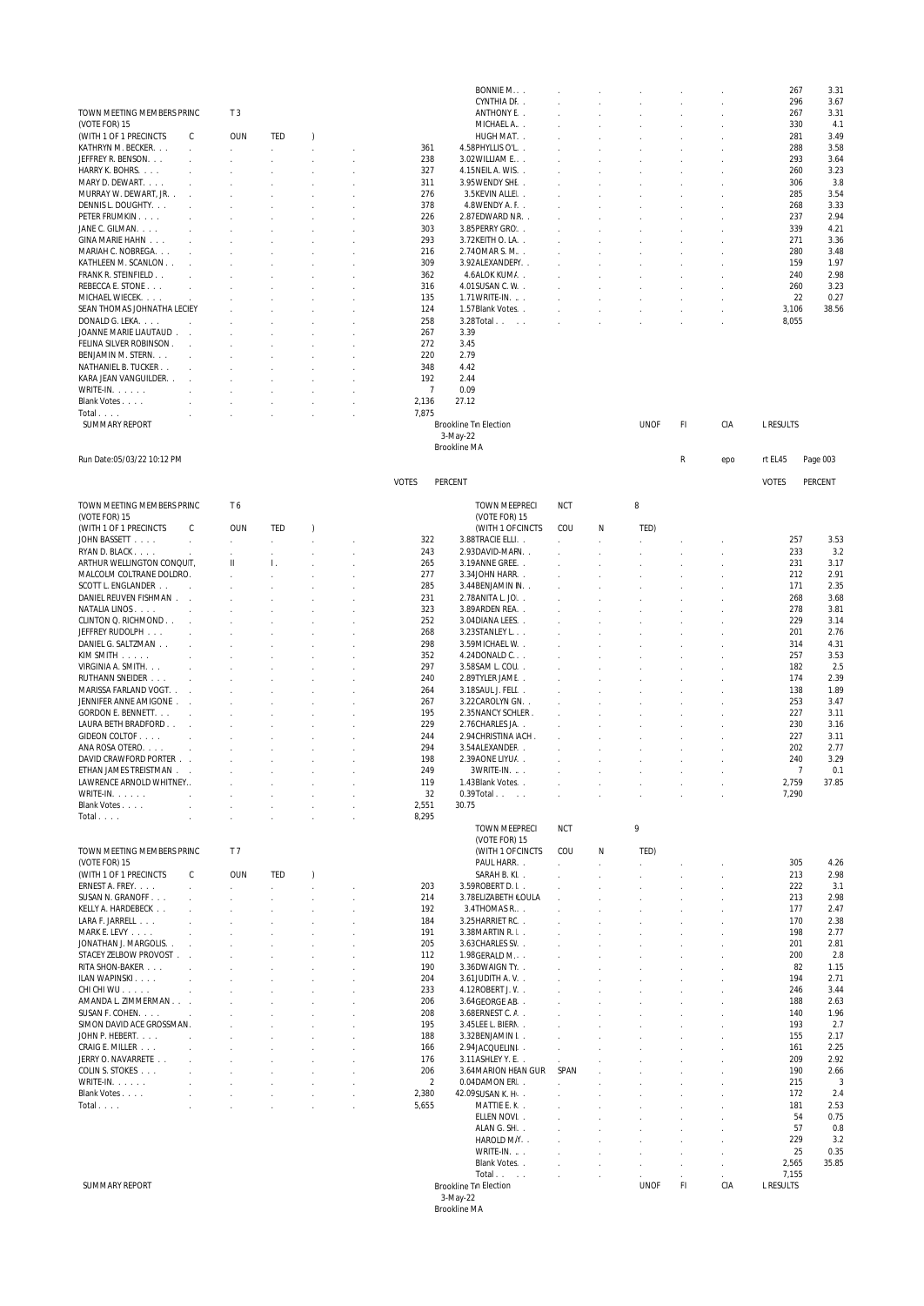|                                                             |                             |                               |                     |               |                         | BONNIE M                                        |                             |                             |               |                |     | 267            | 3.31                           |
|-------------------------------------------------------------|-----------------------------|-------------------------------|---------------------|---------------|-------------------------|-------------------------------------------------|-----------------------------|-----------------------------|---------------|----------------|-----|----------------|--------------------------------|
| TOWN MEETING MEMBERS PRINC                                  |                             | T <sub>3</sub>                |                     |               |                         | CYNTHIA DI<br>ANTHONY E. .                      | $\mathcal{L}$               |                             |               |                |     | 296<br>267     | 3.67<br>3.31                   |
| (VOTE FOR) 15                                               |                             |                               |                     |               |                         | MICHAEL A                                       |                             |                             |               |                |     | 330            | 4.1                            |
| (WITH 1 OF 1 PRECINCTS                                      | С                           | <b>OUN</b>                    | TED                 | $\lambda$     |                         | HUGH MAT                                        | $\mathcal{L}^{\mathcal{L}}$ |                             |               |                |     | 281            | 3.49                           |
| KATHRYN M. BECKER.                                          | $\mathcal{L}$               | V.                            | $\mathcal{L}^{\pm}$ | $\sim$        | 361                     | 4.58PHYLLIS O'L.                                | $\sim$                      |                             |               |                |     | 288            | 3.58                           |
| JEFFREY R. BENSON.<br>HARRY K. BOHRS.                       | $\sim$                      | $\mathcal{L}^{\pm}$           | ÷.                  |               | 238<br>327              | 3.02 WILLIAM E<br>4.15 NEIL A. WIS              | $\mathcal{L}^{\mathcal{L}}$ | $\mathcal{L}$               |               |                |     | 293<br>260     | 3.64<br>3.23                   |
| MARY D. DEWART.                                             |                             |                               |                     |               | 311                     | 3.95 WENDY SHE.                                 |                             |                             |               |                |     | 306            | 3.8                            |
| MURRAY W. DEWART, JR.                                       |                             | $\mathcal{L}$                 | o.                  |               | 276                     | 3.5KEVIN ALLE                                   | $\sim$                      |                             |               |                |     | 285            | 3.54                           |
| DENNIS L. DOUGHTY.                                          |                             |                               |                     |               | 378                     | 4.8WENDY A. F.                                  |                             |                             |               |                |     | 268            | 3.33                           |
| JANE C. GILMAN.                                             | $\sim 10^{-1}$              | $\mathcal{L}^{\text{max}}$    | $\mathcal{L}$       | $\mathcal{L}$ | 226<br>303              | 2.87EDWARD NR. .<br>3.85 PERRY GRO.             | $\sim$<br>$\mathcal{L}$     | o.                          | o.            | ÷              |     | 237<br>339     | 2.94<br>4.21                   |
|                                                             |                             | $\mathcal{L}$                 | o.                  |               | 293                     | 3.72KEITH O. LA. .                              | $\sim$                      | $\mathcal{L}^{\mathcal{L}}$ | $\mathcal{L}$ | $\overline{a}$ |     | 271            | 3.36                           |
| MARIAH C. NOBREGA.                                          |                             |                               |                     |               | 216                     | 2.740MAR S. M. .                                |                             |                             |               |                |     | 280            | 3.48                           |
| KATHLEEN M. SCANLON                                         |                             | $\sim 10^{-11}$               | $\mathcal{L}$       | $\mathcal{L}$ | 309                     | 3.92ALEXANDEFY.                                 | $\sim$                      | $\sim$                      | $\sim$        | $\mathcal{L}$  |     | 159            | 1.97                           |
|                                                             |                             | $\mathcal{L}^{\text{max}}$    | s.                  |               | 362                     | 4.6ALOK KUMA                                    |                             | o.                          |               |                |     | 240<br>260     | 2.98                           |
|                                                             |                             |                               |                     | $\sim$        | 316<br>135              | 4.01 SUSAN C. W.<br>$1.71$ WRITE-IN. $\ldots$ . | $\mathcal{L}^{\text{max}}$  |                             | $\sim$        | $\mathcal{L}$  |     | 22             | 3.23<br>0.27                   |
| SEAN THOMAS JOHNATHA LECIEY                                 |                             | $\mathcal{L}^{\pm}$           | s.                  |               | 124                     | 1.57Blank Votes                                 | s.                          | s.                          | $\sim$        | i.             |     | 3,106          | 38.56                          |
|                                                             |                             |                               |                     |               | 258                     | $3.28$ Total $\ldots$                           | $\sim$                      | $\mathcal{L}$               | $\mathcal{L}$ |                |     | 8,055          |                                |
| JOANNE MARIE LIAUTAUD.                                      |                             | $\mathcal{L}$                 | $\mathcal{L}$       | $\sim$        | 267                     | 3.39                                            |                             |                             |               |                |     |                |                                |
| FELINA SILVER ROBINSON<br>BENJAMIN M. STERN                 |                             |                               |                     |               | 272<br>220              | 3.45<br>2.79                                    |                             |                             |               |                |     |                |                                |
| NATHANIEL B. TUCKER                                         | $\sim 10^{-11}$             | $\mathcal{L}^{\mathcal{L}}$ . |                     |               | 348                     | 4.42                                            |                             |                             |               |                |     |                |                                |
| KARA JEAN VANGUILDER.                                       |                             |                               |                     |               | 192                     | 2.44                                            |                             |                             |               |                |     |                |                                |
| WRITE-IN.<br><b>Contract</b>                                |                             |                               |                     |               | $\overline{7}$          | 0.09                                            |                             |                             |               |                |     |                |                                |
| Blank Votes                                                 |                             |                               |                     |               | 2,136                   | 27.12                                           |                             |                             |               |                |     |                |                                |
| Total<br><b>SUMMARY REPORT</b>                              | $\mathcal{L}^{\mathcal{L}}$ | $\mathcal{L}^{\mathcal{L}}$   |                     |               | 7,875                   | <b>Brookline Tin Election</b>                   |                             |                             | <b>UNOF</b>   | FI             | CIA | L RESULTS      |                                |
|                                                             |                             |                               |                     |               |                         | 3-May-22                                        |                             |                             |               |                |     |                |                                |
|                                                             |                             |                               |                     |               |                         | <b>Brookline MA</b>                             |                             |                             |               |                |     |                |                                |
| Run Date:05/03/22 10:12 PM                                  |                             |                               |                     |               |                         |                                                 |                             |                             |               | R              | epo | rt EL45        | Page 003                       |
|                                                             |                             |                               |                     |               | <b>VOTES</b>            | PERCENT                                         |                             |                             |               |                |     | <b>VOTES</b>   | PERCENT                        |
|                                                             |                             |                               |                     |               |                         |                                                 |                             |                             |               |                |     |                |                                |
| TOWN MEETING MEMBERS PRINC<br>(VOTE FOR) 15                 |                             | T 6                           |                     |               |                         | <b>TOWN MEEPRECI</b><br>(VOTE FOR) 15           | <b>NCT</b>                  |                             | 8             |                |     |                |                                |
| (WITH 1 OF 1 PRECINCTS                                      | C                           | <b>OUN</b>                    | TED                 | $\lambda$     |                         | (WITH 1 OF CINCTS                               | COU                         | N                           | TED)          |                |     |                |                                |
| JOHN BASSETT                                                | $\mathcal{L}$               |                               |                     |               | 322                     | 3.88TRACIE ELLI                                 |                             |                             |               |                |     | 257            | 3.53                           |
| RYAN D. BLACK                                               | $\sim$                      | $\mathbf{r}$                  | $\mathbf{r}$        | $\mathbf{r}$  | 243                     | 2.93DAVID-MAFN                                  | s.                          | $\mathbf{r}$                | $\mathcal{L}$ | $\mathcal{L}$  |     | 233            | 3.2                            |
| ARTHUR WELLINGTON CONQUIT,                                  |                             | $\mathbf{H}$                  | Τ.                  |               | 265                     | 3.19ANNE GREE.                                  |                             |                             |               |                |     | 231            | 3.17                           |
| MALCOLM COLTRANE DOLDRO.<br>SCOTT L. ENGLANDER<br>$\sim 10$ |                             | ÷.                            | $\mathcal{L}$       | $\mathbf{r}$  | 277<br>285              | 3.34JOHN HARR<br>3.44 BENJAMIN IN. .            | $\mathcal{L}^{\pm}$         | s.                          | $\mathcal{L}$ | ÷              |     | 212<br>171     | 2.91<br>2.35                   |
| DANIEL REUVEN FISHMAN                                       |                             | $\mathcal{L}$                 | ÷                   |               | 231                     | 2.78ANITA L. JO                                 | s.                          | ÷                           | $\mathcal{L}$ | ÷              |     | 268            | 3.68                           |
| NATALIA LINOS<br>$\sim 100$ km                              |                             |                               |                     |               | 323                     | 3.89ARDEN REA                                   |                             |                             |               |                |     | 278            | 3.81                           |
| CLINTON Q. RICHMOND                                         |                             |                               |                     |               | 252                     | 3.04 DIANA LEES                                 | $\mathcal{L}$               |                             | ÷.            |                |     | 229            | 3.14                           |
| DANIEL G. SALTZMAN                                          |                             |                               |                     |               | 268<br>298              | 3.23STANLEY L.                                  | $\sim$                      |                             |               |                |     | 201<br>314     | 2.76                           |
| $KIM$ SMITH $\ldots$ $\ldots$                               |                             |                               |                     |               | 352                     | 3.59MICHAEL W.<br>4.24DONALD C                  | $\mathcal{L}^{\pm}$         |                             |               |                |     | 257            | 4.31<br>3.53                   |
| VIRGINIA A. SMITH.<br>$\sim 10^7$                           |                             |                               |                     |               | 297                     | 3.58SAM L. COL                                  |                             |                             |               |                |     | 182            | 2.5                            |
| RUTHANN SNEIDER<br>$\sim 10^{-1}$                           |                             |                               |                     |               | 240                     | 2.89TYLER JAME                                  |                             |                             |               |                |     | 174            | 2.39                           |
| MARISSA FARLAND VOGT                                        |                             |                               |                     |               | 264                     | 3.18SAUL J. FELI                                |                             |                             |               |                |     | 138            | 1.89                           |
| JENNIFER ANNE AMIGONE                                       |                             | $\mathcal{L}^{\text{max}}$    | $\mathcal{L}$       |               | 267                     | 3.22 CAROLYN GN. .                              | $\sim$                      | $\mathcal{L}$               |               |                |     | 253            | 3.47                           |
| GORDON E. BENNETT.<br>LAURA BETH BRADFORD                   |                             | $\mathcal{L}$                 | $\mathcal{L}$       |               | 195<br>229              | 2.35 NANCY SCHLER.<br>2.76CHARLES JA.           | $\mathcal{L}$               | $\mathcal{L}$               | $\mathcal{L}$ |                |     | 227<br>230     | 3.11<br>3.16                   |
| GIDEON COLTOF<br>$\sim 10$                                  |                             |                               |                     |               | 244                     | 2.94CHRISTINA ACH.                              |                             |                             |               |                |     | 227            | 3.11                           |
| ANA ROSA OTERO.                                             | $\mathcal{L}^{\text{max}}$  |                               |                     |               | 294                     | 3.54ALEXANDEF.                                  | a.                          |                             |               |                |     | 202            | 2.77                           |
| DAVID CRAWFORD PORTER                                       |                             |                               |                     |               | 198                     | 2.39AONE LIYU/                                  |                             |                             |               |                |     | 240            | 3.29                           |
| ETHAN JAMES TREISTMAN<br>LAWRENCE ARNOLD WHITNEY            |                             |                               |                     |               | 249<br>119              | 3WRITE-IN.                                      |                             |                             |               |                |     |                | $\overline{7}$<br>0.1<br>37.85 |
| WRITE-IN.                                                   |                             |                               |                     |               | 32                      | 1.43Blank Votes<br>0.39 Total                   |                             | $\mathcal{L}$               | $\sim$        | $\bar{z}$      |     | 2,759<br>7,290 |                                |
| Blank Votes                                                 |                             |                               |                     |               | 2,551                   | 30.75                                           |                             |                             |               |                |     |                |                                |
| Total                                                       | J.                          | $\mathbf{r}$                  |                     |               | 8,295                   |                                                 |                             |                             |               |                |     |                |                                |
|                                                             |                             |                               |                     |               |                         | <b>TOWN MEEPRECI</b><br>(VOTE FOR) 15           | <b>NCT</b>                  |                             | 9             |                |     |                |                                |
| TOWN MEETING MEMBERS PRINC                                  |                             | T 7                           |                     |               |                         | (WITH 1 OF CINCTS                               | COU                         | Ν                           | TED)          |                |     |                |                                |
| (VOTE FOR) 15                                               |                             |                               |                     |               |                         | PAUL HARR                                       |                             |                             | ÷.            |                |     | 305            | 4.26                           |
| (WITH 1 OF 1 PRECINCTS                                      | С                           | <b>OUN</b>                    | TED                 | $\lambda$     |                         | SARAH B. Kl<br>3.59ROBERT D. I.                 |                             |                             |               |                |     | 213            | 2.98                           |
| ERNEST A. FREY.<br>SUSAN N. GRANOFF                         | ÷                           | ÷.                            | ÷.                  | $\mathcal{A}$ | 203<br>214              | 3.78 ELIZABETH LOULA                            |                             | ÷.                          | ÷             | $\overline{a}$ | ÷.  | 222<br>213     | 3.1<br>2.98                    |
| KELLY A. HARDEBECK                                          |                             |                               |                     |               | 192                     | 3.4THOMAS R.                                    |                             |                             |               |                |     | 177            | 2.47                           |
| LARA F. JARRELL                                             |                             |                               |                     |               | 184                     | 3.25 HARRIET RC.                                |                             |                             |               |                |     | 170            | 2.38                           |
| MARK E. LEVY                                                |                             |                               |                     |               | 191                     | 3.38 MARTIN R. L.                               |                             |                             | ÷             |                |     | 198            | 2.77                           |
| JONATHAN J. MARGOLIS<br>STACEY ZELBOW PROVOST.              | $\overline{a}$              |                               |                     |               | 205<br>112              | 3.63CHARLES S\. .<br>1.98GERALD M               |                             |                             |               |                |     | 201<br>200     | 2.81<br>2.8                    |
| RITA SHON-BAKER                                             | $\sim$                      |                               |                     |               | 190                     | 3.36DWAIGN TY. .                                |                             |                             |               |                |     | 82             | 1.15                           |
| ILAN WAPINSKI                                               | $\overline{a}$              |                               |                     |               | 204                     | 3.61JUDITH A.V                                  |                             |                             |               |                |     | 194            | 2.71                           |
| CHI CHI WU.                                                 | $\mathcal{L}$               |                               |                     |               | 233                     | 4.12ROBERT J.V.                                 |                             |                             |               |                |     | 246            | 3.44                           |
| AMANDA L. ZIMMERMAN                                         |                             |                               |                     |               | 206                     | 3.64 GEORGE AB. .                               |                             |                             |               |                |     | 188            | 2.63                           |
| SUSAN F. COHEN.<br>SIMON DAVID ACE GROSSMAN.                |                             |                               |                     |               | 208<br>195              | 3.68ERNEST C. A.<br>3.45LEE L. BIERN            |                             |                             |               |                |     | 140<br>193     | 1.96<br>2.7                    |
| JOHN P. HEBERT.                                             | $\sim$                      | $\mathbf{r}$                  | ÷                   |               | 188                     | 3.32BENJAMIN I.                                 |                             |                             |               |                |     | 155            | 2.17                           |
| CRAIG E. MILLER                                             | $\overline{a}$              |                               |                     |               | 166                     | 2.94JACQUELINI.                                 |                             |                             |               |                |     | 161            | 2.25                           |
| JERRY O. NAVARRETE                                          | $\sim$                      |                               | ÷                   |               | 176                     | 3.11 ASHLEY Y. E.                               |                             |                             |               |                |     | 209            | 2.92                           |
| COLIN S. STOKES                                             | $\overline{a}$              |                               |                     |               | 206                     | 3.64 MARION HEAN GUR                            | SPAN                        |                             |               |                |     | 190            | 2.66                           |
| WRITE-IN.<br>Blank Votes                                    | s.                          | ÷                             | ÷                   | ÷             | $\overline{2}$<br>2,380 | 0.04DAMON ER.<br>42.09SUSAN K. H. .             |                             |                             | ÷             | ÷              |     | 215<br>172     | 3<br>2.4                       |
| Total                                                       | $\mathbf{r}$                |                               |                     |               | 5,655                   | MATTIE E. K.                                    | ÷                           | ÷                           | ÷             | ÷              |     | 181            | 2.53                           |
|                                                             |                             |                               |                     |               |                         | ELLEN NOVI                                      |                             |                             |               |                |     | 54             | 0.75                           |
|                                                             |                             |                               |                     |               |                         | ALANG. SH                                       |                             |                             | ÷             |                |     | 57             | 0.8                            |
|                                                             |                             |                               |                     |               |                         | HAROLD M/Y<br>WRITE-IN.                         |                             |                             | s.            |                |     | 229<br>25      | 3.2<br>0.35                    |
|                                                             |                             |                               |                     |               |                         | Blank Votes                                     |                             |                             |               |                |     | 2,565          | 35.85                          |
|                                                             |                             |                               |                     |               |                         | Total<br>$\sim$ $\sim$                          |                             |                             | $\mathbf{r}$  | $\cdot$        |     | 7,155          |                                |
| <b>SUMMARY REPORT</b>                                       |                             |                               |                     |               |                         | <b>Brookline Tin Election</b>                   |                             |                             | <b>UNOF</b>   | FI             | CIA | L RESULTS      |                                |
|                                                             |                             |                               |                     |               |                         | 3-May-22<br>Brookline MA                        |                             |                             |               |                |     |                |                                |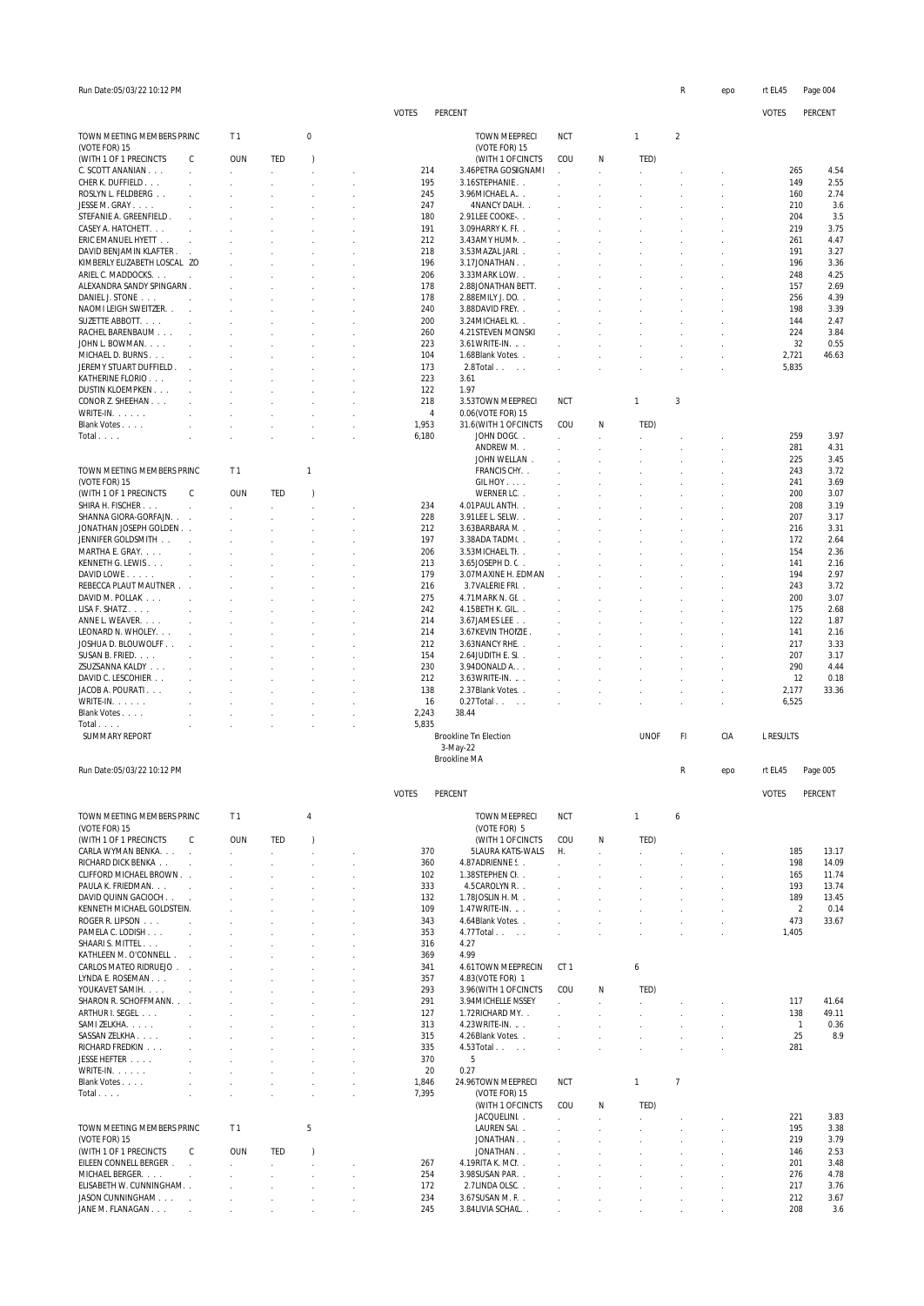| Run Date:05/03/22 10:12 PM                    |                             |                                              |                             |                     |          |                |                                             |                              |                              |                                | R                                | epo            | rt EL45        |                | Page 004       |
|-----------------------------------------------|-----------------------------|----------------------------------------------|-----------------------------|---------------------|----------|----------------|---------------------------------------------|------------------------------|------------------------------|--------------------------------|----------------------------------|----------------|----------------|----------------|----------------|
|                                               |                             |                                              |                             |                     |          | <b>VOTES</b>   | PERCENT                                     |                              |                              |                                |                                  |                | <b>VOTES</b>   |                | PERCENT        |
|                                               |                             |                                              |                             |                     |          |                |                                             |                              |                              |                                |                                  |                |                |                |                |
| TOWN MEETING MEMBERS PRINC<br>(VOTE FOR) 15   |                             | T <sub>1</sub>                               |                             | 0                   |          |                | TOWN MEEPRECI<br>(VOTE FOR) 15              | <b>NCT</b>                   |                              | 1                              | $\sqrt{2}$                       |                |                |                |                |
| (WITH 1 OF 1 PRECINCTS                        | C                           | <b>OUN</b>                                   | TED                         | $\lambda$           |          |                | (WITH 1 OF CINCTS                           | COU                          | Ν                            | TED)                           |                                  |                |                |                |                |
| C. SCOTT ANANIAN<br>CHER K. DUFFIELD          | $\mathcal{L}$               | ÷.                                           | v.<br>$\mathcal{L}$         | i,<br>÷.            |          | 214<br>195     | 3.46 PETRA GOSIGNAMI<br>3.16STEPHANIE       |                              |                              | ÷                              |                                  |                |                | 265<br>149     | 4.54<br>2.55   |
| ROSLYN L. FELDBERG                            |                             |                                              |                             |                     |          | 245            | 3.96MICHAEL A. .                            |                              |                              |                                |                                  |                |                | 160            | 2.74           |
| JESSE M. GRAY                                 | $\mathcal{L}$               | $\mathbf{r}$                                 | $\mathbf{r}$                | $\mathbf{r}$        |          | 247            | 4NANCY DALH                                 | ÷                            | ÷                            |                                |                                  |                |                | 210            | 3.6            |
| STEFANIE A. GREENFIELD.                       | $\mathcal{L}$               |                                              |                             |                     |          | 180            | 2.91LEE COOKE                               |                              |                              |                                |                                  |                |                | 204            | 3.5            |
| CASEY A. HATCHETT.<br>ERIC EMANUEL HYETT      | $\sim$<br>$\bar{z}$         | $\mathbf{r}$                                 | $\mathbf{r}$                | $\mathbf{r}$        |          | 191<br>212     | 3.09 HARRY K. FI.<br>3.43AMY HUMN           | $\mathcal{L}$                |                              | $\mathbf{r}$                   |                                  |                | 261            | 219            | 3.75<br>4.47   |
| DAVID BENJAMIN KLAFTER.                       | $\sim$                      | $\mathcal{L}$                                | $\mathcal{L}$               | $\mathbf{r}$        |          | 218            | 3.53 MAZAL JARI                             | s.                           | ÷                            | $\mathcal{L}$                  |                                  |                | 191            |                | 3.27           |
| KIMBERLY ELIZABETH LOSCAL ZO                  |                             |                                              |                             |                     |          | 196            | 3.17JONATHAN.                               |                              |                              |                                |                                  |                |                | 196            | 3.36           |
| ARIEL C. MADDOCKS.                            | $\sim 10$                   | $\mathbf{r}$                                 | $\mathbf{r}$                | $\mathbf{r}$        | ÷        | 206            | 3.33 MARK LOW.                              | $\mathcal{L}$                | o.                           | $\mathbf{r}$                   | ×.                               |                |                | 248            | 4.25           |
| ALEXANDRA SANDY SPINGARN.<br>DANIEL J. STONE  | $\mathbf{r}$                | $\mathbf{r}$                                 | $\mathbf{r}$                | $\mathbf{r}$        |          | 178<br>178     | 2.88JONATHAN BETT.<br>2.88 EMILY J. DC      | $\sim$                       | o.                           | s.                             |                                  |                |                | 157<br>256     | 2.69<br>4.39   |
| NAOMI LEIGH SWEITZER                          | $\sim$                      |                                              | J.                          |                     | ÷        | 240            | 3.88DAVID FREY                              |                              |                              |                                |                                  |                |                | 198            | 3.39           |
| SUZETTE ABBOTT.                               | $\sim 10$                   | $\mathbf{r}$                                 | $\mathbf{r}$                | $\mathbf{r}$        | ÷        | 200            | 3.24 MICHAEL KI.                            | $\mathbf{r}$                 | ÷                            | $\sim$                         | ÷                                |                |                | 144            | 2.47           |
| RACHEL BARENBAUM                              | $\sim$                      |                                              |                             |                     |          | 260            | 4.21 STEVEN MCINSKI                         |                              |                              |                                |                                  |                |                | 224            | 3.84           |
| JOHN L. BOWMAN.                               | $\sim$                      | $\mathbf{r}$                                 | $\mathbf{r}$                | $\mathbf{r}$        | ÷        | 223            | $3.61$ WRITE-IN. $\ldots$                   |                              |                              |                                |                                  |                |                | 32             | 0.55           |
| MICHAEL D. BURNS<br>JEREMY STUART DUFFIELD    | $\mathcal{L}$               | $\mathbf{r}$                                 | $\mathbf{r}$                | $\mathbf{r}$        | ÷        | 104<br>173     | 1.68Blank Votes<br>$2.8$ Total              | $\mathbf{r}$                 |                              |                                | $\overline{a}$                   |                | 2,721<br>5,835 |                | 46.63          |
| KATHERINE FLORIO                              | $\sim$                      |                                              |                             |                     |          | 223            | 3.61                                        |                              |                              |                                |                                  |                |                |                |                |
| DUSTIN KLOEMPKEN                              | $\mathcal{L}$               |                                              | $\mathbf{r}$                | $\mathbf{r}$        |          | 122            | 1.97                                        |                              |                              |                                |                                  |                |                |                |                |
| CONOR Z. SHEEHAN                              | $\mathcal{L}$               |                                              |                             |                     |          | 218            | 3.53TOWN MEEPRECI                           | <b>NCT</b>                   |                              | 1                              | 3                                |                |                |                |                |
| WRITE-IN.                                     |                             |                                              |                             |                     |          | 4              | 0.06 (VOTE FOR) 15                          |                              |                              |                                |                                  |                |                |                |                |
| Blank Votes<br>Total                          |                             |                                              |                             | ÷.<br>$\mathcal{L}$ |          | 1,953<br>6,180 | 31.6 (WITH 1 OF CINCTS<br>JOHN DOG(. .      | COU                          | Ν                            | TED)                           |                                  |                |                | 259            | 3.97           |
|                                               |                             |                                              |                             |                     |          |                | ANDREW N. .                                 |                              |                              |                                |                                  |                | 281            |                | 4.31           |
|                                               |                             |                                              |                             |                     |          |                | JOHN WELLAN.                                |                              |                              |                                |                                  |                |                | 225            | 3.45           |
| TOWN MEETING MEMBERS PRINC                    |                             | T <sub>1</sub>                               |                             | $\mathbf{1}$        |          |                | FRANCIS CFY. .                              |                              |                              |                                |                                  |                |                | 243            | 3.72           |
| (VOTE FOR) 15                                 |                             |                                              |                             |                     |          |                | GIL HOY                                     |                              |                              |                                |                                  |                | 241            |                | 3.69           |
| (WITH 1 OF 1 PRECINCTS<br>SHIRA H. FISCHER.   | C<br>$\mathcal{L}$          | <b>OUN</b><br>÷.                             | TED<br>V.                   | $\lambda$<br>i,     |          | 234            | WERNER LC<br>4.01 PAUL ANTH. .              | s.                           | ÷                            | s.                             |                                  |                |                | 200<br>208     | 3.07<br>3.19   |
| SHANNA GIORA-GORFAJN                          |                             | $\mathcal{L}$                                | $\mathcal{L}$               | $\mathcal{L}$       | J.       | 228            | 3.91 LEE L. SELW. .                         | s.                           |                              | $\mathbf{r}$                   |                                  |                |                | 207            | 3.17           |
| JONATHAN JOSEPH GOLDEN                        |                             |                                              |                             |                     |          | 212            | 3.63BARBARA N. .                            |                              |                              |                                |                                  |                |                | 216            | 3.31           |
| JENNIFER GOLDSMITH                            | $\sim 10$                   | $\sim$                                       | $\mathbf{r}$                | $\mathbf{r}$        |          | 197            | 3.38ADA TADMI                               | s.                           |                              | $\mathcal{L}$                  |                                  |                |                | 172            | 2.64           |
| MARTHA E. GRAY.                               | $\mathcal{L}$               |                                              |                             |                     |          | 206            | 3.53 MICHAEL TI.                            |                              |                              |                                |                                  |                |                | 154            | 2.36           |
| KENNETH G. LEWIS<br>DAVID LOWE                | $\mathcal{L}$<br>$\cdot$    | ÷                                            | $\mathbf{r}$                | $\mathbf{r}$        | ÷        | 213<br>179     | 3.65JOSEPH D. C.<br>3.07 MAXINE H. EDMAN    | $\mathbf{r}$                 |                              | $\sim$                         |                                  |                | 141            | 194            | 2.16<br>2.97   |
| REBECCA PLAUT MAUTNER                         |                             | $\mathcal{L}$                                | $\mathbf{r}$                | $\mathbf{r}$        | ÷        | 216            | 3.7VALERIE FRI                              | ÷                            |                              |                                |                                  |                |                | 243            | 3.72           |
| DAVID M. POLLAK                               |                             |                                              | J.                          | $\mathbf{r}$        |          | 275            | 4.71 MARK N. GL                             |                              |                              |                                |                                  |                |                | 200            | 3.07           |
| LISA F. SHATZ                                 | $\sim$                      | $\mathbf{r}$                                 | $\mathbf{r}$                | $\mathbf{r}$        | ÷        | 242            | 4.15 BETH K. GIL                            | $\sim$                       |                              | $\sim$                         | ÷                                |                |                | 175            | 2.68           |
| ANNE L. WEAVER.                               | $\mathcal{L}$               |                                              |                             |                     |          | 214            | 3.67 JAMES LEE                              |                              |                              |                                |                                  |                |                | 122            | 1.87           |
| LEONARD N. WHOLEY.<br>JOSHUA D. BLOUWOLFF     | $\mathcal{L}$               | $\mathbf{r}$                                 | $\mathbf{r}$                | $\mathbf{r}$        | ÷        | 214<br>212     | 3.67 KEVIN THOIZIE.<br>3.63 NANCY RHE.      |                              |                              |                                |                                  |                | 141            | 217            | 2.16<br>3.33   |
| SUSAN B. FRIED.                               | $\mathcal{L}$               | $\mathbf{r}$                                 | $\mathbf{r}$                | $\mathbf{r}$        | ×,       | 154            | 2.64JUDITH E. S.                            |                              |                              |                                |                                  |                | 207            |                | 3.17           |
| ZSUZSANNA KALDY                               | $\mathcal{L}$               |                                              |                             |                     |          | 230            | 3.94DONALD A                                |                              |                              |                                |                                  |                |                | 290            | 4.44           |
| DAVID C. LESCOHIER                            | $\mathcal{L}$               |                                              | ÷                           |                     | ÷.       | 212            | 3.63 WRITE-IN.                              |                              |                              |                                |                                  |                |                | 12             | 0.18           |
| JACOB A. POURATI<br>WRITE-IN.                 | $\mathcal{L}$               |                                              | $\mathbf{r}$                | $\mathbf{r}$        |          | 138<br>16      | 2.37 Blank Votes                            |                              |                              |                                |                                  |                | 2,177          |                | 33.36          |
| Blank Votes                                   |                             |                                              |                             |                     |          | 2,243          | $0.27$ Total<br>38.44                       |                              |                              |                                |                                  |                | 6,525          |                |                |
| Total                                         |                             |                                              |                             |                     |          | 5,835          |                                             |                              |                              |                                |                                  |                |                |                |                |
| <b>SUMMARY REPORT</b>                         |                             |                                              |                             |                     |          |                | Brookline Tin Election                      |                              |                              | <b>UNOF</b>                    | FI                               | CIA            | L RESULTS      |                |                |
|                                               |                             |                                              |                             |                     |          |                | 3-May-22                                    |                              |                              |                                |                                  |                |                |                |                |
| Run Date:05/03/22 10:12 PM                    |                             |                                              |                             |                     |          |                | <b>Brookline MA</b>                         |                              |                              |                                | R                                | epo            | rt EL45        |                | Page 005       |
|                                               |                             |                                              |                             |                     |          |                |                                             |                              |                              |                                |                                  |                |                |                |                |
|                                               |                             |                                              |                             |                     |          | <b>VOTES</b>   | PERCENT                                     |                              |                              |                                |                                  |                | <b>VOTES</b>   |                | PERCENT        |
| TOWN MEETING MEMBERS PRINC                    |                             | T <sub>1</sub>                               |                             | $\overline{4}$      |          |                | TOWN MEEPRECI                               | <b>NCT</b>                   |                              | $\mathbf{1}$                   | 6                                |                |                |                |                |
| (VOTE FOR) 15                                 |                             |                                              |                             |                     |          |                | (VOTE FOR) 5                                |                              |                              |                                |                                  |                |                |                |                |
| (WITH 1 OF 1 PRECINCTS                        | C                           | <b>OUN</b>                                   | TED                         | $\lambda$           |          |                | (WITH 1 OF CINCTS                           | COU                          | Ν                            | TED)                           |                                  |                |                |                |                |
| CARLA WYMAN BENKA.<br>RICHARD DICK BENKA      | $\mathcal{L}$               | $\mathcal{L}^{\mathcal{L}}$<br>$\mathcal{L}$ | $\mathcal{L}^{\pm}$<br>÷    | $\mathcal{L}$<br>÷. | ×,<br>÷. | 370<br>360     | 5LAURA KATS-WALS<br>4.87ADRIENNE S.         | Η.                           | $\mathbf{r}$<br>$\mathbf{r}$ | $\mathcal{L}$<br>÷             | $\mathcal{L}$<br>$\overline{a}$  |                |                | 185<br>198     | 13.17<br>14.09 |
| CLIFFORD MICHAEL BROWN.                       |                             | $\mathcal{L}$                                | $\mathbf{r}$                | $\mathbf{r}$        | ÷.       | 102            | 1.38STEPHEN CI.                             | s.                           | $\mathbf{r}$                 | $\mathbf{r}$                   | $\mathcal{L}$                    | $\overline{a}$ |                | 165            | 11.74          |
| PAULA K. FRIEDMAN.                            | $\mathcal{L}$               |                                              | J.                          | $\mathbf{r}$        |          | 333            | 4.5 CAROLYN R.                              |                              |                              |                                |                                  |                |                | 193            | 13.74          |
| DAVID QUINN GACIOCH                           |                             | $\mathbf{r}$                                 | $\mathbf{r}$                | $\mathbf{r}$        | ÷.       | 132            | 1.78 JOSLIN H. N. .                         | $\mathbf{r}$                 |                              | ÷                              |                                  |                |                | 189            | 13.45          |
| KENNETH MICHAEL GOLDSTEIN.<br>ROGER R. LIPSON |                             | $\mathcal{L}$                                | ÷                           |                     |          | 109<br>343     | 1.47 WRITE-IN.<br>4.64Blank Votes           |                              |                              |                                |                                  |                | 473            | $\overline{2}$ | 0.14<br>33.67  |
| PAMELA C. LODISH                              | $\mathcal{L}_{\mathcal{A}}$ | $\mathbf{r}$<br>$\mathcal{L}$                | $\mathbf{r}$<br>÷           | $\mathbf{r}$        | ÷<br>à.  | 353            | 4.77 Total                                  | $\mathbf{r}$<br>$\mathbf{r}$ |                              | $\mathcal{L}$<br>$\mathcal{L}$ | $\overline{a}$<br>$\overline{a}$ | $\overline{a}$ | 1,405          |                |                |
| SHAARI S. MITTEL                              | $\mathcal{L}$               | $\mathbf{r}$                                 | ÷.                          | $\mathbf{r}$        | ÷        | 316            | 4.27                                        |                              |                              |                                |                                  |                |                |                |                |
| KATHLEEN M. O'CONNELL                         |                             |                                              |                             |                     |          | 369            | 4.99                                        |                              |                              |                                |                                  |                |                |                |                |
| CARLOS MATEO RIDRUEJO                         |                             | ÷.                                           | ÷.                          |                     | k.       | 341            | 4.61TOWN MEEPRECIN                          | CT <sub>1</sub>              |                              | 6                              |                                  |                |                |                |                |
| LYNDA E. ROSEMAN<br>YOUKAVET SAMIH.           | $\sim$ $\sim$               | $\mathcal{L}$                                | ÷.                          | $\mathbf{r}$        |          | 357<br>293     | 4.83 (VOTE FOR) 1<br>3.96 (WITH 1 OF CINCTS | COU                          | Ν                            | TED)                           |                                  |                |                |                |                |
| SHARON R. SCHOFFMANN.                         | $\mathcal{L}$               | $\mathcal{L}$                                | v.<br>$\mathcal{L}$         | $\mathbf{r}$        |          | 291            | 3.94 MICHELLE NSSEY                         |                              |                              | ÷.                             |                                  |                |                | 117            | 41.64          |
| ARTHUR I. SEGEL                               | $\sim 10$                   |                                              | i,                          |                     |          | 127            | 1.72RICHARD MY. .                           |                              |                              |                                |                                  |                |                | 138            | 49.11          |
| SAMI ZELKHA.                                  | $\sim$                      | $\mathcal{L}$                                | $\mathcal{L}^{\mathcal{L}}$ | $\mathcal{L}$       |          | 313            | 4.23 WRITE-IN.                              |                              |                              |                                |                                  |                |                | $\mathbf{1}$   | 0.36           |
| SASSAN ZELKHA                                 | $\mathcal{L}$               | $\mathcal{L}$                                | ÷.                          | $\mathbf{r}$        |          | 315            | 4.26Blank Votes                             |                              |                              |                                |                                  |                |                | 25             | 8.9            |
| RICHARD FREDKIN<br>JESSE HEFTER               | $\sim$<br>$\mathcal{L}$     | $\mathcal{L}$<br>$\mathbf{r}$                | $\mathcal{L}$               | $\mathcal{L}$       | ÷        | 335<br>370     | 4.53 Total<br>5                             | $\mathcal{L}$                |                              |                                | $\overline{a}$                   |                | 281            |                |                |
| $WRITE-IN.$                                   | $\mathcal{L}$               | $\mathcal{L}$                                | $\mathbf{r}$                | $\mathcal{L}$       | ÷        | 20             | 0.27                                        |                              |                              |                                |                                  |                |                |                |                |
| Blank Votes                                   | $\overline{a}$              | ÷.                                           | i,                          | t,                  |          | 1,846          | 24.96TOWN MEEPRECI                          | <b>NCT</b>                   |                              | $\mathbf{1}$                   | 7                                |                |                |                |                |
| Total                                         | $\mathcal{L}$               | $\mathcal{L}$                                | $\mathcal{L}$               | ÷.                  | v.       | 7,395          | (VOTE FOR) 15                               |                              |                              |                                |                                  |                |                |                |                |
|                                               |                             |                                              |                             |                     |          |                | (WITH 1 OF CINCTS                           | COU                          | Ν                            | TED)                           |                                  |                |                |                |                |
| TOWN MEETING MEMBERS PRINC                    |                             | T <sub>1</sub>                               |                             | 5                   |          |                | JACQUELINI<br>LAUREN SAI                    |                              | $\mathcal{L}$                | ÷.                             | $\lambda$                        |                | 221            | 195            | 3.83<br>3.38   |
| (VOTE FOR) 15                                 |                             |                                              |                             |                     |          |                | JONATHAN                                    | $\mathbf{r}$                 | $\mathbf{r}$                 | ÷                              | s.                               | $\mathbf{r}$   |                | 219            | 3.79           |
| (WITH 1 OF 1 PRECINCTS                        | C                           | <b>OUN</b>                                   | TED                         | $\lambda$           |          |                | JONATHAN                                    |                              |                              |                                |                                  |                |                | 146            | 2.53           |
| EILEEN CONNELL BERGER.                        | $\overline{a}$              | $\mathbf{r}$                                 | ÷.                          | $\mathcal{L}$       |          | 267            | 4.19RITA K. MCI                             |                              |                              |                                |                                  |                | 201            |                | 3.48           |
| MICHAEL BERGER.<br>ELISABETH W. CUNNINGHAM. . | $\overline{a}$              |                                              | i,                          | $\mathbf{r}$        | ÷        | 254<br>172     | 3.98SUSAN PAR<br>2.7LINDA OLSC              |                              |                              |                                |                                  |                |                | 276<br>217     | 4.78<br>3.76   |
| JASON CUNNINGHAM                              |                             | $\mathbf{r}$<br>$\mathcal{L}$                | ÷<br>÷.                     | $\mathcal{L}$<br>÷. | à.       | 234            | 3.67SUSAN M. F. .                           | ÷.<br>$\sim$                 |                              | ÷.                             |                                  |                |                | 212            | 3.67           |
| JANE M. FLANAGAN                              |                             | $\mathbf{r}$                                 | $\mathbf{r}$                |                     |          | 245            | 3.84 LIVIA SCHAIL                           |                              |                              |                                |                                  |                |                | 208            | 3.6            |